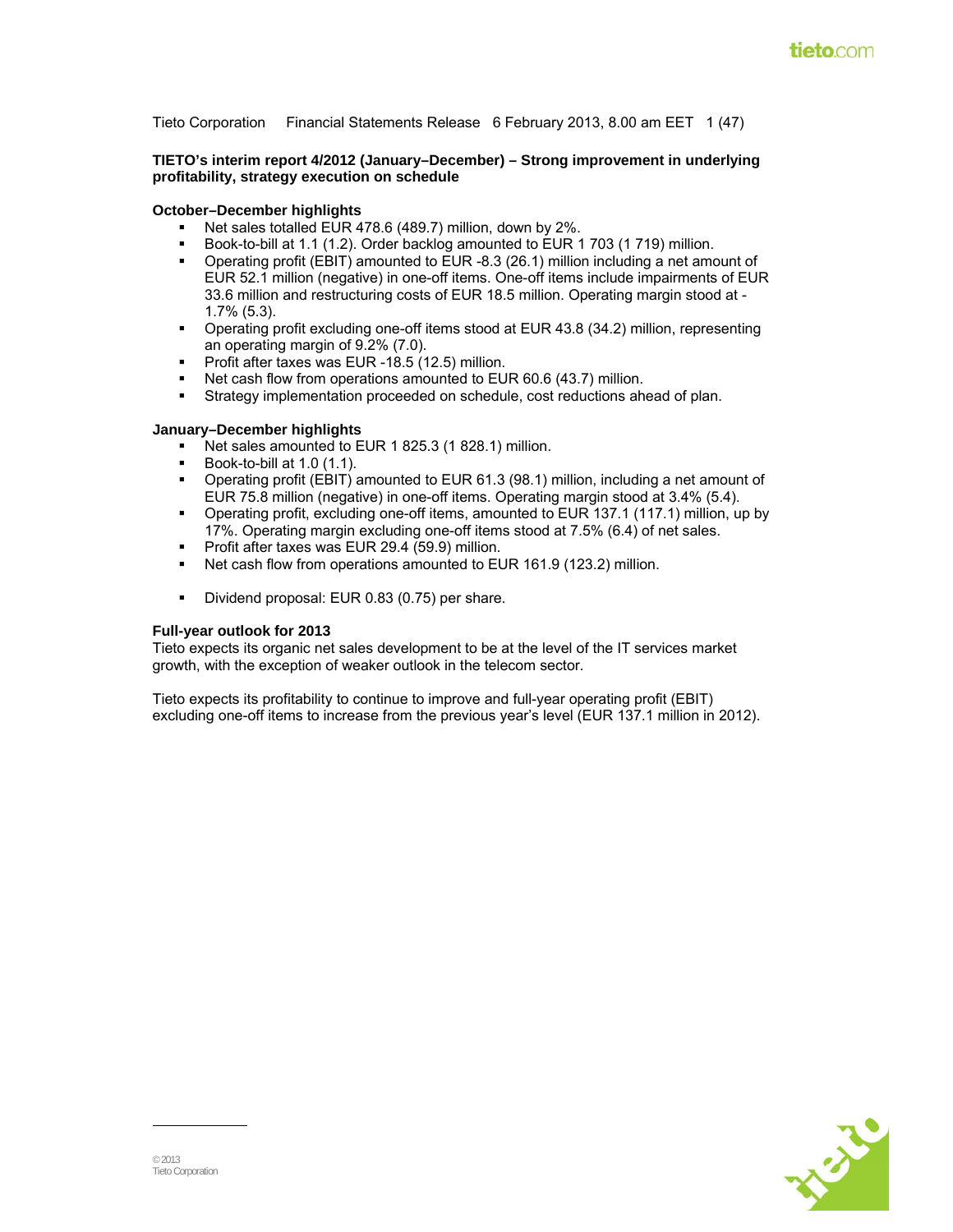Tieto Corporation Financial Statements Release 6 February 2013, 8.00 am EET 1 (47)

**TIETO's interim report 4/2012 (January–December) – Strong improvement in underlying profitability, strategy execution on schedule** 

#### **October–December highlights**

- Net sales totalled EUR 478.6 (489.7) million, down by 2%.
- Book-to-bill at 1.1 (1.2). Order backlog amounted to EUR 1 703 (1 719) million.
- Operating profit (EBIT) amounted to EUR -8.3 (26.1) million including a net amount of EUR 52.1 million (negative) in one-off items. One-off items include impairments of EUR 33.6 million and restructuring costs of EUR 18.5 million. Operating margin stood at - 1.7% (5.3).
- Operating profit excluding one-off items stood at EUR 43.8 (34.2) million, representing an operating margin of 9.2% (7.0).
- Profit after taxes was EUR -18.5 (12.5) million.
- Net cash flow from operations amounted to EUR 60.6 (43.7) million.
- Strategy implementation proceeded on schedule, cost reductions ahead of plan.

#### **January–December highlights**

- Net sales amounted to EUR 1 825.3 (1 828.1) million.
- Book-to-bill at 1.0 (1.1).
- Operating profit (EBIT) amounted to EUR 61.3 (98.1) million, including a net amount of EUR 75.8 million (negative) in one-off items. Operating margin stood at 3.4% (5.4).
- Operating profit, excluding one-off items, amounted to EUR 137.1 (117.1) million, up by 17%. Operating margin excluding one-off items stood at 7.5% (6.4) of net sales.
- Profit after taxes was EUR 29.4 (59.9) million.
- Net cash flow from operations amounted to EUR 161.9 (123.2) million.
- Dividend proposal: EUR 0.83 (0.75) per share.

#### **Full-year outlook for 2013**

Tieto expects its organic net sales development to be at the level of the IT services market growth, with the exception of weaker outlook in the telecom sector.

Tieto expects its profitability to continue to improve and full-year operating profit (EBIT) excluding one-off items to increase from the previous year's level (EUR 137.1 million in 2012).

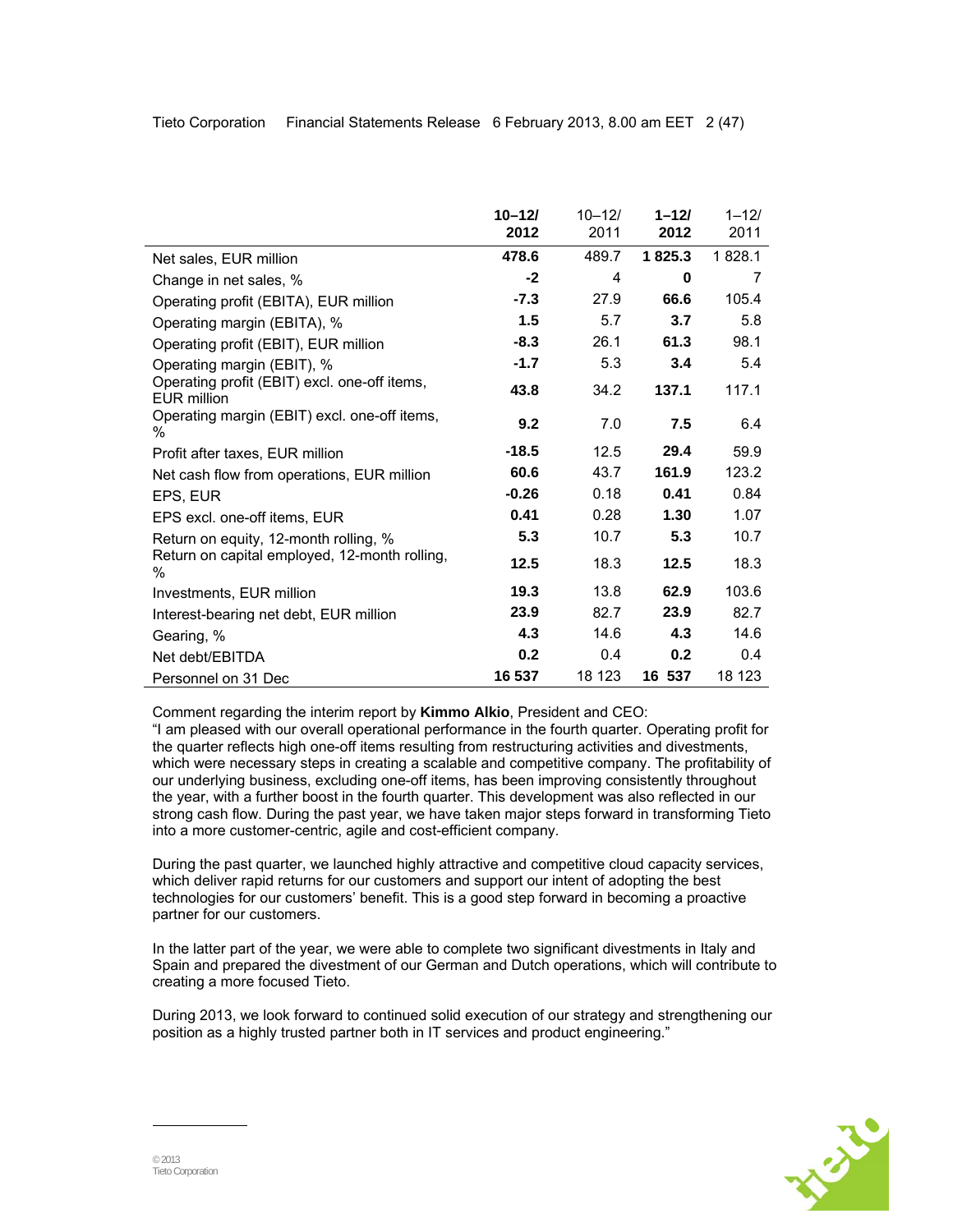|                                                                    | $10 - 12/$ | $10 - 12/$ | $1 - 121$ | $1 - 12/$ |
|--------------------------------------------------------------------|------------|------------|-----------|-----------|
|                                                                    | 2012       | 2011       | 2012      | 2011      |
| Net sales, EUR million                                             | 478.6      | 489.7      | 1825.3    | 1828.1    |
| Change in net sales, %                                             | -2         | 4          | 0         | 7         |
| Operating profit (EBITA), EUR million                              | $-7.3$     | 27.9       | 66.6      | 105.4     |
| Operating margin (EBITA), %                                        | 1.5        | 5.7        | 3.7       | 5.8       |
| Operating profit (EBIT), EUR million                               | $-8.3$     | 26.1       | 61.3      | 98.1      |
| Operating margin (EBIT), %                                         | $-1.7$     | 5.3        | 3.4       | 5.4       |
| Operating profit (EBIT) excl. one-off items,<br><b>EUR million</b> | 43.8       | 34.2       | 137.1     | 117.1     |
| Operating margin (EBIT) excl. one-off items,<br>℅                  | 9.2        | 7.0        | 7.5       | 6.4       |
| Profit after taxes, EUR million                                    | $-18.5$    | 12.5       | 29.4      | 59.9      |
| Net cash flow from operations, EUR million                         | 60.6       | 43.7       | 161.9     | 123.2     |
| EPS, EUR                                                           | $-0.26$    | 0.18       | 0.41      | 0.84      |
| EPS excl. one-off items, EUR                                       | 0.41       | 0.28       | 1.30      | 1.07      |
| Return on equity, 12-month rolling, %                              | 5.3        | 10.7       | 5.3       | 10.7      |
| Return on capital employed, 12-month rolling,<br>℅                 | 12.5       | 18.3       | 12.5      | 18.3      |
| Investments, EUR million                                           | 19.3       | 13.8       | 62.9      | 103.6     |
| Interest-bearing net debt, EUR million                             | 23.9       | 82.7       | 23.9      | 82.7      |
| Gearing, %                                                         | 4.3        | 14.6       | 4.3       | 14.6      |
| Net debt/EBITDA                                                    | 0.2        | 0.4        | 0.2       | 0.4       |
| Personnel on 31 Dec                                                | 16 537     | 18 123     | 16 537    | 18 123    |

Comment regarding the interim report by **Kimmo Alkio**, President and CEO:

"I am pleased with our overall operational performance in the fourth quarter. Operating profit for the quarter reflects high one-off items resulting from restructuring activities and divestments, which were necessary steps in creating a scalable and competitive company. The profitability of our underlying business, excluding one-off items, has been improving consistently throughout the year, with a further boost in the fourth quarter. This development was also reflected in our strong cash flow. During the past year, we have taken major steps forward in transforming Tieto into a more customer-centric, agile and cost-efficient company.

During the past quarter, we launched highly attractive and competitive cloud capacity services, which deliver rapid returns for our customers and support our intent of adopting the best technologies for our customers' benefit. This is a good step forward in becoming a proactive partner for our customers.

In the latter part of the year, we were able to complete two significant divestments in Italy and Spain and prepared the divestment of our German and Dutch operations, which will contribute to creating a more focused Tieto.

During 2013, we look forward to continued solid execution of our strategy and strengthening our position as a highly trusted partner both in IT services and product engineering."

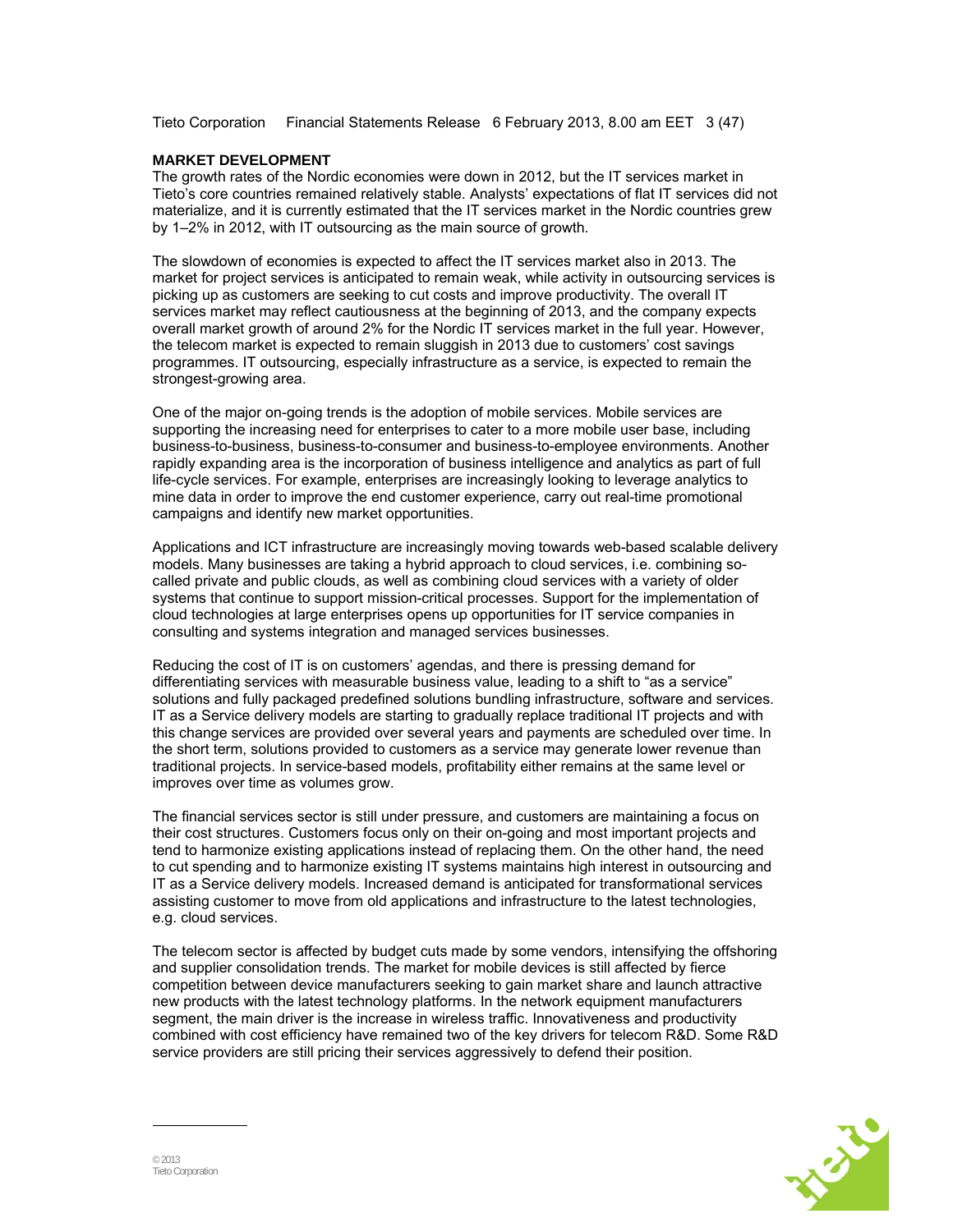Tieto Corporation Financial Statements Release 6 February 2013, 8.00 am EET 3 (47)

#### **MARKET DEVELOPMENT**

The growth rates of the Nordic economies were down in 2012, but the IT services market in Tieto's core countries remained relatively stable. Analysts' expectations of flat IT services did not materialize, and it is currently estimated that the IT services market in the Nordic countries grew by 1–2% in 2012, with IT outsourcing as the main source of growth.

The slowdown of economies is expected to affect the IT services market also in 2013. The market for project services is anticipated to remain weak, while activity in outsourcing services is picking up as customers are seeking to cut costs and improve productivity. The overall IT services market may reflect cautiousness at the beginning of 2013, and the company expects overall market growth of around 2% for the Nordic IT services market in the full year. However, the telecom market is expected to remain sluggish in 2013 due to customers' cost savings programmes. IT outsourcing, especially infrastructure as a service, is expected to remain the strongest-growing area.

One of the major on-going trends is the adoption of mobile services. Mobile services are supporting the increasing need for enterprises to cater to a more mobile user base, including business-to-business, business-to-consumer and business-to-employee environments. Another rapidly expanding area is the incorporation of business intelligence and analytics as part of full life-cycle services. For example, enterprises are increasingly looking to leverage analytics to mine data in order to improve the end customer experience, carry out real-time promotional campaigns and identify new market opportunities.

Applications and ICT infrastructure are increasingly moving towards web-based scalable delivery models. Many businesses are taking a hybrid approach to cloud services, i.e. combining socalled private and public clouds, as well as combining cloud services with a variety of older systems that continue to support mission-critical processes. Support for the implementation of cloud technologies at large enterprises opens up opportunities for IT service companies in consulting and systems integration and managed services businesses.

Reducing the cost of IT is on customers' agendas, and there is pressing demand for differentiating services with measurable business value, leading to a shift to "as a service" solutions and fully packaged predefined solutions bundling infrastructure, software and services. IT as a Service delivery models are starting to gradually replace traditional IT projects and with this change services are provided over several years and payments are scheduled over time. In the short term, solutions provided to customers as a service may generate lower revenue than traditional projects. In service-based models, profitability either remains at the same level or improves over time as volumes grow.

The financial services sector is still under pressure, and customers are maintaining a focus on their cost structures. Customers focus only on their on-going and most important projects and tend to harmonize existing applications instead of replacing them. On the other hand, the need to cut spending and to harmonize existing IT systems maintains high interest in outsourcing and IT as a Service delivery models. Increased demand is anticipated for transformational services assisting customer to move from old applications and infrastructure to the latest technologies, e.g. cloud services.

The telecom sector is affected by budget cuts made by some vendors, intensifying the offshoring and supplier consolidation trends. The market for mobile devices is still affected by fierce competition between device manufacturers seeking to gain market share and launch attractive new products with the latest technology platforms. In the network equipment manufacturers segment, the main driver is the increase in wireless traffic. Innovativeness and productivity combined with cost efficiency have remained two of the key drivers for telecom R&D. Some R&D service providers are still pricing their services aggressively to defend their position.

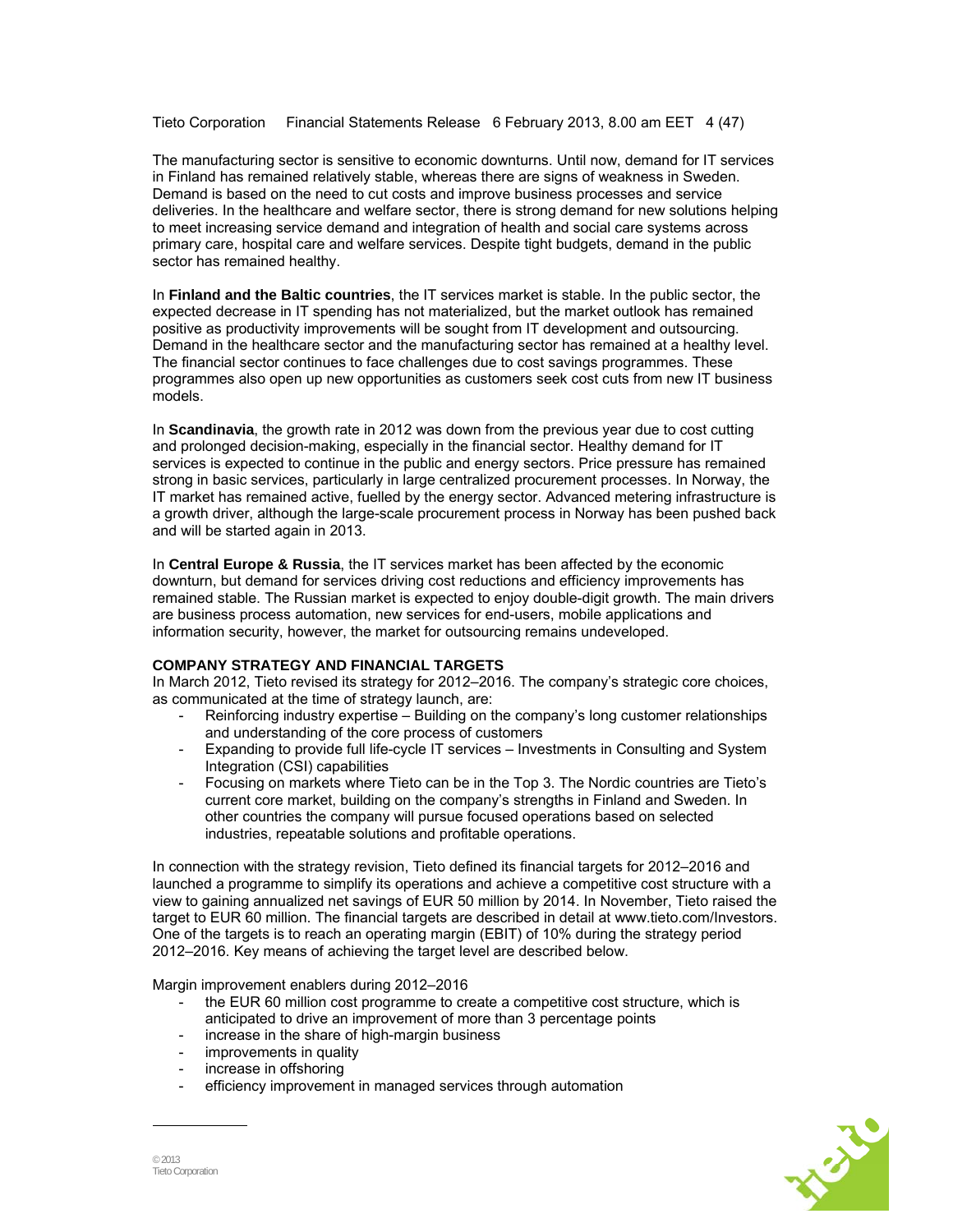Tieto Corporation Financial Statements Release 6 February 2013, 8.00 am EET 4 (47)

The manufacturing sector is sensitive to economic downturns. Until now, demand for IT services in Finland has remained relatively stable, whereas there are signs of weakness in Sweden. Demand is based on the need to cut costs and improve business processes and service deliveries. In the healthcare and welfare sector, there is strong demand for new solutions helping to meet increasing service demand and integration of health and social care systems across primary care, hospital care and welfare services. Despite tight budgets, demand in the public sector has remained healthy.

In **Finland and the Baltic countries**, the IT services market is stable. In the public sector, the expected decrease in IT spending has not materialized, but the market outlook has remained positive as productivity improvements will be sought from IT development and outsourcing. Demand in the healthcare sector and the manufacturing sector has remained at a healthy level. The financial sector continues to face challenges due to cost savings programmes. These programmes also open up new opportunities as customers seek cost cuts from new IT business models.

In **Scandinavia**, the growth rate in 2012 was down from the previous year due to cost cutting and prolonged decision-making, especially in the financial sector. Healthy demand for IT services is expected to continue in the public and energy sectors. Price pressure has remained strong in basic services, particularly in large centralized procurement processes. In Norway, the IT market has remained active, fuelled by the energy sector. Advanced metering infrastructure is a growth driver, although the large-scale procurement process in Norway has been pushed back and will be started again in 2013.

In **Central Europe & Russia**, the IT services market has been affected by the economic downturn, but demand for services driving cost reductions and efficiency improvements has remained stable. The Russian market is expected to enjoy double-digit growth. The main drivers are business process automation, new services for end-users, mobile applications and information security, however, the market for outsourcing remains undeveloped.

#### **COMPANY STRATEGY AND FINANCIAL TARGETS**

In March 2012, Tieto revised its strategy for 2012–2016. The company's strategic core choices, as communicated at the time of strategy launch, are:

- Reinforcing industry expertise Building on the company's long customer relationships and understanding of the core process of customers
- Expanding to provide full life-cycle IT services Investments in Consulting and System Integration (CSI) capabilities
- Focusing on markets where Tieto can be in the Top 3. The Nordic countries are Tieto's current core market, building on the company's strengths in Finland and Sweden. In other countries the company will pursue focused operations based on selected industries, repeatable solutions and profitable operations.

In connection with the strategy revision, Tieto defined its financial targets for 2012–2016 and launched a programme to simplify its operations and achieve a competitive cost structure with a view to gaining annualized net savings of EUR 50 million by 2014. In November, Tieto raised the target to EUR 60 million. The financial targets are described in detail at www.tieto.com/Investors. One of the targets is to reach an operating margin (EBIT) of 10% during the strategy period 2012–2016. Key means of achieving the target level are described below.

Margin improvement enablers during 2012–2016

- the EUR 60 million cost programme to create a competitive cost structure, which is anticipated to drive an improvement of more than 3 percentage points
- increase in the share of high-margin business
- improvements in quality
- increase in offshoring
- efficiency improvement in managed services through automation

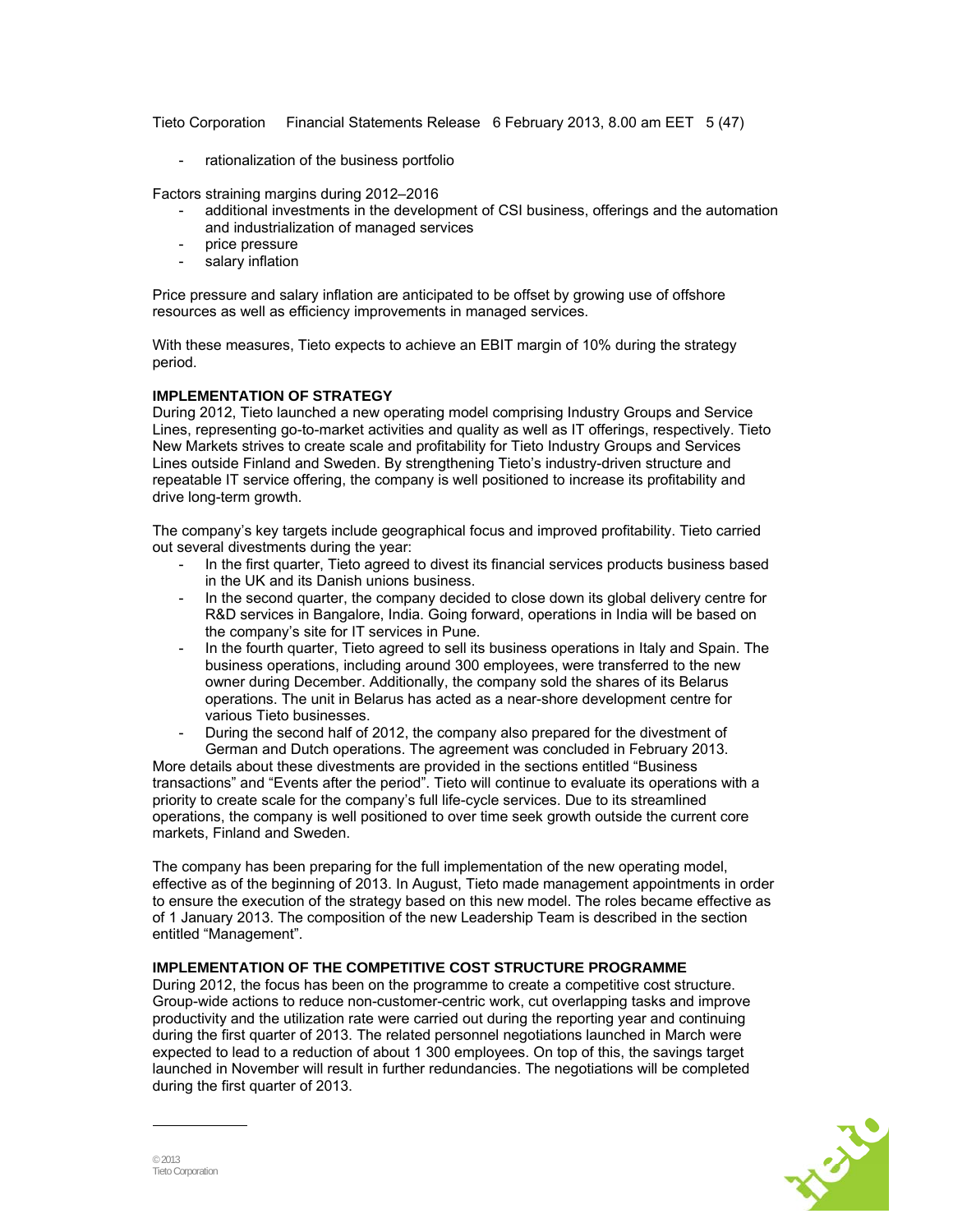Tieto Corporation Financial Statements Release 6 February 2013, 8.00 am EET 5 (47)

rationalization of the business portfolio

Factors straining margins during 2012–2016

- additional investments in the development of CSI business, offerings and the automation and industrialization of managed services
- price pressure
- salary inflation

Price pressure and salary inflation are anticipated to be offset by growing use of offshore resources as well as efficiency improvements in managed services.

With these measures. Tieto expects to achieve an EBIT margin of 10% during the strategy period.

## **IMPLEMENTATION OF STRATEGY**

During 2012, Tieto launched a new operating model comprising Industry Groups and Service Lines, representing go-to-market activities and quality as well as IT offerings, respectively. Tieto New Markets strives to create scale and profitability for Tieto Industry Groups and Services Lines outside Finland and Sweden. By strengthening Tieto's industry-driven structure and repeatable IT service offering, the company is well positioned to increase its profitability and drive long-term growth.

The company's key targets include geographical focus and improved profitability. Tieto carried out several divestments during the year:

- In the first quarter, Tieto agreed to divest its financial services products business based in the UK and its Danish unions business.
- In the second quarter, the company decided to close down its global delivery centre for R&D services in Bangalore, India. Going forward, operations in India will be based on the company's site for IT services in Pune.
- In the fourth quarter, Tieto agreed to sell its business operations in Italy and Spain. The business operations, including around 300 employees, were transferred to the new owner during December. Additionally, the company sold the shares of its Belarus operations. The unit in Belarus has acted as a near-shore development centre for various Tieto businesses.
- During the second half of 2012, the company also prepared for the divestment of German and Dutch operations. The agreement was concluded in February 2013.

More details about these divestments are provided in the sections entitled "Business transactions" and "Events after the period". Tieto will continue to evaluate its operations with a priority to create scale for the company's full life-cycle services. Due to its streamlined operations, the company is well positioned to over time seek growth outside the current core markets, Finland and Sweden.

The company has been preparing for the full implementation of the new operating model, effective as of the beginning of 2013. In August, Tieto made management appointments in order to ensure the execution of the strategy based on this new model. The roles became effective as of 1 January 2013. The composition of the new Leadership Team is described in the section entitled "Management".

## **IMPLEMENTATION OF THE COMPETITIVE COST STRUCTURE PROGRAMME**

During 2012, the focus has been on the programme to create a competitive cost structure. Group-wide actions to reduce non-customer-centric work, cut overlapping tasks and improve productivity and the utilization rate were carried out during the reporting year and continuing during the first quarter of 2013. The related personnel negotiations launched in March were expected to lead to a reduction of about 1 300 employees. On top of this, the savings target launched in November will result in further redundancies. The negotiations will be completed during the first quarter of 2013.

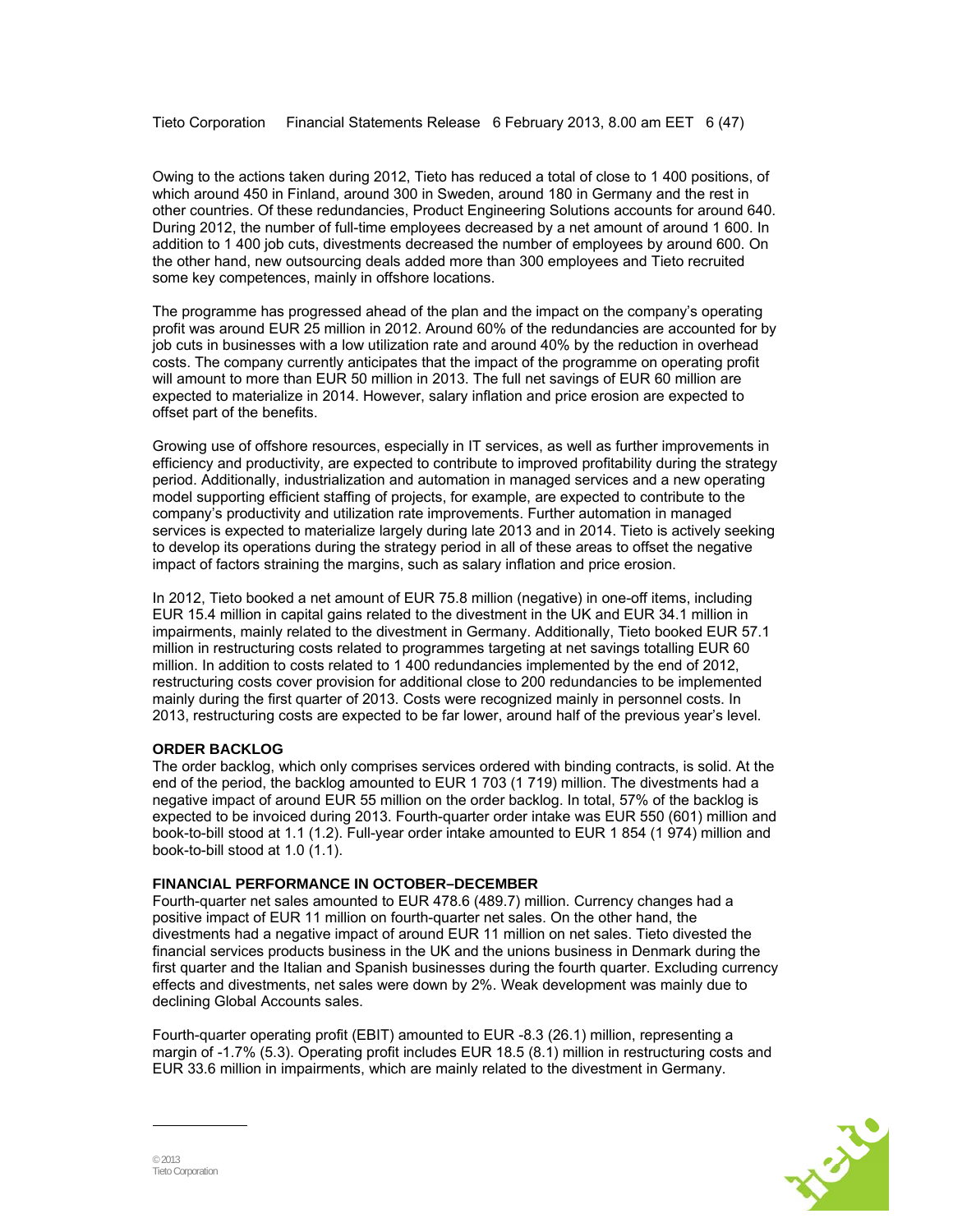Owing to the actions taken during 2012, Tieto has reduced a total of close to 1 400 positions, of which around 450 in Finland, around 300 in Sweden, around 180 in Germany and the rest in other countries. Of these redundancies, Product Engineering Solutions accounts for around 640. During 2012, the number of full-time employees decreased by a net amount of around 1 600. In addition to 1 400 job cuts, divestments decreased the number of employees by around 600. On the other hand, new outsourcing deals added more than 300 employees and Tieto recruited some key competences, mainly in offshore locations.

The programme has progressed ahead of the plan and the impact on the company's operating profit was around EUR 25 million in 2012. Around 60% of the redundancies are accounted for by job cuts in businesses with a low utilization rate and around 40% by the reduction in overhead costs. The company currently anticipates that the impact of the programme on operating profit will amount to more than EUR 50 million in 2013. The full net savings of EUR 60 million are expected to materialize in 2014. However, salary inflation and price erosion are expected to offset part of the benefits.

Growing use of offshore resources, especially in IT services, as well as further improvements in efficiency and productivity, are expected to contribute to improved profitability during the strategy period. Additionally, industrialization and automation in managed services and a new operating model supporting efficient staffing of projects, for example, are expected to contribute to the company's productivity and utilization rate improvements. Further automation in managed services is expected to materialize largely during late 2013 and in 2014. Tieto is actively seeking to develop its operations during the strategy period in all of these areas to offset the negative impact of factors straining the margins, such as salary inflation and price erosion.

In 2012, Tieto booked a net amount of EUR 75.8 million (negative) in one-off items, including EUR 15.4 million in capital gains related to the divestment in the UK and EUR 34.1 million in impairments, mainly related to the divestment in Germany. Additionally, Tieto booked EUR 57.1 million in restructuring costs related to programmes targeting at net savings totalling EUR 60 million. In addition to costs related to 1 400 redundancies implemented by the end of 2012, restructuring costs cover provision for additional close to 200 redundancies to be implemented mainly during the first quarter of 2013. Costs were recognized mainly in personnel costs. In 2013, restructuring costs are expected to be far lower, around half of the previous year's level.

## **ORDER BACKLOG**

The order backlog, which only comprises services ordered with binding contracts, is solid. At the end of the period, the backlog amounted to EUR 1 703 (1 719) million. The divestments had a negative impact of around EUR 55 million on the order backlog. In total, 57% of the backlog is expected to be invoiced during 2013. Fourth-quarter order intake was EUR 550 (601) million and book-to-bill stood at 1.1 (1.2). Full-year order intake amounted to EUR 1 854 (1 974) million and book-to-bill stood at 1.0 (1.1).

#### **FINANCIAL PERFORMANCE IN OCTOBER–DECEMBER**

Fourth-quarter net sales amounted to EUR 478.6 (489.7) million. Currency changes had a positive impact of EUR 11 million on fourth-quarter net sales. On the other hand, the divestments had a negative impact of around EUR 11 million on net sales. Tieto divested the financial services products business in the UK and the unions business in Denmark during the first quarter and the Italian and Spanish businesses during the fourth quarter. Excluding currency effects and divestments, net sales were down by 2%. Weak development was mainly due to declining Global Accounts sales.

Fourth-quarter operating profit (EBIT) amounted to EUR -8.3 (26.1) million, representing a margin of -1.7% (5.3). Operating profit includes EUR 18.5 (8.1) million in restructuring costs and EUR 33.6 million in impairments, which are mainly related to the divestment in Germany.

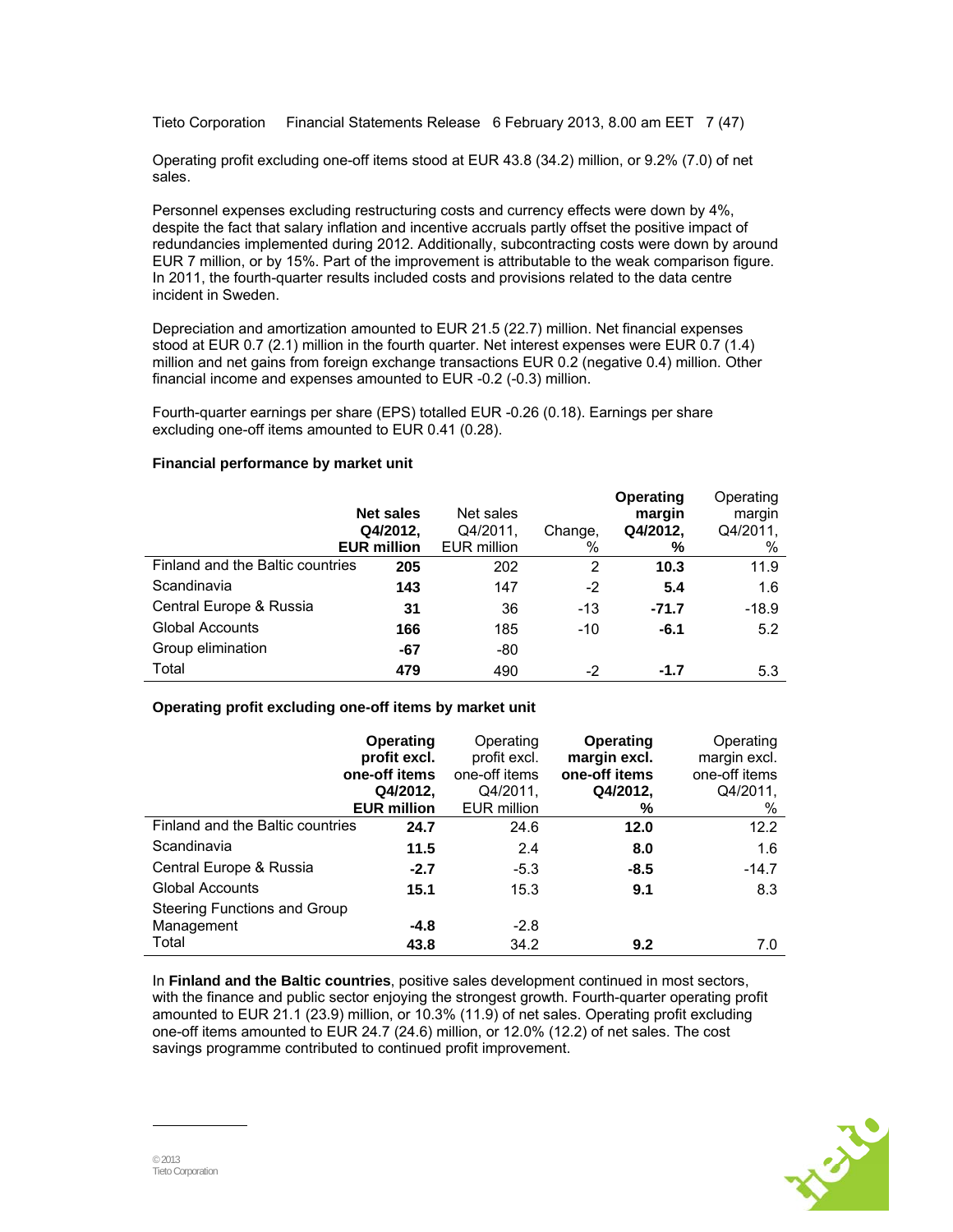Tieto Corporation Financial Statements Release 6 February 2013, 8.00 am EET 7 (47)

Operating profit excluding one-off items stood at EUR 43.8 (34.2) million, or 9.2% (7.0) of net sales.

Personnel expenses excluding restructuring costs and currency effects were down by 4%, despite the fact that salary inflation and incentive accruals partly offset the positive impact of redundancies implemented during 2012. Additionally, subcontracting costs were down by around EUR 7 million, or by 15%. Part of the improvement is attributable to the weak comparison figure. In 2011, the fourth-quarter results included costs and provisions related to the data centre incident in Sweden.

Depreciation and amortization amounted to EUR 21.5 (22.7) million. Net financial expenses stood at EUR 0.7 (2.1) million in the fourth quarter. Net interest expenses were EUR 0.7 (1.4) million and net gains from foreign exchange transactions EUR 0.2 (negative 0.4) million. Other financial income and expenses amounted to EUR -0.2 (-0.3) million.

Fourth-quarter earnings per share (EPS) totalled EUR -0.26 (0.18). Earnings per share excluding one-off items amounted to EUR 0.41 (0.28).

#### **Financial performance by market unit**

|                                  | <b>Net sales</b><br>Q4/2012,<br><b>EUR million</b> | Net sales<br>Q4/2011,<br><b>EUR million</b> | Change,<br>% | Operating<br>margin<br>Q4/2012,<br>% | Operating<br>margin<br>Q4/2011,<br>% |
|----------------------------------|----------------------------------------------------|---------------------------------------------|--------------|--------------------------------------|--------------------------------------|
| Finland and the Baltic countries | 205                                                | 202                                         | 2            | 10.3                                 | 11.9                                 |
| Scandinavia                      | 143                                                | 147                                         | $-2$         | 5.4                                  | 1.6                                  |
| Central Europe & Russia          | 31                                                 | 36                                          | -13          | $-71.7$                              | $-18.9$                              |
| <b>Global Accounts</b>           | 166                                                | 185                                         | $-10$        | $-6.1$                               | 5.2                                  |
| Group elimination                | -67                                                | -80                                         |              |                                      |                                      |
| Total                            | 479                                                | 490                                         | $-2$         | $-1.7$                               | 5.3                                  |

## **Operating profit excluding one-off items by market unit**

|                                                     | Operating<br>profit excl.<br>one-off items<br>Q4/2012,<br><b>EUR million</b> | Operating<br>profit excl.<br>one-off items<br>Q4/2011,<br>EUR million | Operating<br>margin excl.<br>one-off items<br>Q4/2012,<br>% | Operating<br>margin excl.<br>one-off items<br>Q4/2011,<br>% |
|-----------------------------------------------------|------------------------------------------------------------------------------|-----------------------------------------------------------------------|-------------------------------------------------------------|-------------------------------------------------------------|
| Finland and the Baltic countries                    | 24.7                                                                         | 24.6                                                                  | 12.0                                                        | 12.2                                                        |
| Scandinavia                                         | 11.5                                                                         | 2.4                                                                   | 8.0                                                         | 1.6                                                         |
| Central Europe & Russia                             | $-2.7$                                                                       | $-5.3$                                                                | $-8.5$                                                      | $-14.7$                                                     |
| <b>Global Accounts</b>                              | 15.1                                                                         | 15.3                                                                  | 9.1                                                         | 8.3                                                         |
| Steering Functions and Group<br>Management<br>Total | $-4.8$                                                                       | $-2.8$                                                                |                                                             |                                                             |
|                                                     | 43.8                                                                         | 34.2                                                                  | 9.2                                                         | 7.0                                                         |

In **Finland and the Baltic countries**, positive sales development continued in most sectors, with the finance and public sector enjoying the strongest growth. Fourth-quarter operating profit amounted to EUR 21.1 (23.9) million, or 10.3% (11.9) of net sales. Operating profit excluding one-off items amounted to EUR 24.7 (24.6) million, or 12.0% (12.2) of net sales. The cost savings programme contributed to continued profit improvement.

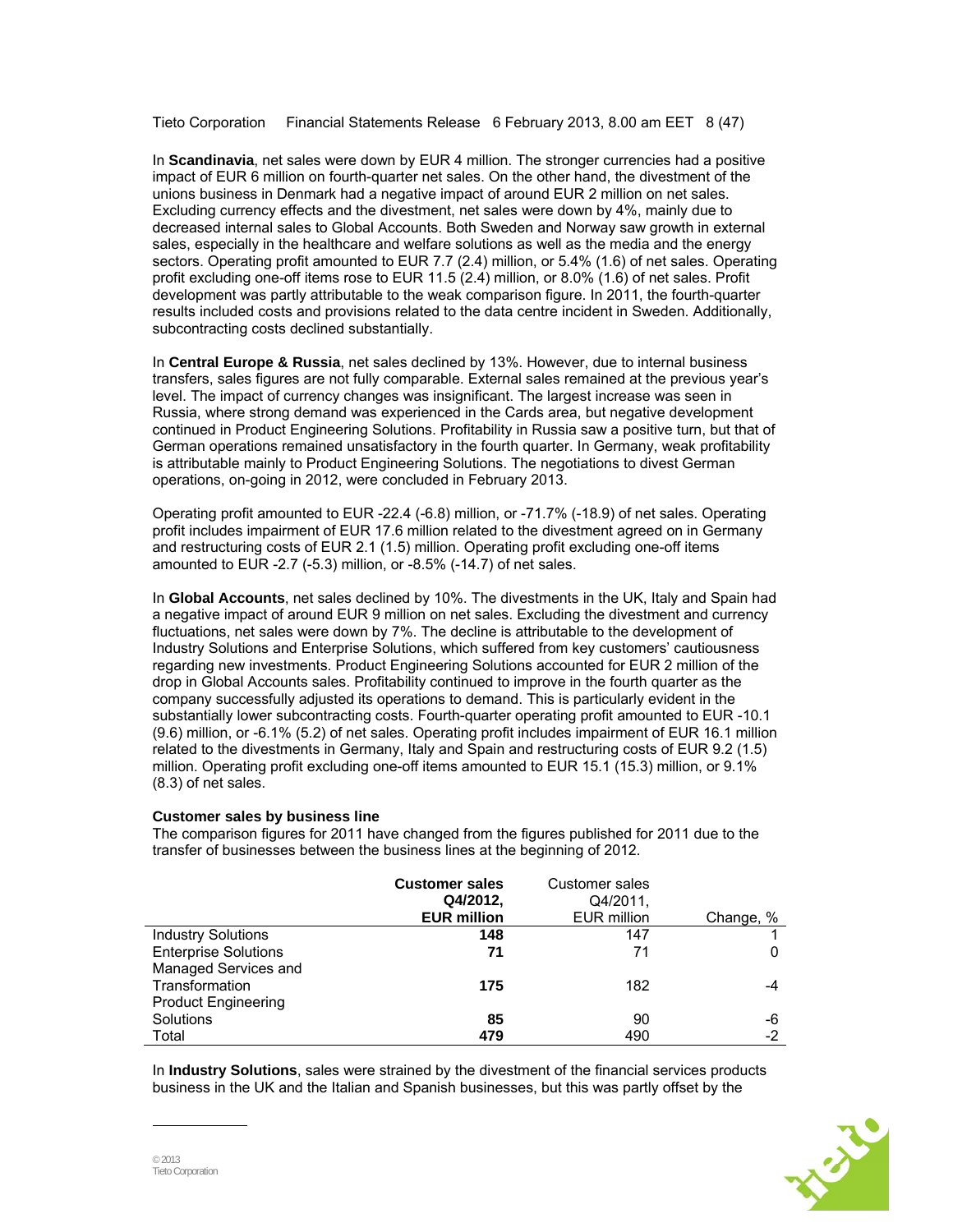Tieto Corporation Financial Statements Release 6 February 2013, 8.00 am EET 8 (47)

In **Scandinavia**, net sales were down by EUR 4 million. The stronger currencies had a positive impact of EUR 6 million on fourth-quarter net sales. On the other hand, the divestment of the unions business in Denmark had a negative impact of around EUR 2 million on net sales. Excluding currency effects and the divestment, net sales were down by 4%, mainly due to decreased internal sales to Global Accounts. Both Sweden and Norway saw growth in external sales, especially in the healthcare and welfare solutions as well as the media and the energy sectors. Operating profit amounted to EUR 7.7 (2.4) million, or 5.4% (1.6) of net sales. Operating profit excluding one-off items rose to EUR 11.5 (2.4) million, or 8.0% (1.6) of net sales. Profit development was partly attributable to the weak comparison figure. In 2011, the fourth-quarter results included costs and provisions related to the data centre incident in Sweden. Additionally, subcontracting costs declined substantially.

In **Central Europe & Russia**, net sales declined by 13%. However, due to internal business transfers, sales figures are not fully comparable. External sales remained at the previous year's level. The impact of currency changes was insignificant. The largest increase was seen in Russia, where strong demand was experienced in the Cards area, but negative development continued in Product Engineering Solutions. Profitability in Russia saw a positive turn, but that of German operations remained unsatisfactory in the fourth quarter. In Germany, weak profitability is attributable mainly to Product Engineering Solutions. The negotiations to divest German operations, on-going in 2012, were concluded in February 2013.

Operating profit amounted to EUR -22.4 (-6.8) million, or -71.7% (-18.9) of net sales. Operating profit includes impairment of EUR 17.6 million related to the divestment agreed on in Germany and restructuring costs of EUR 2.1 (1.5) million. Operating profit excluding one-off items amounted to EUR -2.7 (-5.3) million, or -8.5% (-14.7) of net sales.

In **Global Accounts**, net sales declined by 10%. The divestments in the UK, Italy and Spain had a negative impact of around EUR 9 million on net sales. Excluding the divestment and currency fluctuations, net sales were down by 7%. The decline is attributable to the development of Industry Solutions and Enterprise Solutions, which suffered from key customers' cautiousness regarding new investments. Product Engineering Solutions accounted for EUR 2 million of the drop in Global Accounts sales. Profitability continued to improve in the fourth quarter as the company successfully adjusted its operations to demand. This is particularly evident in the substantially lower subcontracting costs. Fourth-quarter operating profit amounted to EUR -10.1 (9.6) million, or -6.1% (5.2) of net sales. Operating profit includes impairment of EUR 16.1 million related to the divestments in Germany, Italy and Spain and restructuring costs of EUR 9.2 (1.5) million. Operating profit excluding one-off items amounted to EUR 15.1 (15.3) million, or 9.1% (8.3) of net sales.

#### **Customer sales by business line**

The comparison figures for 2011 have changed from the figures published for 2011 due to the transfer of businesses between the business lines at the beginning of 2012.

|                             | <b>Customer sales</b><br>Q4/2012,<br><b>EUR million</b> | <b>Customer sales</b><br>Q4/2011.<br><b>EUR million</b> | Change, % |
|-----------------------------|---------------------------------------------------------|---------------------------------------------------------|-----------|
| <b>Industry Solutions</b>   | 148                                                     | 147                                                     |           |
| <b>Enterprise Solutions</b> | 71                                                      | 71                                                      | 0         |
| Managed Services and        |                                                         |                                                         |           |
| Transformation              | 175                                                     | 182                                                     |           |
| <b>Product Engineering</b>  |                                                         |                                                         |           |
| Solutions                   | 85                                                      | 90                                                      | -6        |
| Total                       | 479                                                     | 490                                                     | $-2$      |

In **Industry Solutions**, sales were strained by the divestment of the financial services products business in the UK and the Italian and Spanish businesses, but this was partly offset by the

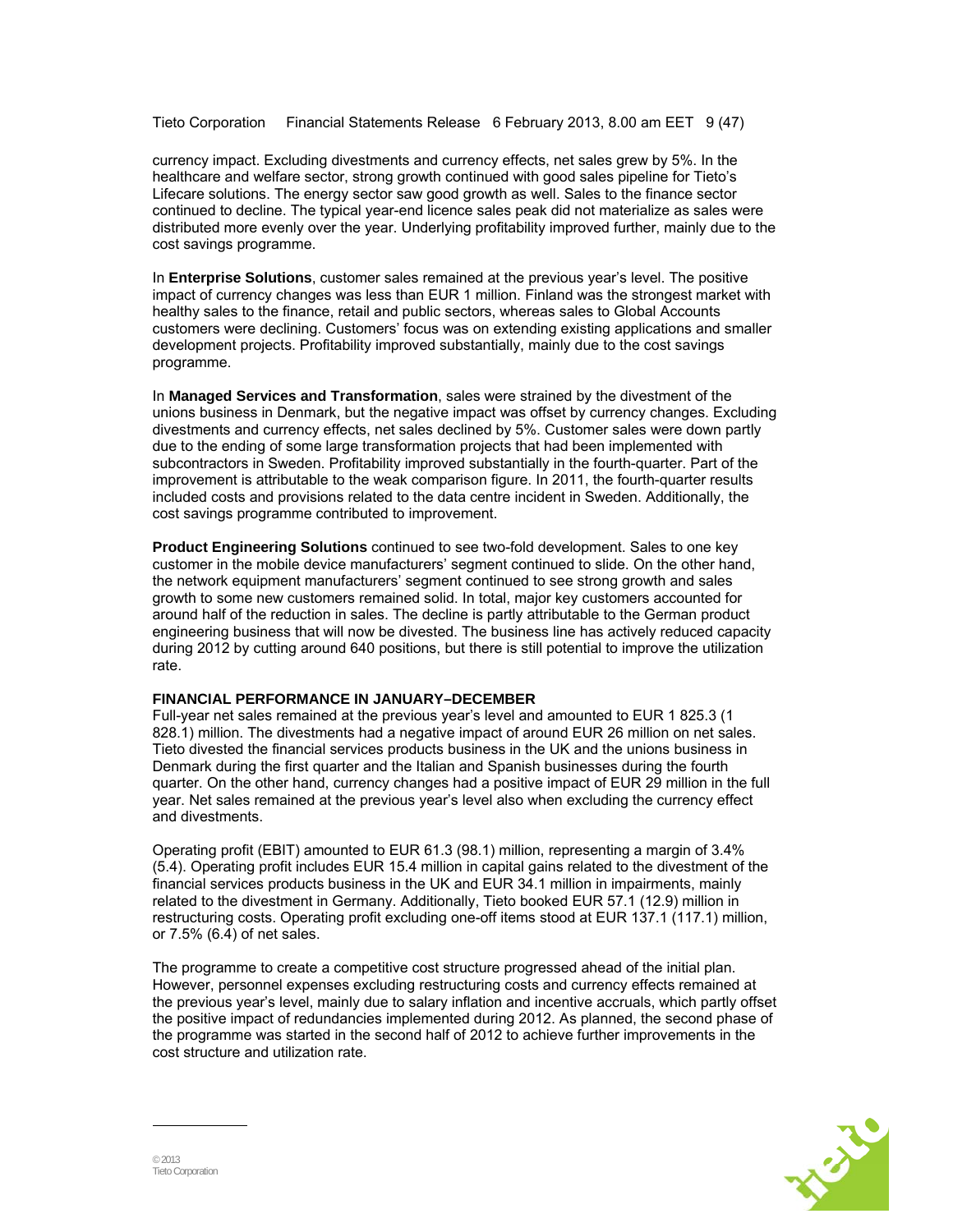Tieto Corporation Financial Statements Release 6 February 2013, 8.00 am EET 9 (47)

currency impact. Excluding divestments and currency effects, net sales grew by 5%. In the healthcare and welfare sector, strong growth continued with good sales pipeline for Tieto's Lifecare solutions. The energy sector saw good growth as well. Sales to the finance sector continued to decline. The typical year-end licence sales peak did not materialize as sales were distributed more evenly over the year. Underlying profitability improved further, mainly due to the cost savings programme.

In **Enterprise Solutions**, customer sales remained at the previous year's level. The positive impact of currency changes was less than EUR 1 million. Finland was the strongest market with healthy sales to the finance, retail and public sectors, whereas sales to Global Accounts customers were declining. Customers' focus was on extending existing applications and smaller development projects. Profitability improved substantially, mainly due to the cost savings programme.

In **Managed Services and Transformation**, sales were strained by the divestment of the unions business in Denmark, but the negative impact was offset by currency changes. Excluding divestments and currency effects, net sales declined by 5%. Customer sales were down partly due to the ending of some large transformation projects that had been implemented with subcontractors in Sweden. Profitability improved substantially in the fourth-quarter. Part of the improvement is attributable to the weak comparison figure. In 2011, the fourth-quarter results included costs and provisions related to the data centre incident in Sweden. Additionally, the cost savings programme contributed to improvement.

**Product Engineering Solutions** continued to see two-fold development. Sales to one key customer in the mobile device manufacturers' segment continued to slide. On the other hand, the network equipment manufacturers' segment continued to see strong growth and sales growth to some new customers remained solid. In total, major key customers accounted for around half of the reduction in sales. The decline is partly attributable to the German product engineering business that will now be divested. The business line has actively reduced capacity during 2012 by cutting around 640 positions, but there is still potential to improve the utilization rate.

#### **FINANCIAL PERFORMANCE IN JANUARY–DECEMBER**

Full-year net sales remained at the previous year's level and amounted to EUR 1 825.3 (1 828.1) million. The divestments had a negative impact of around EUR 26 million on net sales. Tieto divested the financial services products business in the UK and the unions business in Denmark during the first quarter and the Italian and Spanish businesses during the fourth quarter. On the other hand, currency changes had a positive impact of EUR 29 million in the full year. Net sales remained at the previous year's level also when excluding the currency effect and divestments.

Operating profit (EBIT) amounted to EUR 61.3 (98.1) million, representing a margin of 3.4% (5.4). Operating profit includes EUR 15.4 million in capital gains related to the divestment of the financial services products business in the UK and EUR 34.1 million in impairments, mainly related to the divestment in Germany. Additionally, Tieto booked EUR 57.1 (12.9) million in restructuring costs. Operating profit excluding one-off items stood at EUR 137.1 (117.1) million, or 7.5% (6.4) of net sales.

The programme to create a competitive cost structure progressed ahead of the initial plan. However, personnel expenses excluding restructuring costs and currency effects remained at the previous year's level, mainly due to salary inflation and incentive accruals, which partly offset the positive impact of redundancies implemented during 2012. As planned, the second phase of the programme was started in the second half of 2012 to achieve further improvements in the cost structure and utilization rate.

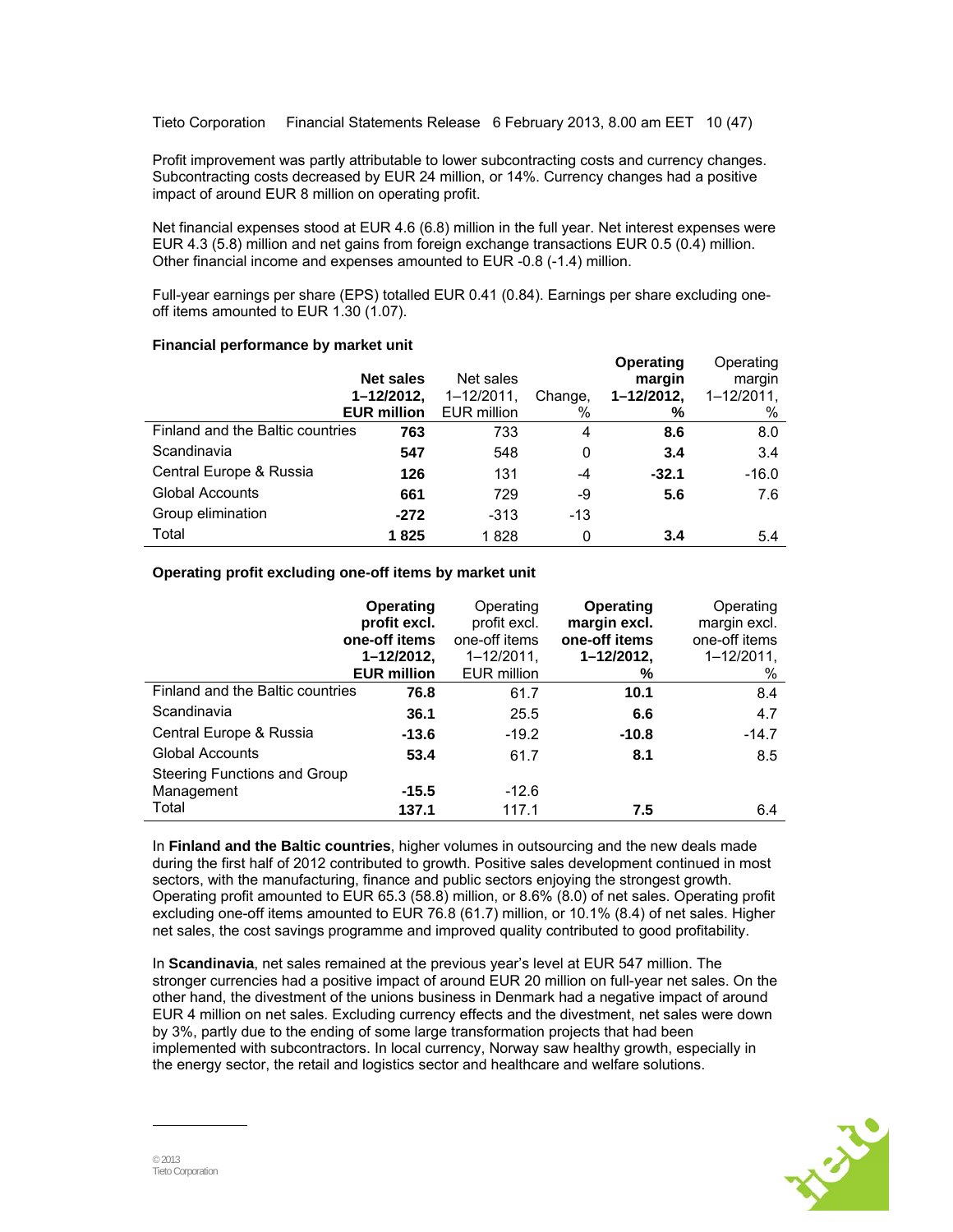Tieto Corporation Financial Statements Release 6 February 2013, 8.00 am EET 10 (47)

Profit improvement was partly attributable to lower subcontracting costs and currency changes. Subcontracting costs decreased by EUR 24 million, or 14%. Currency changes had a positive impact of around EUR 8 million on operating profit.

Net financial expenses stood at EUR 4.6 (6.8) million in the full year. Net interest expenses were EUR 4.3 (5.8) million and net gains from foreign exchange transactions EUR 0.5 (0.4) million. Other financial income and expenses amounted to EUR -0.8 (-1.4) million.

Full-year earnings per share (EPS) totalled EUR 0.41 (0.84). Earnings per share excluding oneoff items amounted to EUR 1.30 (1.07).

#### **Financial performance by market unit**

|                                  | <b>Net sales</b><br>$1 - 12/2012$ ,<br><b>EUR million</b> | Net sales<br>$1 - 12/2011$ ,<br>EUR million | Change,<br>% | <b>Operating</b><br>margin<br>1-12/2012,<br>% | Operating<br>margin<br>1-12/2011.<br>% |
|----------------------------------|-----------------------------------------------------------|---------------------------------------------|--------------|-----------------------------------------------|----------------------------------------|
| Finland and the Baltic countries | 763                                                       | 733                                         | 4            | 8.6                                           | 8.0                                    |
| Scandinavia                      | 547                                                       | 548                                         | 0            | 3.4                                           | 3.4                                    |
| Central Europe & Russia          | 126                                                       | 131                                         | -4           | $-32.1$                                       | $-16.0$                                |
| <b>Global Accounts</b>           | 661                                                       | 729                                         | -9           | 5.6                                           | 7.6                                    |
| Group elimination                | $-272$                                                    | $-313$                                      | $-13$        |                                               |                                        |
| Total                            | 1825                                                      | 1828                                        | 0            | 3.4                                           | 5.4                                    |

#### **Operating profit excluding one-off items by market unit**

|                                            | Operating<br>profit excl.<br>one-off items<br>1-12/2012,<br><b>EUR million</b> | Operating<br>profit excl.<br>one-off items<br>$1 - 12/2011$ ,<br><b>EUR million</b> | <b>Operating</b><br>margin excl.<br>one-off items<br>$1 - 12/2012$ ,<br>% | Operating<br>margin excl.<br>one-off items<br>$1 - 12/2011$ ,<br>% |
|--------------------------------------------|--------------------------------------------------------------------------------|-------------------------------------------------------------------------------------|---------------------------------------------------------------------------|--------------------------------------------------------------------|
| Finland and the Baltic countries           | 76.8                                                                           | 61.7                                                                                | 10.1                                                                      | 8.4                                                                |
| Scandinavia                                | 36.1                                                                           | 25.5                                                                                | 6.6                                                                       | 4.7                                                                |
| Central Europe & Russia                    | $-13.6$                                                                        | $-19.2$                                                                             | $-10.8$                                                                   | $-14.7$                                                            |
| <b>Global Accounts</b>                     | 53.4                                                                           | 61.7                                                                                | 8.1                                                                       | 8.5                                                                |
| Steering Functions and Group<br>Management | $-15.5$                                                                        | $-12.6$                                                                             |                                                                           |                                                                    |
| Total                                      | 137.1                                                                          | 117.1                                                                               | 7.5                                                                       | 6.4                                                                |

In **Finland and the Baltic countries**, higher volumes in outsourcing and the new deals made during the first half of 2012 contributed to growth. Positive sales development continued in most sectors, with the manufacturing, finance and public sectors enjoying the strongest growth. Operating profit amounted to EUR 65.3 (58.8) million, or 8.6% (8.0) of net sales. Operating profit excluding one-off items amounted to EUR 76.8 (61.7) million, or 10.1% (8.4) of net sales. Higher net sales, the cost savings programme and improved quality contributed to good profitability.

In **Scandinavia**, net sales remained at the previous year's level at EUR 547 million. The stronger currencies had a positive impact of around EUR 20 million on full-year net sales. On the other hand, the divestment of the unions business in Denmark had a negative impact of around EUR 4 million on net sales. Excluding currency effects and the divestment, net sales were down by 3%, partly due to the ending of some large transformation projects that had been implemented with subcontractors. In local currency, Norway saw healthy growth, especially in the energy sector, the retail and logistics sector and healthcare and welfare solutions.

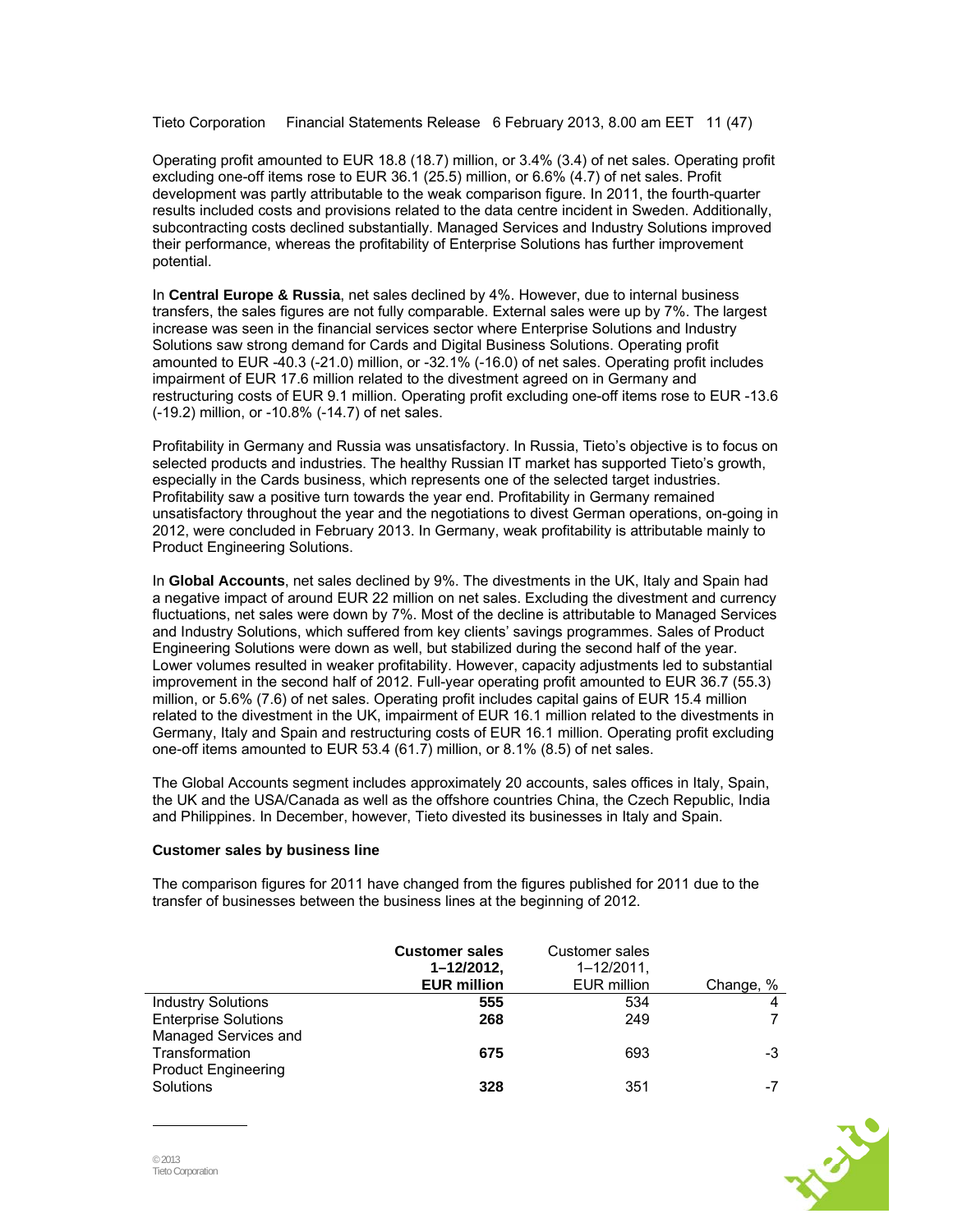Tieto Corporation Financial Statements Release 6 February 2013, 8.00 am EET 11 (47)

Operating profit amounted to EUR 18.8 (18.7) million, or 3.4% (3.4) of net sales. Operating profit excluding one-off items rose to EUR 36.1 (25.5) million, or 6.6% (4.7) of net sales. Profit development was partly attributable to the weak comparison figure. In 2011, the fourth-quarter results included costs and provisions related to the data centre incident in Sweden. Additionally, subcontracting costs declined substantially. Managed Services and Industry Solutions improved their performance, whereas the profitability of Enterprise Solutions has further improvement potential.

In **Central Europe & Russia**, net sales declined by 4%. However, due to internal business transfers, the sales figures are not fully comparable. External sales were up by 7%. The largest increase was seen in the financial services sector where Enterprise Solutions and Industry Solutions saw strong demand for Cards and Digital Business Solutions. Operating profit amounted to EUR -40.3 (-21.0) million, or -32.1% (-16.0) of net sales. Operating profit includes impairment of EUR 17.6 million related to the divestment agreed on in Germany and restructuring costs of EUR 9.1 million. Operating profit excluding one-off items rose to EUR -13.6 (-19.2) million, or -10.8% (-14.7) of net sales.

Profitability in Germany and Russia was unsatisfactory. In Russia, Tieto's objective is to focus on selected products and industries. The healthy Russian IT market has supported Tieto's growth, especially in the Cards business, which represents one of the selected target industries. Profitability saw a positive turn towards the year end. Profitability in Germany remained unsatisfactory throughout the year and the negotiations to divest German operations, on-going in 2012, were concluded in February 2013. In Germany, weak profitability is attributable mainly to Product Engineering Solutions.

In **Global Accounts**, net sales declined by 9%. The divestments in the UK, Italy and Spain had a negative impact of around EUR 22 million on net sales. Excluding the divestment and currency fluctuations, net sales were down by 7%. Most of the decline is attributable to Managed Services and Industry Solutions, which suffered from key clients' savings programmes. Sales of Product Engineering Solutions were down as well, but stabilized during the second half of the year. Lower volumes resulted in weaker profitability. However, capacity adjustments led to substantial improvement in the second half of 2012. Full-year operating profit amounted to EUR 36.7 (55.3) million, or 5.6% (7.6) of net sales. Operating profit includes capital gains of EUR 15.4 million related to the divestment in the UK, impairment of EUR 16.1 million related to the divestments in Germany, Italy and Spain and restructuring costs of EUR 16.1 million. Operating profit excluding one-off items amounted to EUR 53.4 (61.7) million, or 8.1% (8.5) of net sales.

The Global Accounts segment includes approximately 20 accounts, sales offices in Italy, Spain, the UK and the USA/Canada as well as the offshore countries China, the Czech Republic, India and Philippines. In December, however, Tieto divested its businesses in Italy and Spain.

#### **Customer sales by business line**

The comparison figures for 2011 have changed from the figures published for 2011 due to the transfer of businesses between the business lines at the beginning of 2012.

|                                         | <b>Customer sales</b><br>1-12/2012,<br><b>EUR million</b> | Customer sales<br>$1 - 12/2011$ ,<br>EUR million | Change, % |
|-----------------------------------------|-----------------------------------------------------------|--------------------------------------------------|-----------|
| <b>Industry Solutions</b>               | 555                                                       | 534                                              |           |
| <b>Enterprise Solutions</b>             | 268                                                       | 249                                              |           |
| Managed Services and                    |                                                           |                                                  |           |
| Transformation                          | 675                                                       | 693                                              | -3        |
| <b>Product Engineering</b><br>Solutions | 328                                                       | 351                                              | $-1$      |

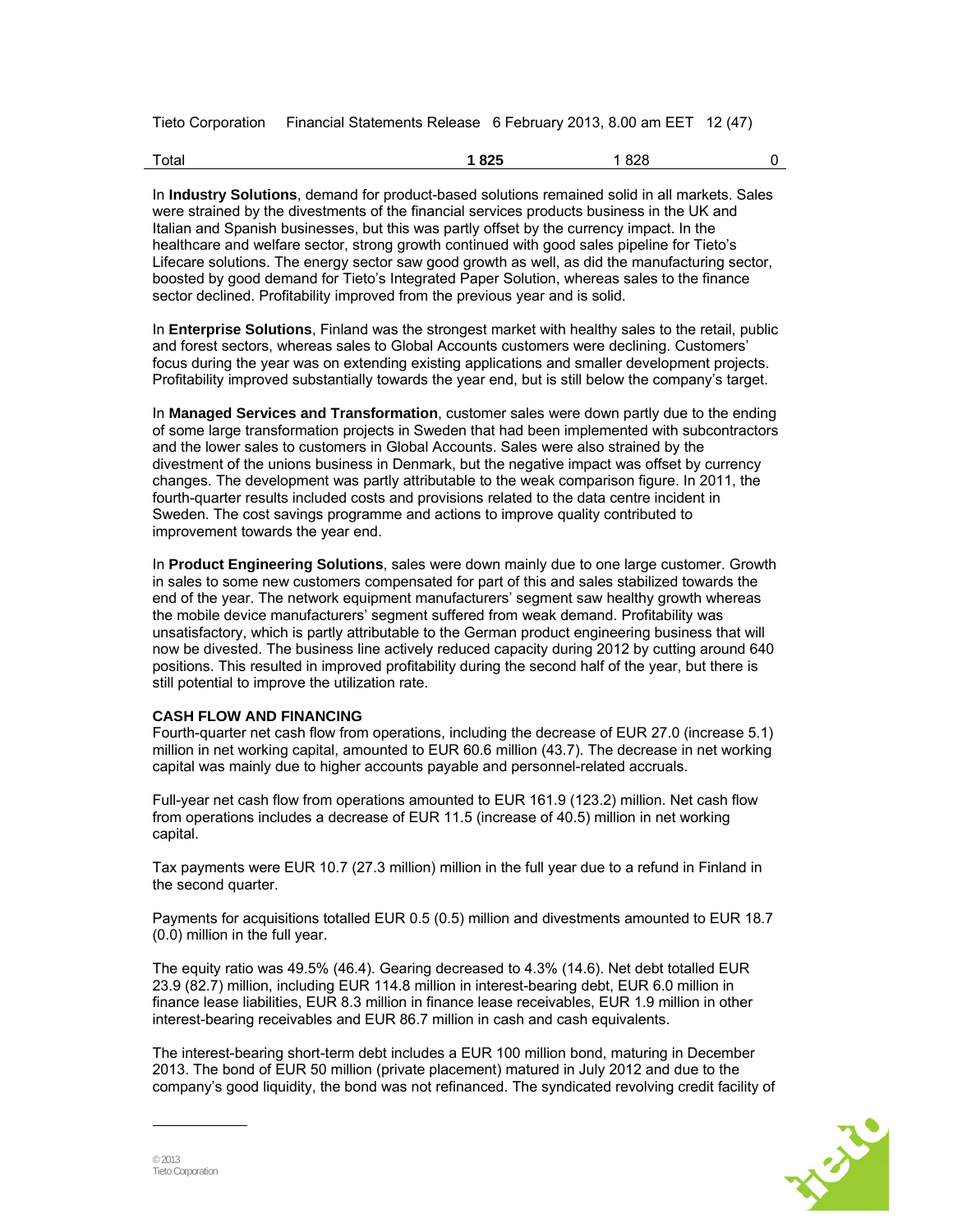Tieto Corporation Financial Statements Release 6 February 2013, 8.00 am EET 12 (47)

| Total | 825<br>___ | 828<br>____ |  |
|-------|------------|-------------|--|
|-------|------------|-------------|--|

In **Industry Solutions**, demand for product-based solutions remained solid in all markets. Sales were strained by the divestments of the financial services products business in the UK and Italian and Spanish businesses, but this was partly offset by the currency impact. In the healthcare and welfare sector, strong growth continued with good sales pipeline for Tieto's Lifecare solutions. The energy sector saw good growth as well, as did the manufacturing sector, boosted by good demand for Tieto's Integrated Paper Solution, whereas sales to the finance sector declined. Profitability improved from the previous year and is solid.

In **Enterprise Solutions**, Finland was the strongest market with healthy sales to the retail, public and forest sectors, whereas sales to Global Accounts customers were declining. Customers' focus during the year was on extending existing applications and smaller development projects. Profitability improved substantially towards the year end, but is still below the company's target.

In **Managed Services and Transformation**, customer sales were down partly due to the ending of some large transformation projects in Sweden that had been implemented with subcontractors and the lower sales to customers in Global Accounts. Sales were also strained by the divestment of the unions business in Denmark, but the negative impact was offset by currency changes. The development was partly attributable to the weak comparison figure. In 2011, the fourth-quarter results included costs and provisions related to the data centre incident in Sweden. The cost savings programme and actions to improve quality contributed to improvement towards the year end.

In **Product Engineering Solutions**, sales were down mainly due to one large customer. Growth in sales to some new customers compensated for part of this and sales stabilized towards the end of the year. The network equipment manufacturers' segment saw healthy growth whereas the mobile device manufacturers' segment suffered from weak demand. Profitability was unsatisfactory, which is partly attributable to the German product engineering business that will now be divested. The business line actively reduced capacity during 2012 by cutting around 640 positions. This resulted in improved profitability during the second half of the year, but there is still potential to improve the utilization rate.

#### **CASH FLOW AND FINANCING**

Fourth-quarter net cash flow from operations, including the decrease of EUR 27.0 (increase 5.1) million in net working capital, amounted to EUR 60.6 million (43.7). The decrease in net working capital was mainly due to higher accounts payable and personnel-related accruals.

Full-year net cash flow from operations amounted to EUR 161.9 (123.2) million. Net cash flow from operations includes a decrease of EUR 11.5 (increase of 40.5) million in net working capital.

Tax payments were EUR 10.7 (27.3 million) million in the full year due to a refund in Finland in the second quarter.

Payments for acquisitions totalled EUR 0.5 (0.5) million and divestments amounted to EUR 18.7 (0.0) million in the full year.

The equity ratio was 49.5% (46.4). Gearing decreased to 4.3% (14.6). Net debt totalled EUR 23.9 (82.7) million, including EUR 114.8 million in interest-bearing debt, EUR 6.0 million in finance lease liabilities, EUR 8.3 million in finance lease receivables, EUR 1.9 million in other interest-bearing receivables and EUR 86.7 million in cash and cash equivalents.

The interest-bearing short-term debt includes a EUR 100 million bond, maturing in December 2013. The bond of EUR 50 million (private placement) matured in July 2012 and due to the company's good liquidity, the bond was not refinanced. The syndicated revolving credit facility of

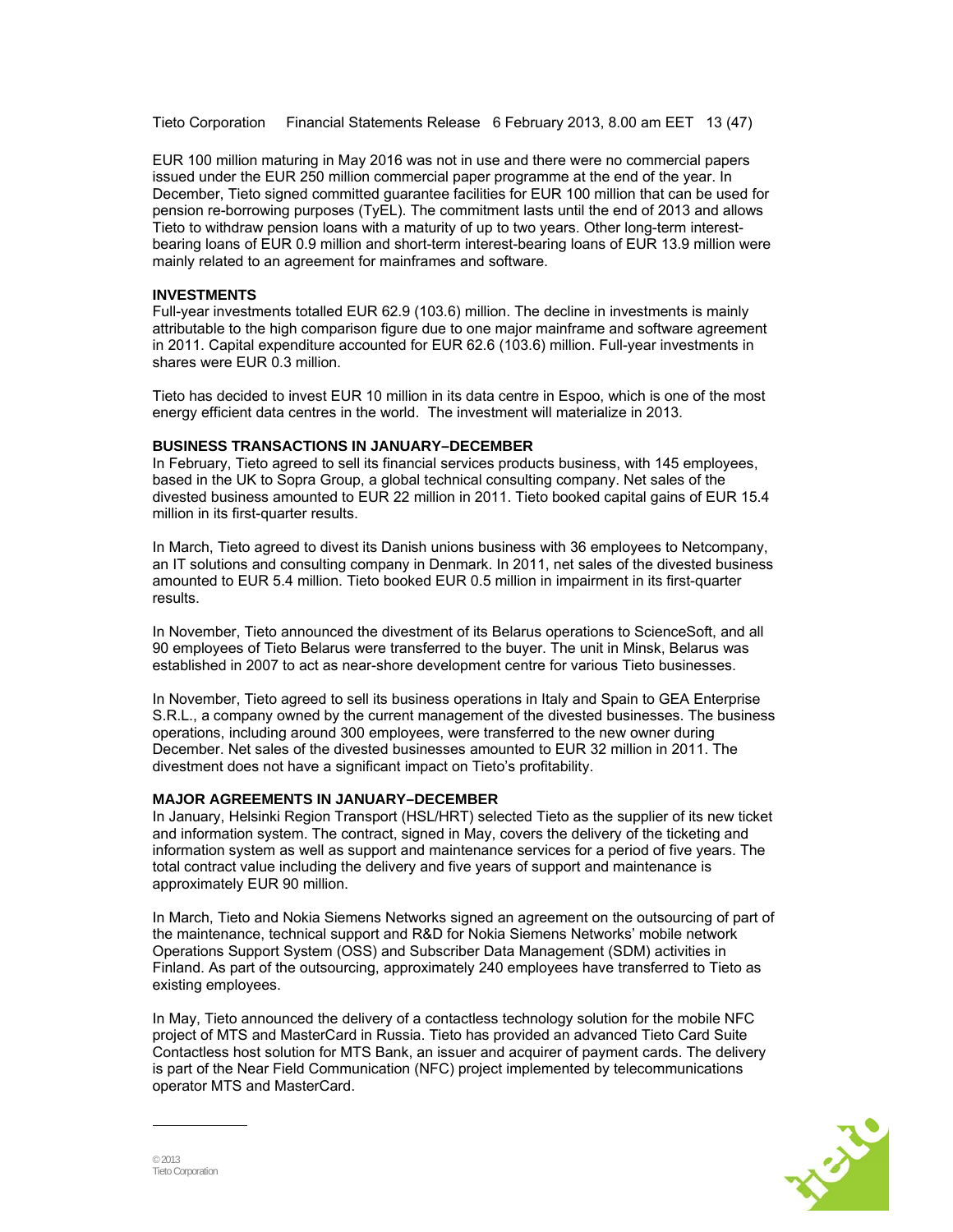Tieto Corporation Financial Statements Release 6 February 2013, 8.00 am EET 13 (47)

EUR 100 million maturing in May 2016 was not in use and there were no commercial papers issued under the EUR 250 million commercial paper programme at the end of the year. In December, Tieto signed committed guarantee facilities for EUR 100 million that can be used for pension re-borrowing purposes (TyEL). The commitment lasts until the end of 2013 and allows Tieto to withdraw pension loans with a maturity of up to two years. Other long-term interestbearing loans of EUR 0.9 million and short-term interest-bearing loans of EUR 13.9 million were mainly related to an agreement for mainframes and software.

#### **INVESTMENTS**

Full-year investments totalled EUR 62.9 (103.6) million. The decline in investments is mainly attributable to the high comparison figure due to one major mainframe and software agreement in 2011. Capital expenditure accounted for EUR 62.6 (103.6) million. Full-year investments in shares were EUR 0.3 million.

Tieto has decided to invest EUR 10 million in its data centre in Espoo, which is one of the most energy efficient data centres in the world. The investment will materialize in 2013.

#### **BUSINESS TRANSACTIONS IN JANUARY–DECEMBER**

In February, Tieto agreed to sell its financial services products business, with 145 employees, based in the UK to Sopra Group, a global technical consulting company. Net sales of the divested business amounted to EUR 22 million in 2011. Tieto booked capital gains of EUR 15.4 million in its first-quarter results.

In March, Tieto agreed to divest its Danish unions business with 36 employees to Netcompany, an IT solutions and consulting company in Denmark. In 2011, net sales of the divested business amounted to EUR 5.4 million. Tieto booked EUR 0.5 million in impairment in its first-quarter results.

In November, Tieto announced the divestment of its Belarus operations to ScienceSoft, and all 90 employees of Tieto Belarus were transferred to the buyer. The unit in Minsk, Belarus was established in 2007 to act as near-shore development centre for various Tieto businesses.

In November, Tieto agreed to sell its business operations in Italy and Spain to GEA Enterprise S.R.L., a company owned by the current management of the divested businesses. The business operations, including around 300 employees, were transferred to the new owner during December. Net sales of the divested businesses amounted to EUR 32 million in 2011. The divestment does not have a significant impact on Tieto's profitability.

#### **MAJOR AGREEMENTS IN JANUARY–DECEMBER**

In January, Helsinki Region Transport (HSL/HRT) selected Tieto as the supplier of its new ticket and information system. The contract, signed in May, covers the delivery of the ticketing and information system as well as support and maintenance services for a period of five years. The total contract value including the delivery and five years of support and maintenance is approximately EUR 90 million.

In March, Tieto and Nokia Siemens Networks signed an agreement on the outsourcing of part of the maintenance, technical support and R&D for Nokia Siemens Networks' mobile network Operations Support System (OSS) and Subscriber Data Management (SDM) activities in Finland. As part of the outsourcing, approximately 240 employees have transferred to Tieto as existing employees.

In May, Tieto announced the delivery of a contactless technology solution for the mobile NFC project of MTS and MasterCard in Russia. Tieto has provided an advanced Tieto Card Suite Contactless host solution for MTS Bank, an issuer and acquirer of payment cards. The delivery is part of the Near Field Communication (NFC) project implemented by telecommunications operator MTS and MasterCard.

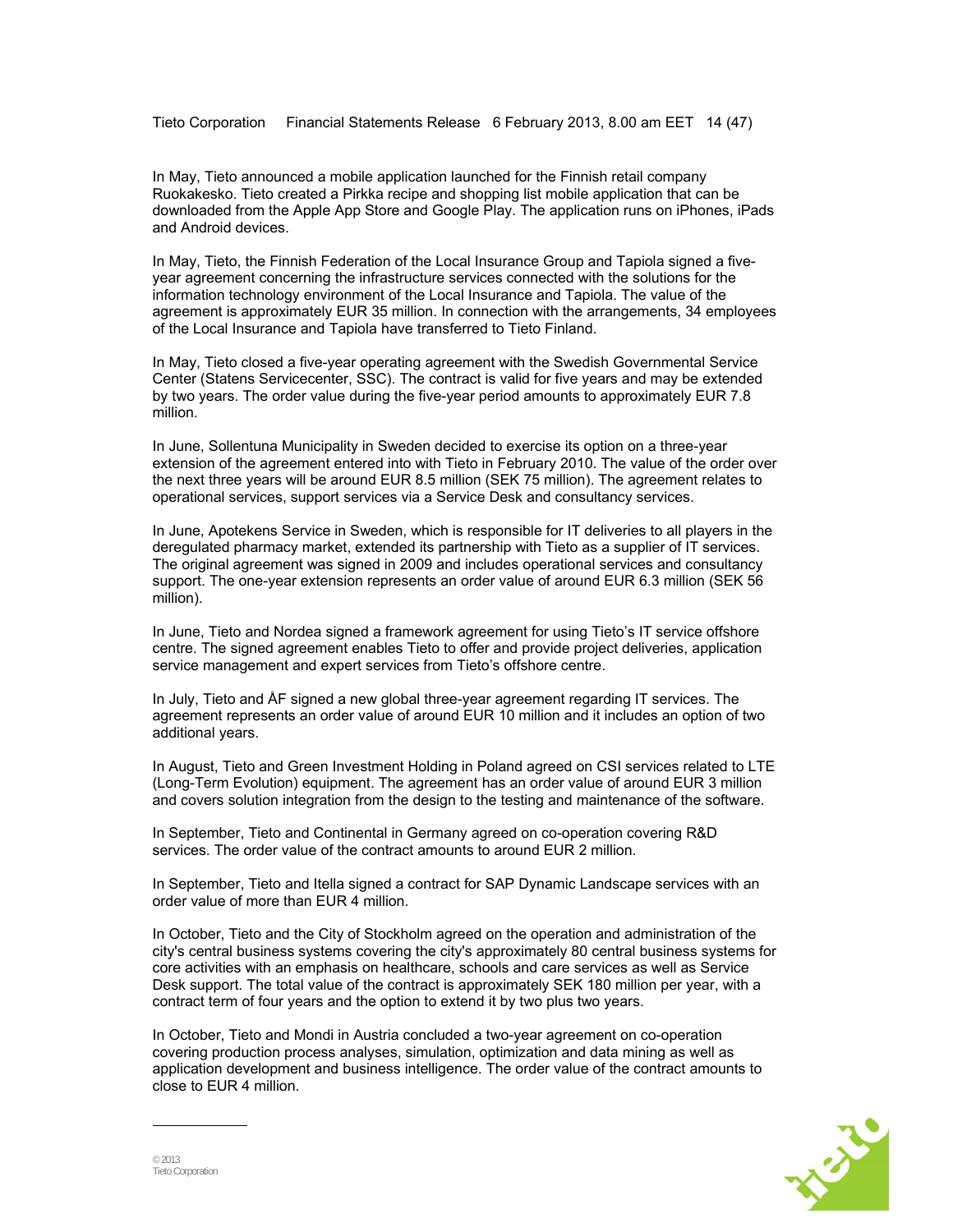Tieto Corporation Financial Statements Release 6 February 2013, 8.00 am EET 14 (47)

In May, Tieto announced a mobile application launched for the Finnish retail company Ruokakesko. Tieto created a Pirkka recipe and shopping list mobile application that can be downloaded from the Apple App Store and Google Play. The application runs on iPhones, iPads and Android devices.

In May, Tieto, the Finnish Federation of the Local Insurance Group and Tapiola signed a fiveyear agreement concerning the infrastructure services connected with the solutions for the information technology environment of the Local Insurance and Tapiola. The value of the agreement is approximately EUR 35 million. In connection with the arrangements, 34 employees of the Local Insurance and Tapiola have transferred to Tieto Finland.

In May, Tieto closed a five-year operating agreement with the Swedish Governmental Service Center (Statens Servicecenter, SSC). The contract is valid for five years and may be extended by two years. The order value during the five-year period amounts to approximately EUR 7.8 million.

In June, Sollentuna Municipality in Sweden decided to exercise its option on a three-year extension of the agreement entered into with Tieto in February 2010. The value of the order over the next three years will be around EUR 8.5 million (SEK 75 million). The agreement relates to operational services, support services via a Service Desk and consultancy services.

In June, Apotekens Service in Sweden, which is responsible for IT deliveries to all players in the deregulated pharmacy market, extended its partnership with Tieto as a supplier of IT services. The original agreement was signed in 2009 and includes operational services and consultancy support. The one-year extension represents an order value of around EUR 6.3 million (SEK 56 million).

In June, Tieto and Nordea signed a framework agreement for using Tieto's IT service offshore centre. The signed agreement enables Tieto to offer and provide project deliveries, application service management and expert services from Tieto's offshore centre.

In July, Tieto and ÅF signed a new global three-year agreement regarding IT services. The agreement represents an order value of around EUR 10 million and it includes an option of two additional years.

In August, Tieto and Green Investment Holding in Poland agreed on CSI services related to LTE (Long-Term Evolution) equipment. The agreement has an order value of around EUR 3 million and covers solution integration from the design to the testing and maintenance of the software.

In September, Tieto and Continental in Germany agreed on co-operation covering R&D services. The order value of the contract amounts to around EUR 2 million.

In September, Tieto and Itella signed a contract for SAP Dynamic Landscape services with an order value of more than EUR 4 million.

In October, Tieto and the City of Stockholm agreed on the operation and administration of the city's central business systems covering the city's approximately 80 central business systems for core activities with an emphasis on healthcare, schools and care services as well as Service Desk support. The total value of the contract is approximately SEK 180 million per year, with a contract term of four years and the option to extend it by two plus two years.

In October, Tieto and Mondi in Austria concluded a two-year agreement on co-operation covering production process analyses, simulation, optimization and data mining as well as application development and business intelligence. The order value of the contract amounts to close to EUR 4 million.

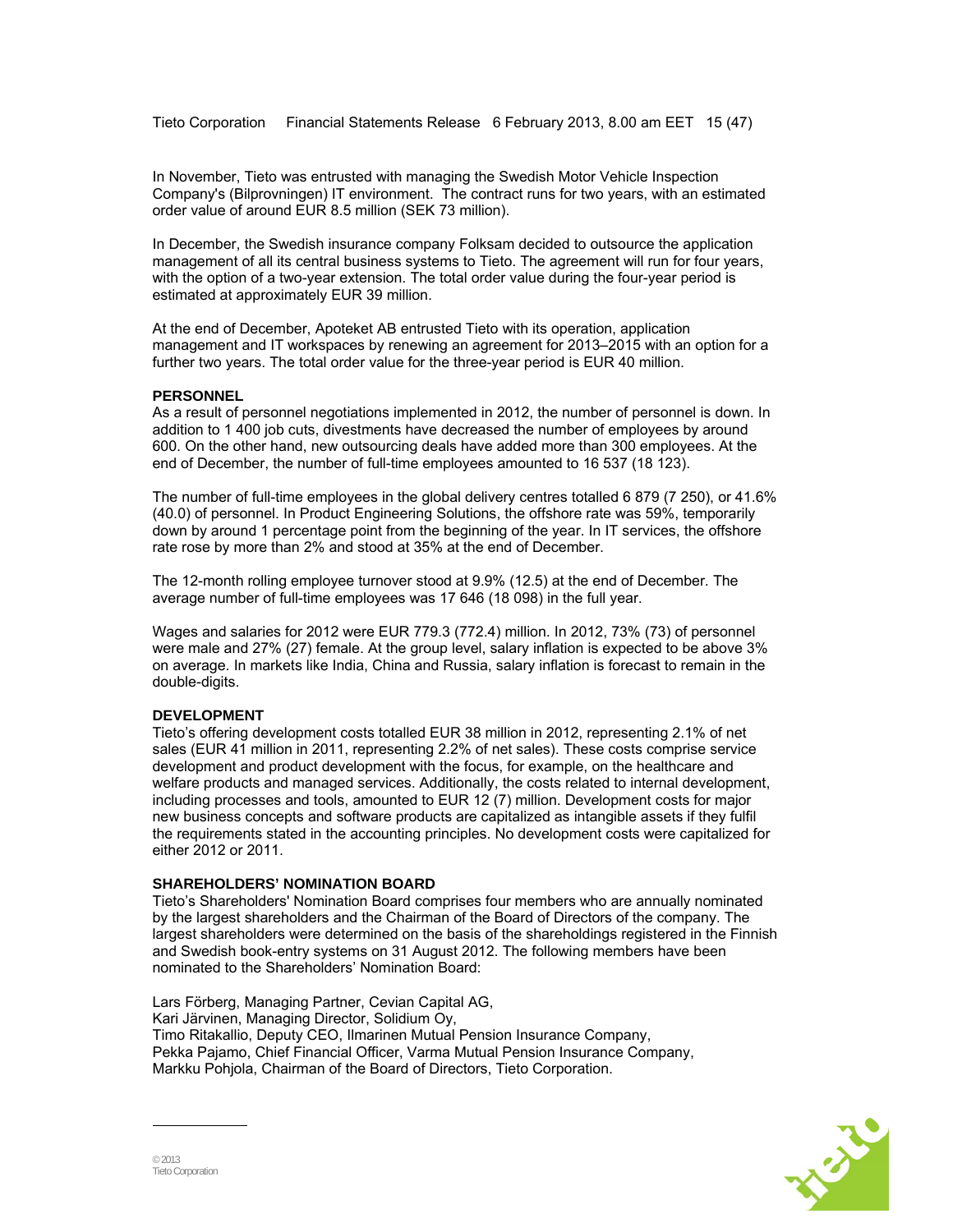Tieto Corporation Financial Statements Release 6 February 2013, 8.00 am EET 15 (47)

In November, Tieto was entrusted with managing the Swedish Motor Vehicle Inspection Company's (Bilprovningen) IT environment. The contract runs for two years, with an estimated order value of around EUR 8.5 million (SEK 73 million).

In December, the Swedish insurance company Folksam decided to outsource the application management of all its central business systems to Tieto. The agreement will run for four years, with the option of a two-year extension. The total order value during the four-year period is estimated at approximately EUR 39 million.

At the end of December, Apoteket AB entrusted Tieto with its operation, application management and IT workspaces by renewing an agreement for 2013–2015 with an option for a further two years. The total order value for the three-year period is EUR 40 million.

#### **PERSONNEL**

As a result of personnel negotiations implemented in 2012, the number of personnel is down. In addition to 1 400 job cuts, divestments have decreased the number of employees by around 600. On the other hand, new outsourcing deals have added more than 300 employees. At the end of December, the number of full-time employees amounted to 16 537 (18 123).

The number of full-time employees in the global delivery centres totalled 6 879 (7 250), or 41.6% (40.0) of personnel. In Product Engineering Solutions, the offshore rate was 59%, temporarily down by around 1 percentage point from the beginning of the year. In IT services, the offshore rate rose by more than 2% and stood at 35% at the end of December.

The 12-month rolling employee turnover stood at 9.9% (12.5) at the end of December. The average number of full-time employees was 17 646 (18 098) in the full year.

Wages and salaries for 2012 were EUR 779.3 (772.4) million. In 2012, 73% (73) of personnel were male and 27% (27) female. At the group level, salary inflation is expected to be above 3% on average. In markets like India, China and Russia, salary inflation is forecast to remain in the double-digits.

#### **DEVELOPMENT**

Tieto's offering development costs totalled EUR 38 million in 2012, representing 2.1% of net sales (EUR 41 million in 2011, representing 2.2% of net sales). These costs comprise service development and product development with the focus, for example, on the healthcare and welfare products and managed services. Additionally, the costs related to internal development, including processes and tools, amounted to EUR 12 (7) million. Development costs for major new business concepts and software products are capitalized as intangible assets if they fulfil the requirements stated in the accounting principles. No development costs were capitalized for either 2012 or 2011.

#### **SHAREHOLDERS' NOMINATION BOARD**

Tieto's Shareholders' Nomination Board comprises four members who are annually nominated by the largest shareholders and the Chairman of the Board of Directors of the company. The largest shareholders were determined on the basis of the shareholdings registered in the Finnish and Swedish book-entry systems on 31 August 2012. The following members have been nominated to the Shareholders' Nomination Board:

Lars Förberg, Managing Partner, Cevian Capital AG, Kari Järvinen, Managing Director, Solidium Oy, Timo Ritakallio, Deputy CEO, Ilmarinen Mutual Pension Insurance Company, Pekka Pajamo, Chief Financial Officer, Varma Mutual Pension Insurance Company, Markku Pohjola, Chairman of the Board of Directors, Tieto Corporation.

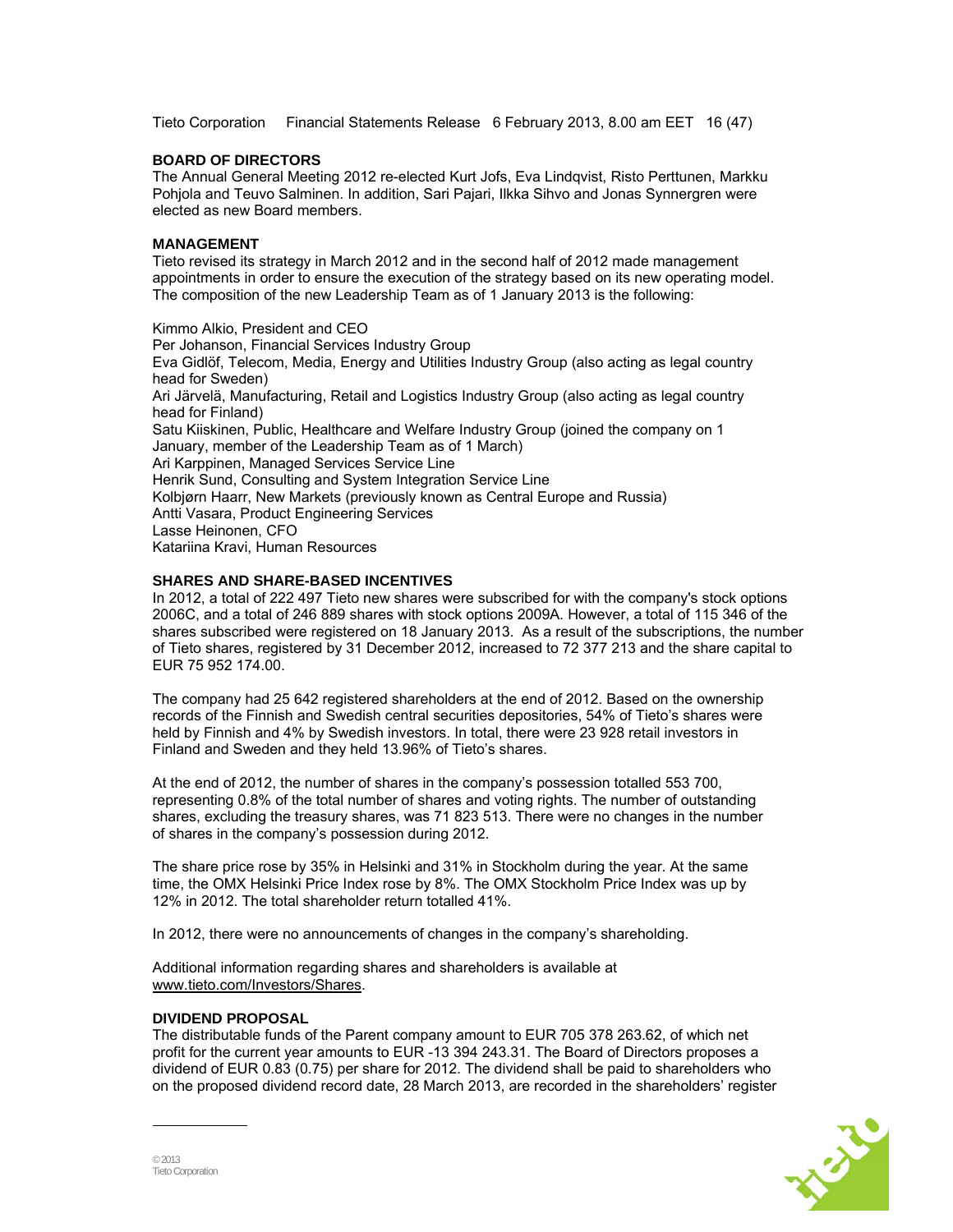Tieto Corporation Financial Statements Release 6 February 2013, 8.00 am EET 16 (47)

#### **BOARD OF DIRECTORS**

The Annual General Meeting 2012 re-elected Kurt Jofs, Eva Lindqvist, Risto Perttunen, Markku Pohjola and Teuvo Salminen. In addition, Sari Pajari, Ilkka Sihvo and Jonas Synnergren were elected as new Board members.

## **MANAGEMENT**

Tieto revised its strategy in March 2012 and in the second half of 2012 made management appointments in order to ensure the execution of the strategy based on its new operating model. The composition of the new Leadership Team as of 1 January 2013 is the following:

Kimmo Alkio, President and CEO Per Johanson, Financial Services Industry Group Eva Gidlöf, Telecom, Media, Energy and Utilities Industry Group (also acting as legal country head for Sweden) Ari Järvelä, Manufacturing, Retail and Logistics Industry Group (also acting as legal country head for Finland) Satu Kiiskinen, Public, Healthcare and Welfare Industry Group (joined the company on 1 January, member of the Leadership Team as of 1 March) Ari Karppinen, Managed Services Service Line Henrik Sund, Consulting and System Integration Service Line Kolbjørn Haarr, New Markets (previously known as Central Europe and Russia) Antti Vasara, Product Engineering Services Lasse Heinonen, CFO Katariina Kravi, Human Resources

#### **SHARES AND SHARE-BASED INCENTIVES**

In 2012, a total of 222 497 Tieto new shares were subscribed for with the company's stock options 2006C, and a total of 246 889 shares with stock options 2009A. However, a total of 115 346 of the shares subscribed were registered on 18 January 2013. As a result of the subscriptions, the number of Tieto shares, registered by 31 December 2012, increased to 72 377 213 and the share capital to EUR 75 952 174.00.

The company had 25 642 registered shareholders at the end of 2012. Based on the ownership records of the Finnish and Swedish central securities depositories, 54% of Tieto's shares were held by Finnish and 4% by Swedish investors. In total, there were 23 928 retail investors in Finland and Sweden and they held 13.96% of Tieto's shares.

At the end of 2012, the number of shares in the company's possession totalled 553 700, representing 0.8% of the total number of shares and voting rights. The number of outstanding shares, excluding the treasury shares, was 71 823 513. There were no changes in the number of shares in the company's possession during 2012.

The share price rose by 35% in Helsinki and 31% in Stockholm during the year. At the same time, the OMX Helsinki Price Index rose by 8%. The OMX Stockholm Price Index was up by 12% in 2012. The total shareholder return totalled 41%.

In 2012, there were no announcements of changes in the company's shareholding.

Additional information regarding shares and shareholders is available at www.tieto.com/Investors/Shares.

## **DIVIDEND PROPOSAL**

The distributable funds of the Parent company amount to EUR 705 378 263.62, of which net profit for the current year amounts to EUR -13 394 243.31. The Board of Directors proposes a dividend of EUR 0.83 (0.75) per share for 2012. The dividend shall be paid to shareholders who on the proposed dividend record date, 28 March 2013, are recorded in the shareholders' register

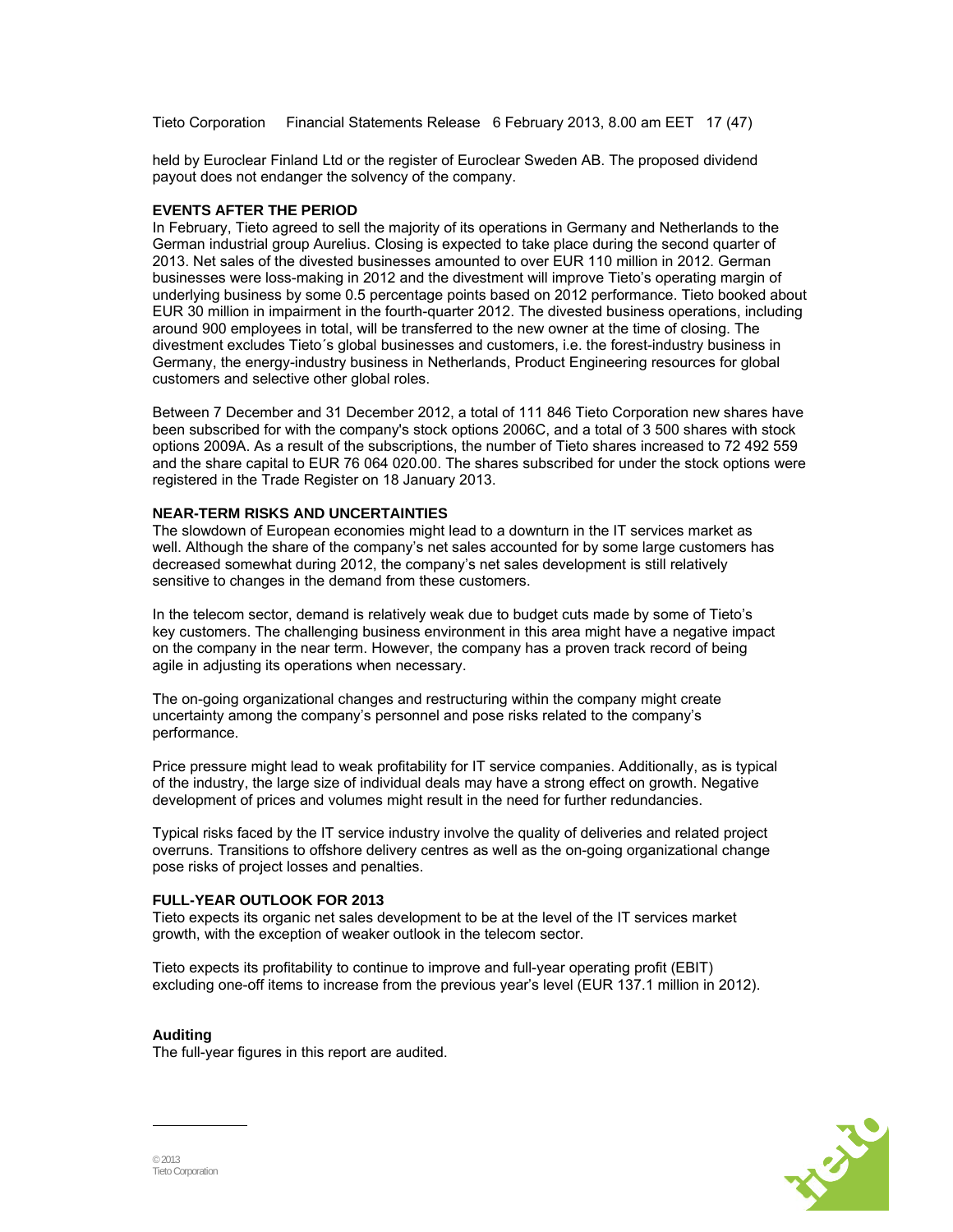Tieto Corporation Financial Statements Release 6 February 2013, 8.00 am EET 17 (47)

held by Euroclear Finland Ltd or the register of Euroclear Sweden AB. The proposed dividend payout does not endanger the solvency of the company.

#### **EVENTS AFTER THE PERIOD**

In February, Tieto agreed to sell the majority of its operations in Germany and Netherlands to the German industrial group Aurelius. Closing is expected to take place during the second quarter of 2013. Net sales of the divested businesses amounted to over EUR 110 million in 2012. German businesses were loss-making in 2012 and the divestment will improve Tieto's operating margin of underlying business by some 0.5 percentage points based on 2012 performance. Tieto booked about EUR 30 million in impairment in the fourth-quarter 2012. The divested business operations, including around 900 employees in total, will be transferred to the new owner at the time of closing. The divestment excludes Tieto´s global businesses and customers, i.e. the forest-industry business in Germany, the energy-industry business in Netherlands, Product Engineering resources for global customers and selective other global roles.

Between 7 December and 31 December 2012, a total of 111 846 Tieto Corporation new shares have been subscribed for with the company's stock options 2006C, and a total of 3 500 shares with stock options 2009A. As a result of the subscriptions, the number of Tieto shares increased to 72 492 559 and the share capital to EUR 76 064 020.00. The shares subscribed for under the stock options were registered in the Trade Register on 18 January 2013.

#### **NEAR-TERM RISKS AND UNCERTAINTIES**

The slowdown of European economies might lead to a downturn in the IT services market as well. Although the share of the company's net sales accounted for by some large customers has decreased somewhat during 2012, the company's net sales development is still relatively sensitive to changes in the demand from these customers.

In the telecom sector, demand is relatively weak due to budget cuts made by some of Tieto's key customers. The challenging business environment in this area might have a negative impact on the company in the near term. However, the company has a proven track record of being agile in adjusting its operations when necessary.

The on-going organizational changes and restructuring within the company might create uncertainty among the company's personnel and pose risks related to the company's performance.

Price pressure might lead to weak profitability for IT service companies. Additionally, as is typical of the industry, the large size of individual deals may have a strong effect on growth. Negative development of prices and volumes might result in the need for further redundancies.

Typical risks faced by the IT service industry involve the quality of deliveries and related project overruns. Transitions to offshore delivery centres as well as the on-going organizational change pose risks of project losses and penalties.

#### **FULL-YEAR OUTLOOK FOR 2013**

Tieto expects its organic net sales development to be at the level of the IT services market growth, with the exception of weaker outlook in the telecom sector.

Tieto expects its profitability to continue to improve and full-year operating profit (EBIT) excluding one-off items to increase from the previous year's level (EUR 137.1 million in 2012).

### **Auditing**

The full-year figures in this report are audited.

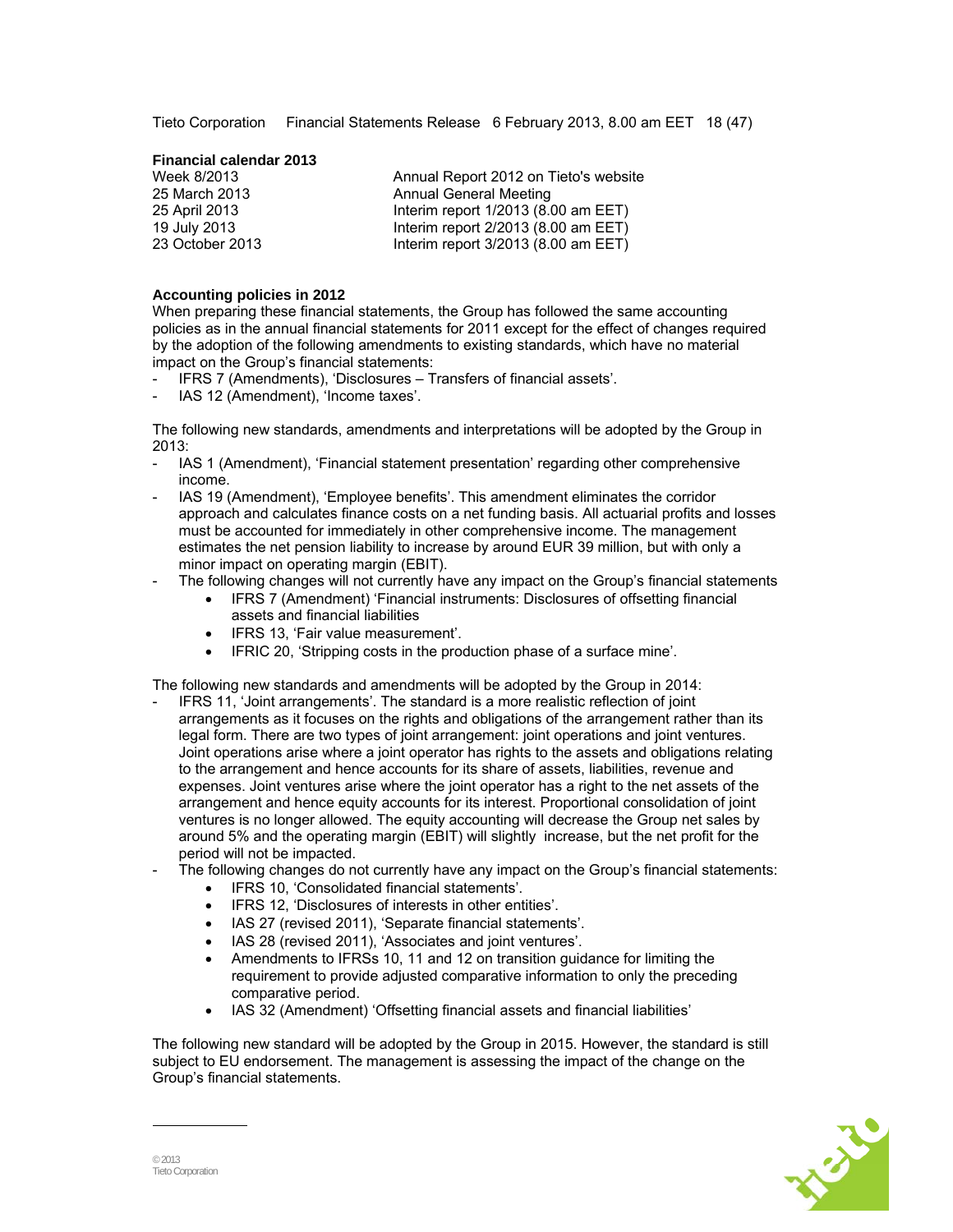Tieto Corporation Financial Statements Release 6 February 2013, 8.00 am EET 18 (47)

#### **Financial calendar 2013**

| Week 8/2013     | Annual Report 2012 on Tieto's website |
|-----------------|---------------------------------------|
| 25 March 2013   | Annual General Meeting                |
| 25 April 2013   | Interim report $1/2013$ (8.00 am EET) |
| 19 July 2013    | Interim report 2/2013 (8.00 am EET)   |
| 23 October 2013 | Interim report $3/2013$ (8.00 am EET) |

#### **Accounting policies in 2012**

When preparing these financial statements, the Group has followed the same accounting policies as in the annual financial statements for 2011 except for the effect of changes required by the adoption of the following amendments to existing standards, which have no material impact on the Group's financial statements:

- IFRS 7 (Amendments), 'Disclosures Transfers of financial assets'.
- IAS 12 (Amendment), 'Income taxes'.

The following new standards, amendments and interpretations will be adopted by the Group in 2013:

- IAS 1 (Amendment), 'Financial statement presentation' regarding other comprehensive income.
- IAS 19 (Amendment), 'Employee benefits'. This amendment eliminates the corridor approach and calculates finance costs on a net funding basis. All actuarial profits and losses must be accounted for immediately in other comprehensive income. The management estimates the net pension liability to increase by around EUR 39 million, but with only a minor impact on operating margin (EBIT).
- The following changes will not currently have any impact on the Group's financial statements
	- IFRS 7 (Amendment) 'Financial instruments: Disclosures of offsetting financial assets and financial liabilities
	- IFRS 13, 'Fair value measurement'.
	- IFRIC 20, 'Stripping costs in the production phase of a surface mine'.

The following new standards and amendments will be adopted by the Group in 2014:

- IFRS 11, 'Joint arrangements'. The standard is a more realistic reflection of joint arrangements as it focuses on the rights and obligations of the arrangement rather than its legal form. There are two types of joint arrangement: joint operations and joint ventures. Joint operations arise where a joint operator has rights to the assets and obligations relating to the arrangement and hence accounts for its share of assets, liabilities, revenue and expenses. Joint ventures arise where the joint operator has a right to the net assets of the arrangement and hence equity accounts for its interest. Proportional consolidation of joint ventures is no longer allowed. The equity accounting will decrease the Group net sales by around 5% and the operating margin (EBIT) will slightly increase, but the net profit for the period will not be impacted.
- The following changes do not currently have any impact on the Group's financial statements:
	- IFRS 10, 'Consolidated financial statements'.
	- IFRS 12, 'Disclosures of interests in other entities'.
	- IAS 27 (revised 2011), 'Separate financial statements'.
	- IAS 28 (revised 2011), 'Associates and joint ventures'.
	- Amendments to IFRSs 10, 11 and 12 on transition guidance for limiting the requirement to provide adjusted comparative information to only the preceding comparative period.
	- IAS 32 (Amendment) 'Offsetting financial assets and financial liabilities'

The following new standard will be adopted by the Group in 2015. However, the standard is still subject to EU endorsement. The management is assessing the impact of the change on the Group's financial statements.

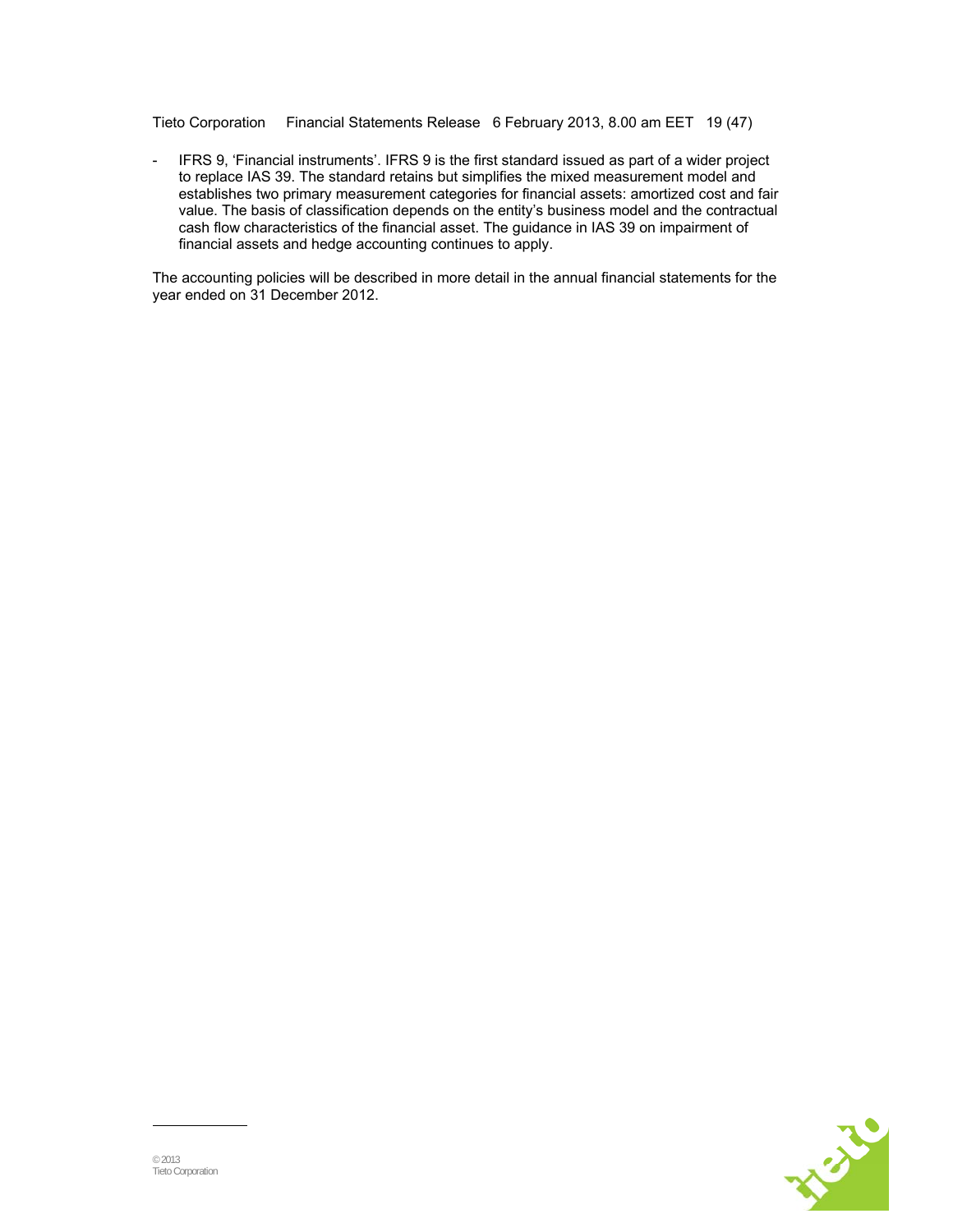Tieto Corporation Financial Statements Release 6 February 2013, 8.00 am EET 19 (47)

- IFRS 9, 'Financial instruments'. IFRS 9 is the first standard issued as part of a wider project to replace IAS 39. The standard retains but simplifies the mixed measurement model and establishes two primary measurement categories for financial assets: amortized cost and fair value. The basis of classification depends on the entity's business model and the contractual cash flow characteristics of the financial asset. The guidance in IAS 39 on impairment of financial assets and hedge accounting continues to apply.

The accounting policies will be described in more detail in the annual financial statements for the year ended on 31 December 2012.

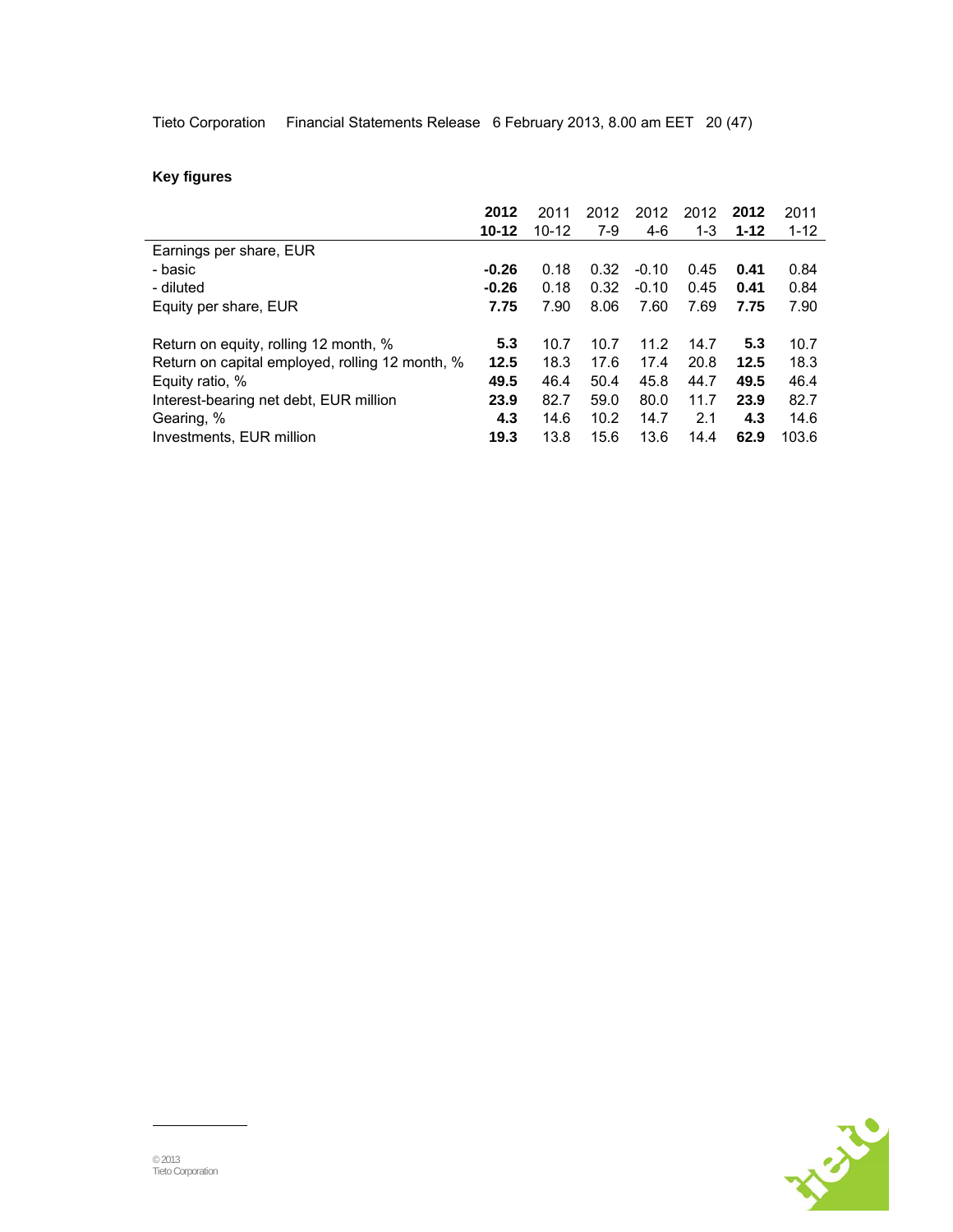Tieto Corporation Financial Statements Release 6 February 2013, 8.00 am EET 20 (47)

## **Key figures**

|                                                 | 2012      | 2011      | 2012 | 2012    | 2012 | 2012     | 2011     |
|-------------------------------------------------|-----------|-----------|------|---------|------|----------|----------|
|                                                 | $10 - 12$ | $10 - 12$ | 7-9  | $4-6$   | 1-3  | $1 - 12$ | $1 - 12$ |
| Earnings per share, EUR                         |           |           |      |         |      |          |          |
| - basic                                         | $-0.26$   | 0.18      | 0.32 | $-0.10$ | 0.45 | 0.41     | 0.84     |
| - diluted                                       | $-0.26$   | 0.18      | 0.32 | $-0.10$ | 0.45 | 0.41     | 0.84     |
| Equity per share, EUR                           | 7.75      | 7.90      | 8.06 | 7.60    | 7.69 | 7.75     | 7.90     |
|                                                 |           |           |      |         |      |          |          |
| Return on equity, rolling 12 month, %           | 5.3       | 10.7      | 10.7 | 11.2    | 14.7 | 5.3      | 10.7     |
| Return on capital employed, rolling 12 month, % | 12.5      | 18.3      | 17.6 | 17.4    | 20.8 | 12.5     | 18.3     |
| Equity ratio, %                                 | 49.5      | 46.4      | 50.4 | 45.8    | 44.7 | 49.5     | 46.4     |
| Interest-bearing net debt, EUR million          | 23.9      | 82.7      | 59.0 | 80.0    | 11.7 | 23.9     | 82.7     |
| Gearing, %                                      | 4.3       | 14.6      | 10.2 | 14.7    | 2.1  | 4.3      | 14.6     |
| Investments, EUR million                        | 19.3      | 13.8      | 15.6 | 13.6    | 14.4 | 62.9     | 103.6    |

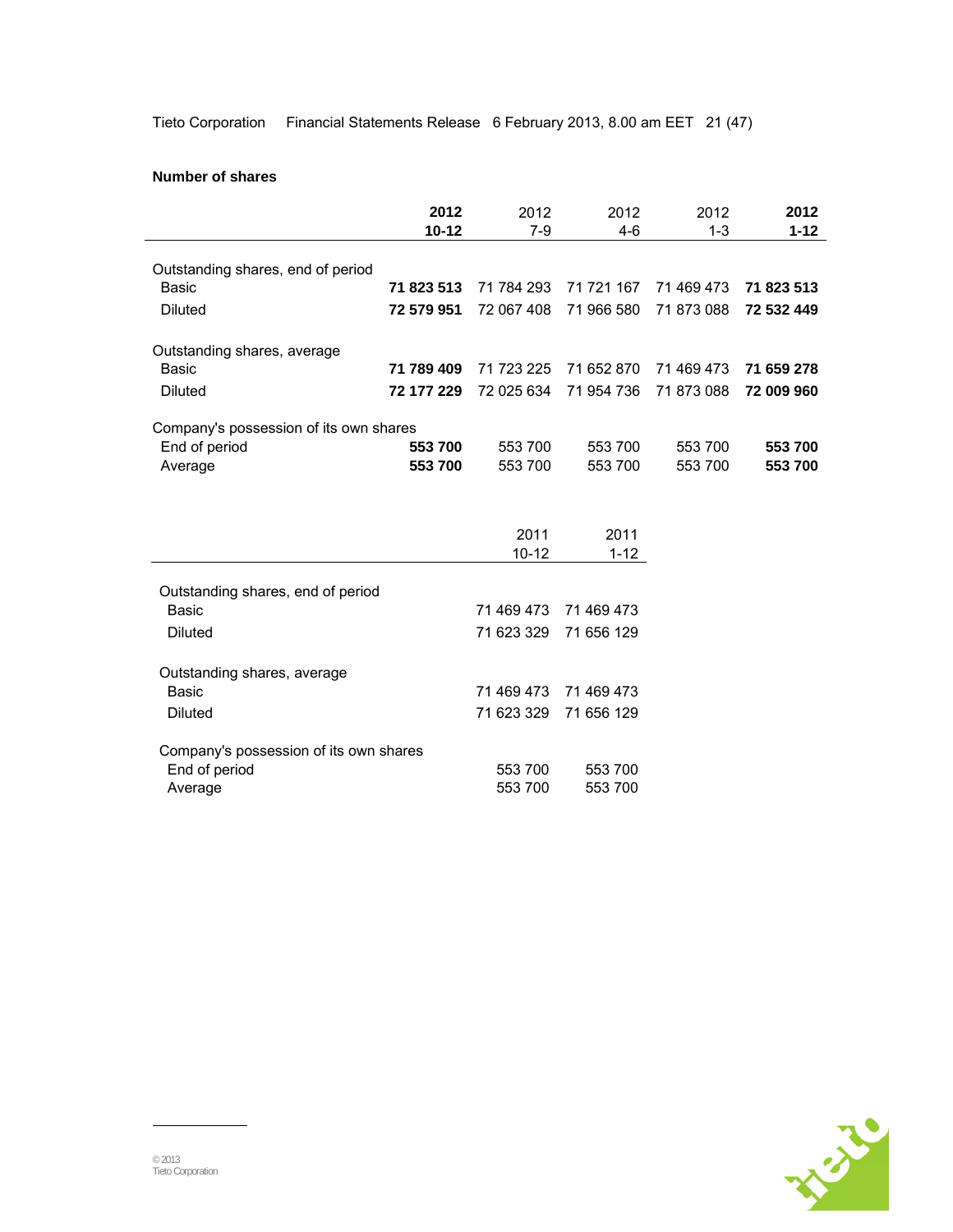Tieto Corporation Financial Statements Release 6 February 2013, 8.00 am EET 21 (47)

### **Number of shares**

|                                                                    | 2012<br>$10 - 12$ | 2012<br>$7-9$      | 2012<br>$4-6$      | 2012<br>$1 - 3$ | 2012<br>$1 - 12$ |
|--------------------------------------------------------------------|-------------------|--------------------|--------------------|-----------------|------------------|
| Outstanding shares, end of period                                  |                   |                    |                    |                 |                  |
| <b>Basic</b>                                                       | 71 823 513        | 71 784 293         | 71 721 167         | 71 469 473      | 71 823 513       |
| <b>Diluted</b>                                                     | 72 579 951        | 72 067 408         | 71 966 580         | 71 873 088      | 72 532 449       |
| Outstanding shares, average                                        |                   |                    |                    |                 |                  |
| <b>Basic</b>                                                       | 71 789 409        | 71 723 225         | 71 652 870         | 71 469 473      | 71 659 278       |
| <b>Diluted</b>                                                     | 72 177 229        | 72 025 634         | 71 954 736         | 71 873 088      | 72 009 960       |
| Company's possession of its own shares                             |                   |                    |                    |                 |                  |
| End of period                                                      | 553 700           | 553 700            | 553 700            | 553 700         | 553 700          |
| Average                                                            | 553 700           | 553 700            | 553 700            | 553 700         | 553 700          |
|                                                                    |                   | 2011<br>$10 - 12$  | 2011<br>$1 - 12$   |                 |                  |
|                                                                    |                   |                    |                    |                 |                  |
| Outstanding shares, end of period<br>Basic                         |                   | 71 469 473         | 71 469 473         |                 |                  |
| <b>Diluted</b>                                                     |                   | 71 623 329         | 71 656 129         |                 |                  |
| Outstanding shares, average<br>Basic                               |                   | 71 469 473         | 71 469 473         |                 |                  |
|                                                                    |                   |                    |                    |                 |                  |
| <b>Diluted</b>                                                     |                   | 71 623 329         | 71 656 129         |                 |                  |
| Company's possession of its own shares<br>End of period<br>Average |                   | 553 700<br>553 700 | 553 700<br>553 700 |                 |                  |

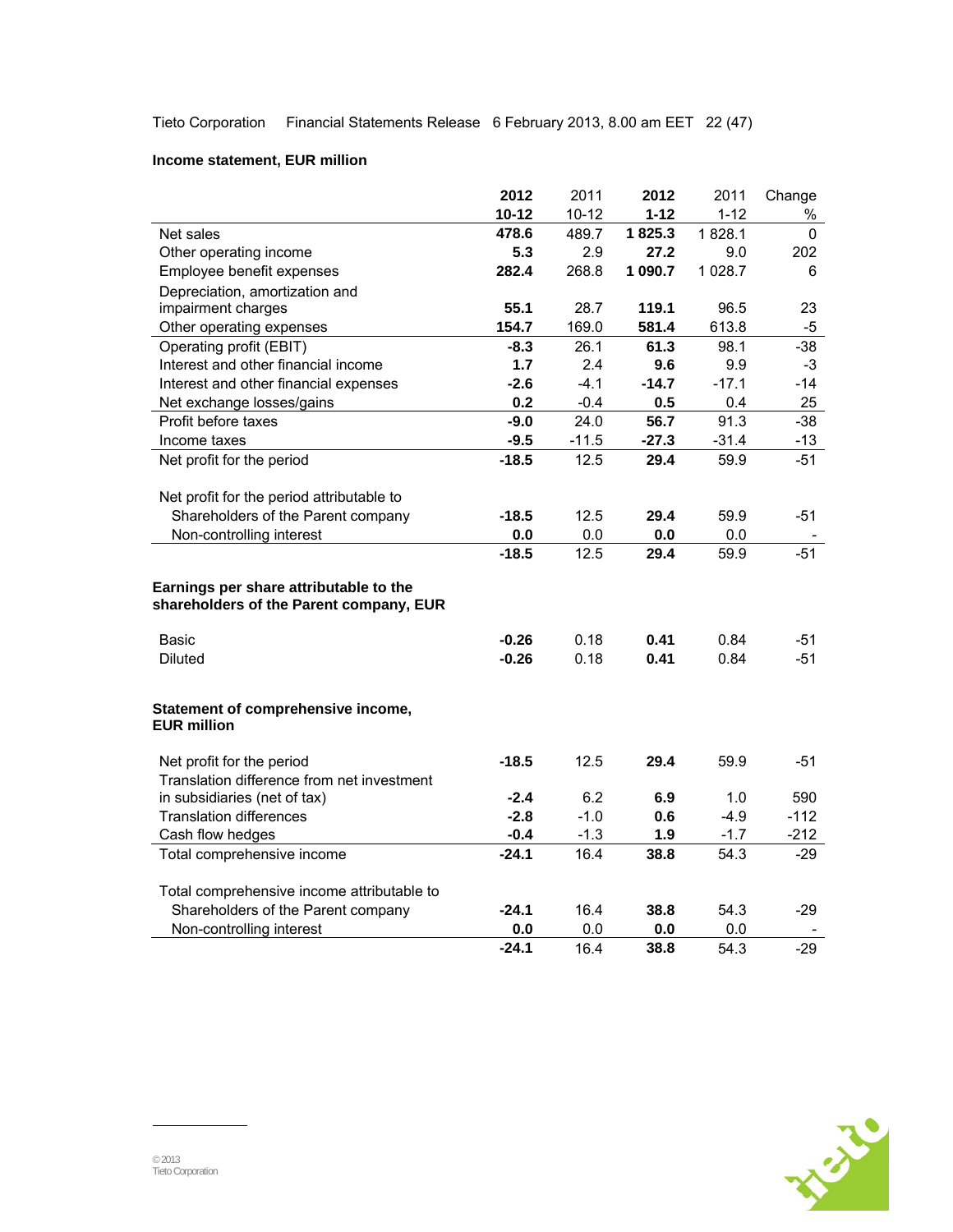Tieto Corporation Financial Statements Release 6 February 2013, 8.00 am EET 22 (47)

## **Income statement, EUR million**

|                                            | 2012      | 2011      | 2012     | 2011     | Change       |
|--------------------------------------------|-----------|-----------|----------|----------|--------------|
|                                            | $10 - 12$ | $10 - 12$ | $1 - 12$ | $1 - 12$ | %            |
| Net sales                                  | 478.6     | 489.7     | 1825.3   | 1828.1   | $\mathbf{0}$ |
| Other operating income                     | 5.3       | 2.9       | 27.2     | 9.0      | 202          |
| Employee benefit expenses                  | 282.4     | 268.8     | 1 090.7  | 1 0 28.7 | 6            |
| Depreciation, amortization and             |           |           |          |          |              |
| impairment charges                         | 55.1      | 28.7      | 119.1    | 96.5     | 23           |
| Other operating expenses                   | 154.7     | 169.0     | 581.4    | 613.8    | -5           |
| Operating profit (EBIT)                    | $-8.3$    | 26.1      | 61.3     | 98.1     | $-38$        |
| Interest and other financial income        | 1.7       | 2.4       | 9.6      | 9.9      | $-3$         |
| Interest and other financial expenses      | $-2.6$    | $-4.1$    | $-14.7$  | $-17.1$  | $-14$        |
| Net exchange losses/gains                  | 0.2       | $-0.4$    | 0.5      | 0.4      | 25           |
| Profit before taxes                        | $-9.0$    | 24.0      | 56.7     | 91.3     | $-38$        |
| Income taxes                               | $-9.5$    | $-11.5$   | $-27.3$  | $-31.4$  | $-13$        |
| Net profit for the period                  | $-18.5$   | 12.5      | 29.4     | 59.9     | -51          |
|                                            |           |           |          |          |              |
| Net profit for the period attributable to  |           |           |          |          |              |
| Shareholders of the Parent company         | $-18.5$   | 12.5      | 29.4     | 59.9     | -51          |
| Non-controlling interest                   | 0.0       | 0.0       | 0.0      | 0.0      |              |
|                                            | $-18.5$   | 12.5      | 29.4     | 59.9     | $-51$        |
| Earnings per share attributable to the     |           |           |          |          |              |
| shareholders of the Parent company, EUR    |           |           |          |          |              |
|                                            |           |           |          |          |              |
| Basic                                      | $-0.26$   | 0.18      | 0.41     | 0.84     | -51          |
| <b>Diluted</b>                             | $-0.26$   | 0.18      | 0.41     | 0.84     | $-51$        |
|                                            |           |           |          |          |              |
| Statement of comprehensive income,         |           |           |          |          |              |
| <b>EUR million</b>                         |           |           |          |          |              |
|                                            |           |           |          |          |              |
| Net profit for the period                  | $-18.5$   | 12.5      | 29.4     | 59.9     | -51          |
| Translation difference from net investment |           |           |          |          |              |
| in subsidiaries (net of tax)               | $-2.4$    | 6.2       | 6.9      | 1.0      | 590          |
| <b>Translation differences</b>             | $-2.8$    | $-1.0$    | 0.6      | $-4.9$   | $-112$       |
| Cash flow hedges                           | $-0.4$    | $-1.3$    | 1.9      | $-1.7$   | $-212$       |
| Total comprehensive income                 | $-24.1$   | 16.4      | 38.8     | 54.3     | -29          |
|                                            |           |           |          |          |              |
| Total comprehensive income attributable to |           |           |          |          |              |
| Shareholders of the Parent company         | $-24.1$   | 16.4      | 38.8     | 54.3     | $-29$        |
| Non-controlling interest                   | 0.0       | 0.0       | 0.0      | 0.0      |              |
|                                            | $-24.1$   | 16.4      | 38.8     | 54.3     | $-29$        |

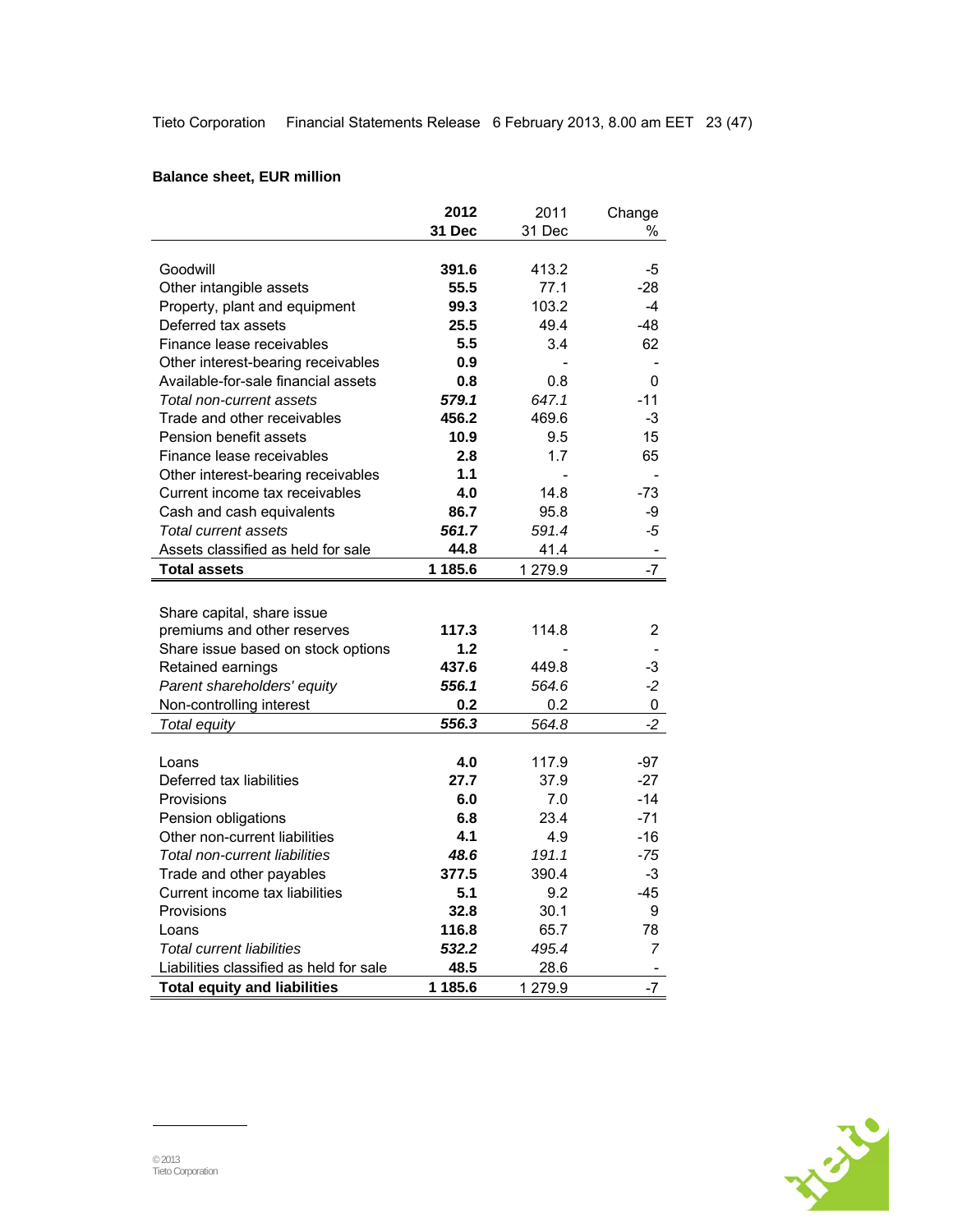# **Balance sheet, EUR million**

|                                         | 2012    | 2011    | Change                   |
|-----------------------------------------|---------|---------|--------------------------|
|                                         | 31 Dec  | 31 Dec  | ℅                        |
|                                         |         |         |                          |
| Goodwill                                | 391.6   | 413.2   | -5                       |
| Other intangible assets                 | 55.5    | 77.1    | -28                      |
| Property, plant and equipment           | 99.3    | 103.2   | $-4$                     |
| Deferred tax assets                     | 25.5    | 49.4    | $-48$                    |
| Finance lease receivables               | 5.5     | 3.4     | 62                       |
| Other interest-bearing receivables      | 0.9     |         |                          |
| Available-for-sale financial assets     | 0.8     | 0.8     | 0                        |
| Total non-current assets                | 579.1   | 647.1   | $-11$                    |
| Trade and other receivables             | 456.2   | 469.6   | -3                       |
| Pension benefit assets                  | 10.9    | 9.5     | 15                       |
| Finance lease receivables               | 2.8     | 1.7     | 65                       |
| Other interest-bearing receivables      | 1.1     |         |                          |
| Current income tax receivables          | 4.0     | 14.8    | $-73$                    |
| Cash and cash equivalents               | 86.7    | 95.8    | -9                       |
| Total current assets                    | 561.7   | 591.4   | -5                       |
| Assets classified as held for sale      | 44.8    | 41.4    | $\overline{\phantom{a}}$ |
| <b>Total assets</b>                     | 1 185.6 | 1 279.9 | $-7$                     |
|                                         |         |         |                          |
| Share capital, share issue              |         |         |                          |
| premiums and other reserves             | 117.3   | 114.8   | 2                        |
| Share issue based on stock options      | 1.2     |         |                          |
| Retained earnings                       | 437.6   | 449.8   | -3                       |
| Parent shareholders' equity             | 556.1   | 564.6   | $-2$                     |
| Non-controlling interest                | 0.2     | 0.2     | 0                        |
| <b>Total equity</b>                     | 556.3   | 564.8   | $-2$                     |
|                                         |         |         |                          |
| Loans                                   | 4.0     | 117.9   | $-97$                    |
| Deferred tax liabilities                | 27.7    | 37.9    | $-27$                    |
| Provisions                              | 6.0     | 7.0     | $-14$                    |
| Pension obligations                     | 6.8     | 23.4    | $-71$                    |
| Other non-current liabilities           | 4.1     | 4.9     | $-16$                    |
| Total non-current liabilities           | 48.6    | 191.1   | $-75$                    |
| Trade and other payables                | 377.5   | 390.4   | $-3$                     |
| Current income tax liabilities          | 5.1     | 9.2     | -45                      |
| Provisions                              | 32.8    | 30.1    | 9                        |
| Loans                                   | 116.8   | 65.7    | 78                       |
| <b>Total current liabilities</b>        | 532.2   | 495.4   | 7                        |
| Liabilities classified as held for sale | 48.5    | 28.6    |                          |
| <b>Total equity and liabilities</b>     | 1 185.6 | 1 279.9 | $-7$                     |

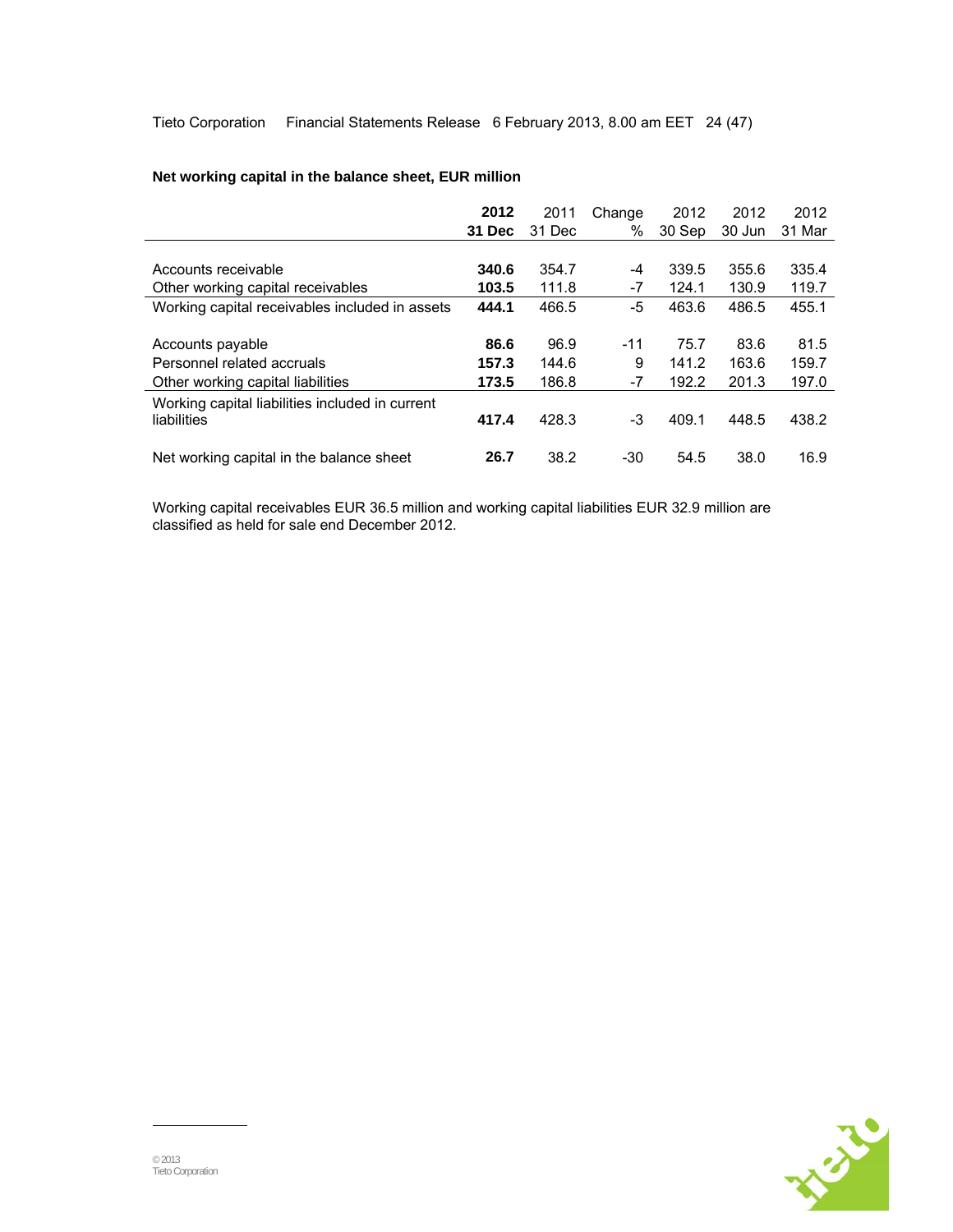Tieto Corporation Financial Statements Release 6 February 2013, 8.00 am EET 24 (47)

|                                                 | 2012   | 2011   | Change | 2012   | 2012   | 2012   |
|-------------------------------------------------|--------|--------|--------|--------|--------|--------|
|                                                 | 31 Dec | 31 Dec | $\%$   | 30 Sep | 30 Jun | 31 Mar |
|                                                 |        |        |        |        |        |        |
| Accounts receivable                             | 340.6  | 354.7  | -4     | 339.5  | 355.6  | 335.4  |
| Other working capital receivables               | 103.5  | 111.8  | $-7$   | 124.1  | 130.9  | 119.7  |
| Working capital receivables included in assets  | 444.1  | 466.5  | -5     | 463.6  | 486.5  | 455.1  |
|                                                 |        |        |        |        |        |        |
| Accounts payable                                | 86.6   | 96.9   | $-11$  | 75.7   | 83.6   | 81.5   |
| Personnel related accruals                      | 157.3  | 144.6  | 9      | 141.2  | 163.6  | 159.7  |
| Other working capital liabilities               | 173.5  | 186.8  | $-7$   | 192.2  | 201.3  | 197.0  |
| Working capital liabilities included in current |        |        |        |        |        |        |
| liabilities                                     | 417.4  | 428.3  | -3     | 409.1  | 448.5  | 438.2  |
|                                                 |        |        |        |        |        |        |
| Net working capital in the balance sheet        | 26.7   | 38.2   | $-30$  | 54.5   | 38.0   | 16.9   |

## **Net working capital in the balance sheet, EUR million**

Working capital receivables EUR 36.5 million and working capital liabilities EUR 32.9 million are classified as held for sale end December 2012.

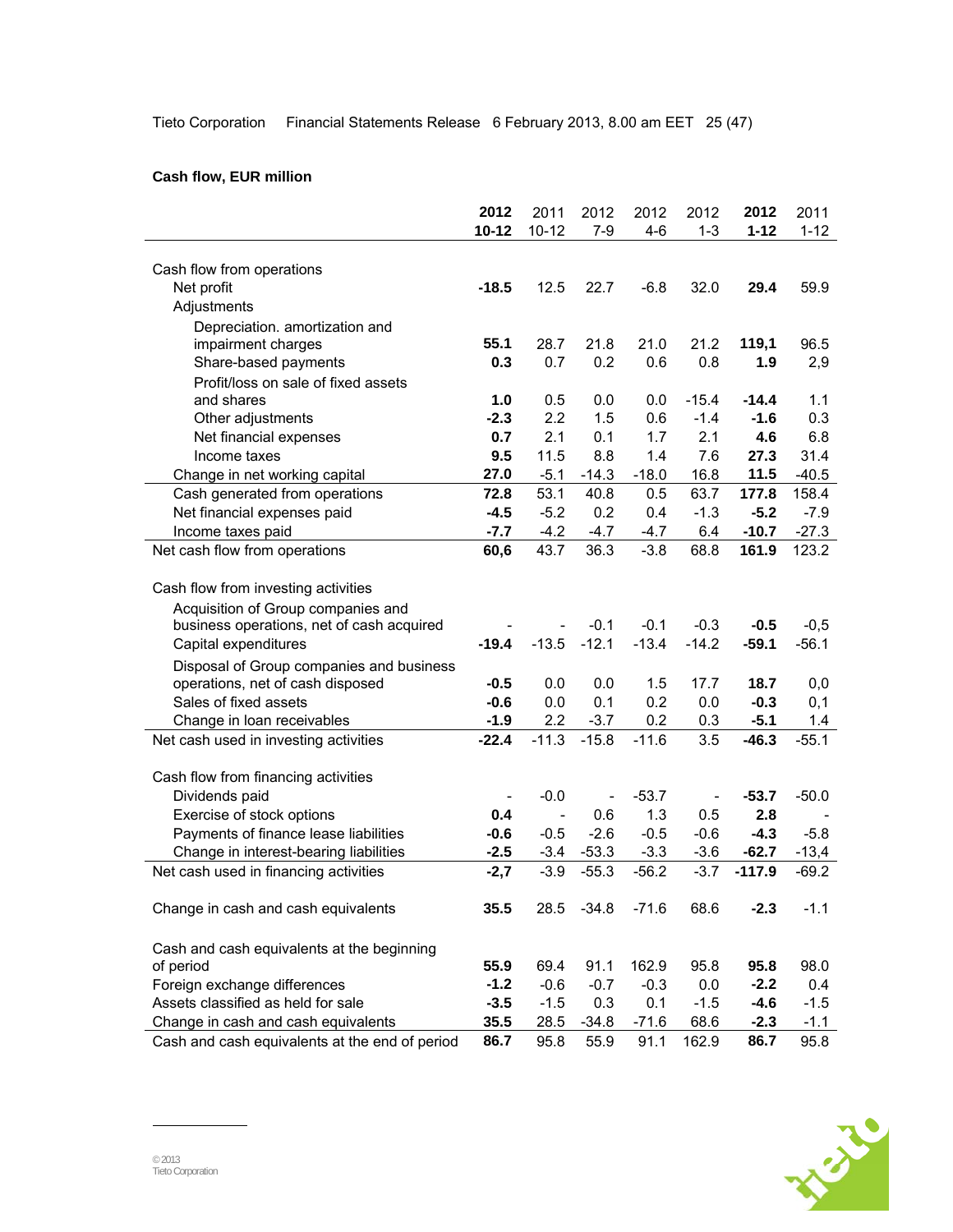Tieto Corporation Financial Statements Release 6 February 2013, 8.00 am EET 25 (47)

## **Cash flow, EUR million**

|                                                                   | 2012      | 2011          | 2012           | 2012              | 2012              | 2012              | 2011              |
|-------------------------------------------------------------------|-----------|---------------|----------------|-------------------|-------------------|-------------------|-------------------|
|                                                                   | $10 - 12$ | $10 - 12$     | $7-9$          | $4 - 6$           | $1 - 3$           | $1 - 12$          | $1 - 12$          |
|                                                                   |           |               |                |                   |                   |                   |                   |
| Cash flow from operations                                         |           |               |                |                   |                   |                   |                   |
| Net profit                                                        | $-18.5$   | 12.5          | 22.7           | $-6.8$            | 32.0              | 29.4              | 59.9              |
| Adjustments                                                       |           |               |                |                   |                   |                   |                   |
| Depreciation. amortization and                                    |           |               |                |                   |                   |                   |                   |
| impairment charges                                                | 55.1      | 28.7          | 21.8           | 21.0              | 21.2              | 119,1             | 96.5              |
| Share-based payments                                              | 0.3       | 0.7           | 0.2            | 0.6               | 0.8               | 1.9               | 2,9               |
| Profit/loss on sale of fixed assets                               |           |               |                |                   |                   |                   |                   |
| and shares                                                        | 1.0       | 0.5           | 0.0            | 0.0               | $-15.4$           | $-14.4$           | 1.1               |
| Other adjustments                                                 | $-2.3$    | 2.2           | 1.5            | 0.6               | $-1.4$            | $-1.6$            | 0.3               |
| Net financial expenses                                            | 0.7       | 2.1           | 0.1            | 1.7               | 2.1               | 4.6               | 6.8               |
| Income taxes                                                      | 9.5       | 11.5          | 8.8            | 1.4               | 7.6               | 27.3              | 31.4              |
| Change in net working capital                                     | 27.0      | $-5.1$        | $-14.3$        | $-18.0$           | 16.8              | 11.5              | $-40.5$           |
| Cash generated from operations                                    | 72.8      | 53.1          | 40.8           | 0.5               | 63.7              | 177.8             | 158.4             |
| Net financial expenses paid                                       | $-4.5$    | $-5.2$        | 0.2            | 0.4               | $-1.3$            | $-5.2$            | $-7.9$            |
| Income taxes paid                                                 | $-7.7$    | $-4.2$        | $-4.7$         | $-4.7$            | 6.4               | $-10.7$           | $-27.3$           |
| Net cash flow from operations                                     | 60,6      | 43.7          | 36.3           | $-3.8$            | 68.8              | 161.9             | 123.2             |
|                                                                   |           |               |                |                   |                   |                   |                   |
| Cash flow from investing activities                               |           |               |                |                   |                   |                   |                   |
| Acquisition of Group companies and                                |           |               | $-0.1$         |                   |                   |                   |                   |
| business operations, net of cash acquired<br>Capital expenditures | $-19.4$   | $-13.5$       | $-12.1$        | $-0.1$<br>$-13.4$ | $-0.3$<br>$-14.2$ | $-0.5$<br>$-59.1$ | $-0,5$<br>$-56.1$ |
|                                                                   |           |               |                |                   |                   |                   |                   |
| Disposal of Group companies and business                          |           |               |                |                   |                   |                   |                   |
| operations, net of cash disposed                                  | $-0.5$    | 0.0           | 0.0            | 1.5               | 17.7              | 18.7              | 0,0               |
| Sales of fixed assets                                             | $-0.6$    | 0.0           | 0.1            | 0.2               | 0.0               | $-0.3$            | 0,1               |
| Change in loan receivables                                        | $-1.9$    | 2.2           | $-3.7$         | 0.2<br>$-11.6$    | 0.3<br>3.5        | $-5.1$            | 1.4               |
| Net cash used in investing activities                             | $-22.4$   | $-11.3$       | $-15.8$        |                   |                   | $-46.3$           | $-55.1$           |
| Cash flow from financing activities                               |           |               |                |                   |                   |                   |                   |
| Dividends paid                                                    |           | $-0.0$        | $\overline{a}$ | $-53.7$           |                   | $-53.7$           | $-50.0$           |
| Exercise of stock options                                         | 0.4       | $\frac{1}{2}$ | 0.6            | 1.3               | 0.5               | 2.8               |                   |
| Payments of finance lease liabilities                             | $-0.6$    | $-0.5$        | $-2.6$         | $-0.5$            | $-0.6$            | $-4.3$            | $-5.8$            |
| Change in interest-bearing liabilities                            | $-2.5$    | $-3.4$        | $-53.3$        | $-3.3$            | $-3.6$            | $-62.7$           | $-13,4$           |
| Net cash used in financing activities                             | $-2,7$    | $-3.9$        | $-55.3$        | $-56.2$           | $-3.7$            | $-117.9$          | $-69.2$           |
|                                                                   |           |               |                |                   |                   |                   |                   |
| Change in cash and cash equivalents                               | 35.5      | 28.5          | $-34.8$        | $-71.6$           | 68.6              | $-2.3$            | $-1.1$            |
|                                                                   |           |               |                |                   |                   |                   |                   |
| Cash and cash equivalents at the beginning                        |           |               |                |                   |                   |                   |                   |
| of period                                                         | 55.9      | 69.4          | 91.1           | 162.9             | 95.8              | 95.8              | 98.0              |
| Foreign exchange differences                                      | $-1.2$    | $-0.6$        | $-0.7$         | $-0.3$            | 0.0               | $-2.2$            | 0.4               |
| Assets classified as held for sale                                | $-3.5$    | $-1.5$        | 0.3            | 0.1               | $-1.5$            | $-4.6$            | $-1.5$            |
| Change in cash and cash equivalents                               | 35.5      | 28.5          | $-34.8$        | $-71.6$           | 68.6              | $-2.3$            | $-1.1$            |
| Cash and cash equivalents at the end of period                    | 86.7      | 95.8          | 55.9           | 91.1              | 162.9             | 86.7              | 95.8              |

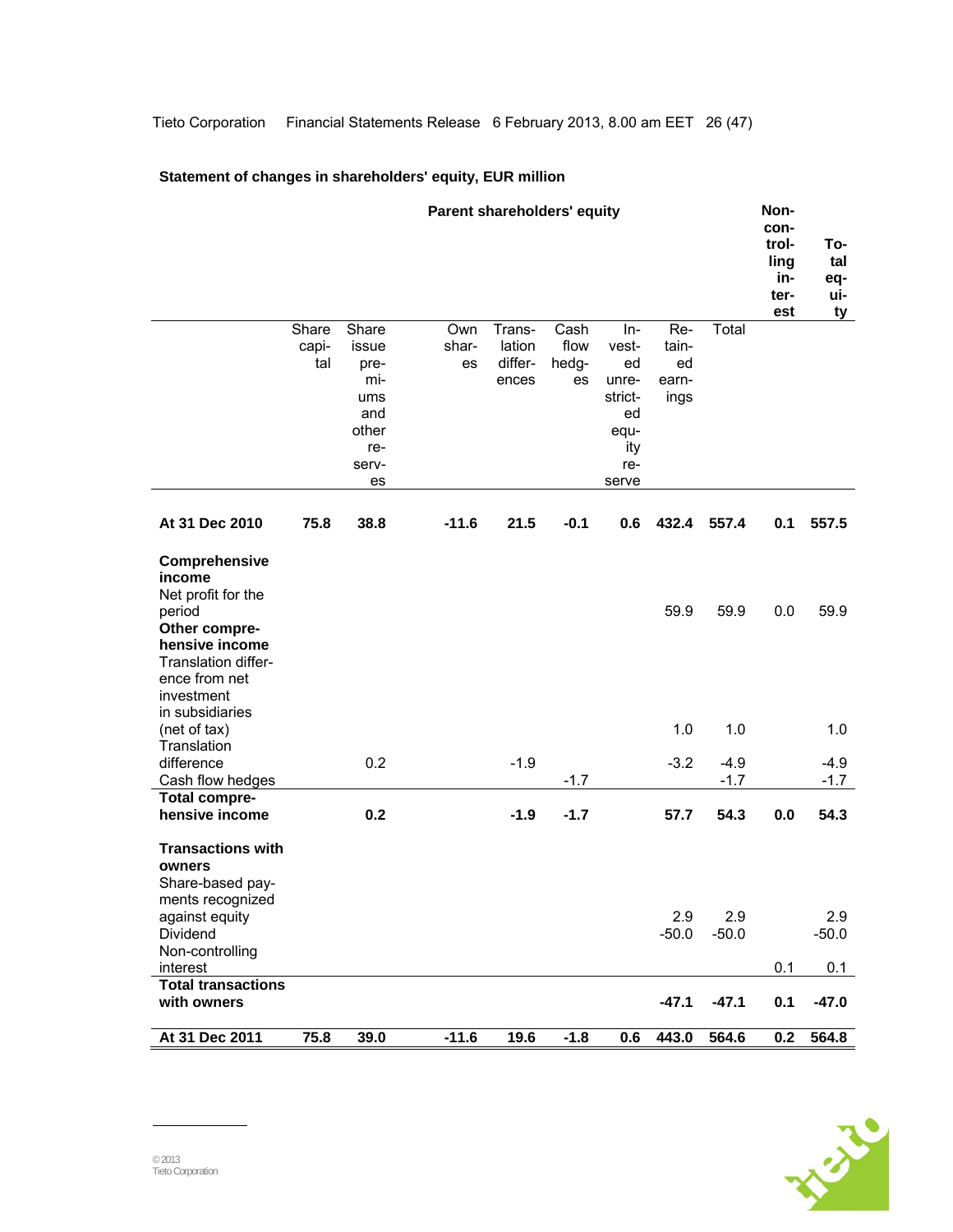## **Statement of changes in shareholders' equity, EUR million**

|                                                                                                                                                  |                       |                                                                            | Parent shareholders' equity |                                      |                             |                                                                               |                                     |                  | Non-<br>con-<br>trol-<br>ling<br>in-<br>ter-<br>est | To-<br>tal<br>eq-<br>ui-<br><u>ty</u> |
|--------------------------------------------------------------------------------------------------------------------------------------------------|-----------------------|----------------------------------------------------------------------------|-----------------------------|--------------------------------------|-----------------------------|-------------------------------------------------------------------------------|-------------------------------------|------------------|-----------------------------------------------------|---------------------------------------|
|                                                                                                                                                  | Share<br>capi-<br>tal | Share<br>issue<br>pre-<br>mi-<br>ums<br>and<br>other<br>re-<br>serv-<br>es | Own<br>shar-<br>es          | Trans-<br>lation<br>differ-<br>ences | Cash<br>flow<br>hedg-<br>es | $In-$<br>vest-<br>ed<br>unre-<br>strict-<br>ed<br>equ-<br>ity<br>re-<br>serve | Re-<br>tain-<br>ed<br>earn-<br>ings | Total            |                                                     |                                       |
| At 31 Dec 2010                                                                                                                                   | 75.8                  | 38.8                                                                       | $-11.6$                     | 21.5                                 | $-0.1$                      | 0.6                                                                           | 432.4                               | 557.4            | 0.1                                                 | 557.5                                 |
| Comprehensive<br>income<br>Net profit for the<br>period<br>Other compre-<br>hensive income<br>Translation differ-<br>ence from net<br>investment |                       |                                                                            |                             |                                      |                             |                                                                               | 59.9                                | 59.9             | 0.0                                                 | 59.9                                  |
| in subsidiaries<br>(net of tax)<br>Translation                                                                                                   |                       |                                                                            |                             |                                      |                             |                                                                               | 1.0                                 | 1.0              |                                                     | 1.0                                   |
| difference<br>Cash flow hedges<br><b>Total compre-</b>                                                                                           |                       | 0.2                                                                        |                             | $-1.9$                               | $-1.7$                      |                                                                               | $-3.2$                              | $-4.9$<br>$-1.7$ |                                                     | $-4.9$<br>$-1.7$                      |
| hensive income                                                                                                                                   |                       | 0.2                                                                        |                             | $-1.9$                               | $-1.7$                      |                                                                               | 57.7                                | 54.3             | 0.0                                                 | 54.3                                  |
| <b>Transactions with</b><br>owners<br>Share-based pay-<br>ments recognized<br>against equity<br>Dividend                                         |                       |                                                                            |                             |                                      |                             |                                                                               | 2.9                                 | 2.9              |                                                     | 2.9                                   |
| Non-controlling                                                                                                                                  |                       |                                                                            |                             |                                      |                             |                                                                               | $-50.0$                             | $-50.0$          | 0.1                                                 | $-50.0$<br>0.1                        |
| interest<br><b>Total transactions</b><br>with owners                                                                                             |                       |                                                                            |                             |                                      |                             |                                                                               | $-47.1$                             | $-47.1$          | 0.1                                                 | $-47.0$                               |
| At 31 Dec 2011                                                                                                                                   | 75.8                  | 39.0                                                                       | $-11.6$                     | 19.6                                 | $-1.8$                      | 0.6                                                                           | 443.0                               | 564.6            | 0.2                                                 | 564.8                                 |

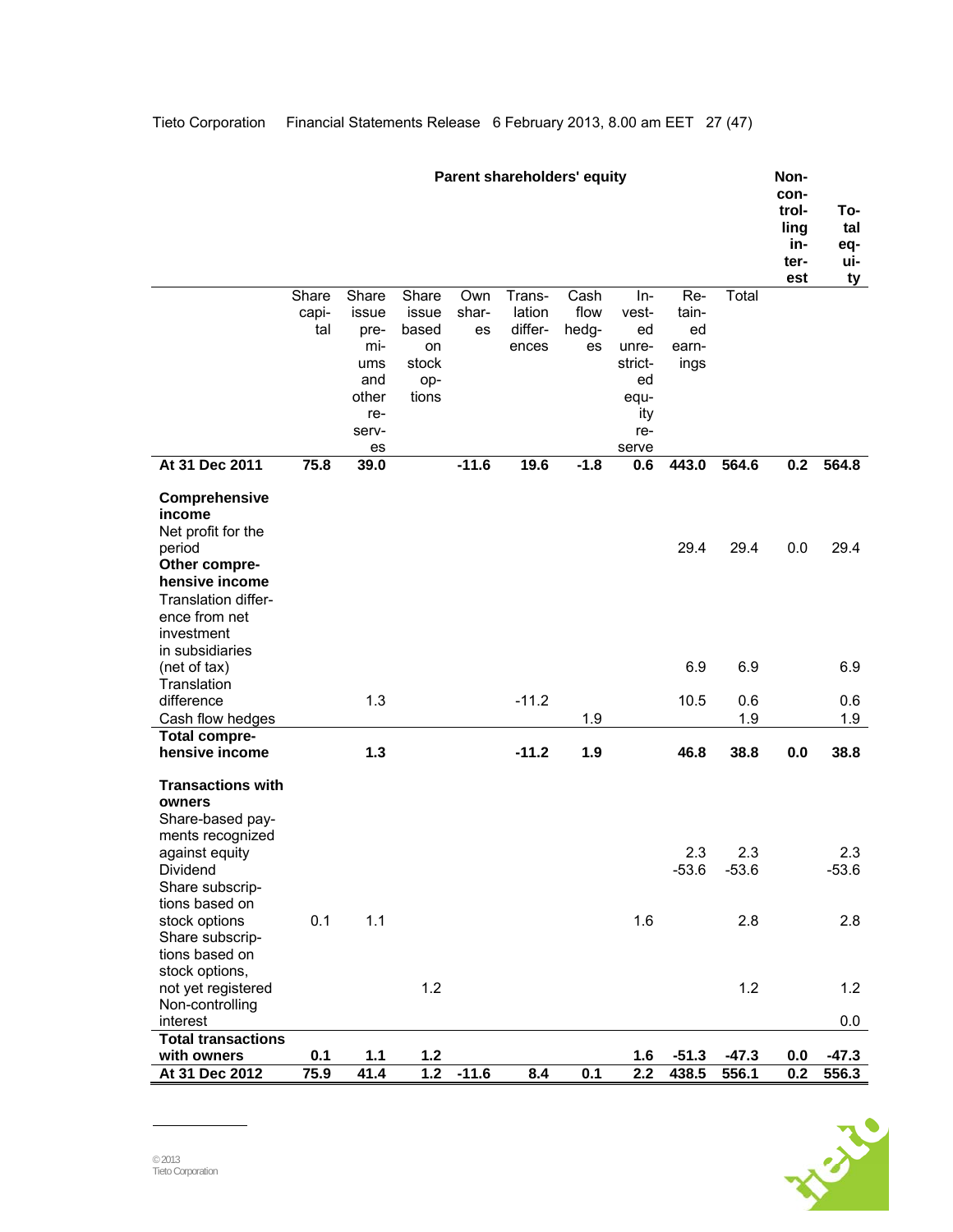|                                                                                                                                                  |                       |                                                                            |                                                        |                    | <b>Parent shareholders' equity</b>   |                             |                                                                             |                                     |                  | Non-<br>con-<br>trol-<br>ling<br>in-<br>ter-<br>est | To-<br>tal<br>eq-<br>ui-<br>ty |
|--------------------------------------------------------------------------------------------------------------------------------------------------|-----------------------|----------------------------------------------------------------------------|--------------------------------------------------------|--------------------|--------------------------------------|-----------------------------|-----------------------------------------------------------------------------|-------------------------------------|------------------|-----------------------------------------------------|--------------------------------|
|                                                                                                                                                  | Share<br>capi-<br>tal | Share<br>issue<br>pre-<br>mi-<br>ums<br>and<br>other<br>re-<br>serv-<br>es | Share<br>issue<br>based<br>on<br>stock<br>op-<br>tions | Own<br>shar-<br>es | Trans-<br>lation<br>differ-<br>ences | Cash<br>flow<br>hedg-<br>es | In-<br>vest-<br>ed<br>unre-<br>strict-<br>ed<br>equ-<br>ity<br>re-<br>serve | Re-<br>tain-<br>ed<br>earn-<br>ings | Total            |                                                     |                                |
| At 31 Dec 2011                                                                                                                                   | 75.8                  | 39.0                                                                       |                                                        | $-11.6$            | 19.6                                 | $-1.8$                      | 0.6                                                                         | 443.0                               | 564.6            | 0.2                                                 | 564.8                          |
| Comprehensive<br>income<br>Net profit for the<br>period<br>Other compre-<br>hensive income<br>Translation differ-<br>ence from net<br>investment |                       |                                                                            |                                                        |                    |                                      |                             |                                                                             | 29.4                                | 29.4             | 0.0                                                 | 29.4                           |
| in subsidiaries<br>(net of tax)                                                                                                                  |                       |                                                                            |                                                        |                    |                                      |                             |                                                                             | 6.9                                 | 6.9              |                                                     | 6.9                            |
| Translation<br>difference<br>Cash flow hedges                                                                                                    |                       | 1.3                                                                        |                                                        |                    | $-11.2$                              | 1.9                         |                                                                             | 10.5                                | 0.6<br>1.9       |                                                     | 0.6<br>1.9                     |
| <b>Total compre-</b><br>hensive income                                                                                                           |                       | 1.3                                                                        |                                                        |                    | $-11.2$                              | 1.9                         |                                                                             | 46.8                                | 38.8             | 0.0                                                 | 38.8                           |
| <b>Transactions with</b><br>owners<br>Share-based pay-<br>ments recognized<br>against equity<br>Dividend<br>Share subscrip-<br>tions based on    |                       |                                                                            |                                                        |                    |                                      |                             |                                                                             | 2.3<br>$-53.6$                      | 2.3<br>$-53.6$   |                                                     | 2.3<br>$-53.6$                 |
| stock options<br>Share subscrip-<br>tions based on                                                                                               | 0.1                   | 1.1                                                                        |                                                        |                    |                                      |                             | 1.6                                                                         |                                     | 2.8              |                                                     | 2.8                            |
| stock options,<br>not yet registered<br>Non-controlling                                                                                          |                       |                                                                            | 1.2                                                    |                    |                                      |                             |                                                                             |                                     | 1.2              |                                                     | 1.2                            |
| interest                                                                                                                                         |                       |                                                                            |                                                        |                    |                                      |                             |                                                                             |                                     |                  |                                                     | 0.0                            |
| <b>Total transactions</b>                                                                                                                        |                       |                                                                            |                                                        |                    |                                      |                             |                                                                             |                                     |                  |                                                     |                                |
| with owners<br>At 31 Dec 2012                                                                                                                    | 0.1<br>75.9           | $1.1$<br>41.4                                                              | $1.2$<br>1.2                                           | $-11.6$            | 8.4                                  | 0.1                         | 1.6<br>2.2                                                                  | $-51.3$<br>438.5                    | $-47.3$<br>556.1 | 0.0<br>0.2                                          | $-47.3$<br>556.3               |

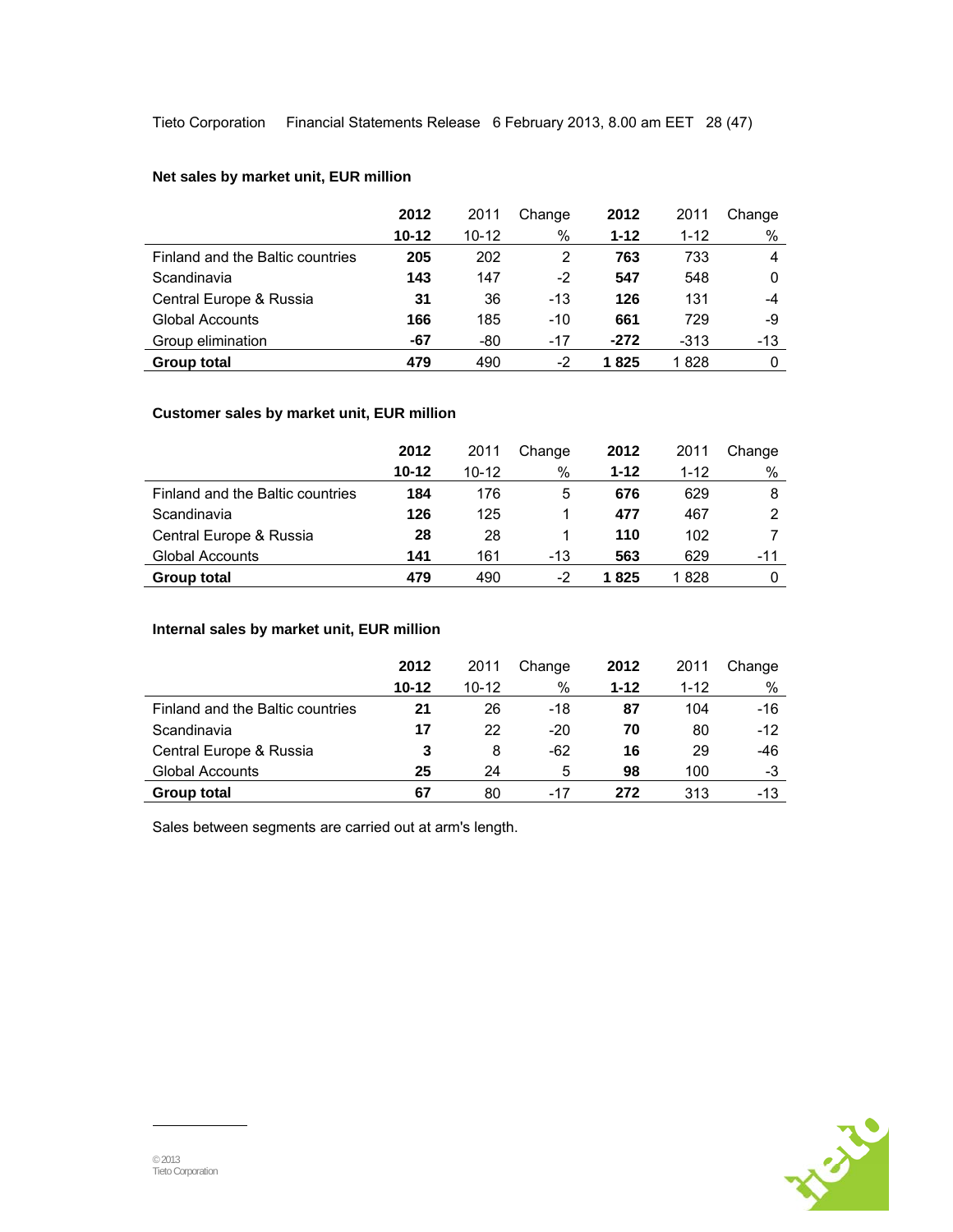Tieto Corporation Financial Statements Release 6 February 2013, 8.00 am EET 28 (47)

## **Net sales by market unit, EUR million**

|                                  | 2012      | 2011      | Change | 2012     | 2011     | Change |
|----------------------------------|-----------|-----------|--------|----------|----------|--------|
|                                  | $10 - 12$ | $10 - 12$ | %      | $1 - 12$ | $1 - 12$ | %      |
| Finland and the Baltic countries | 205       | 202       | 2      | 763      | 733      | 4      |
| Scandinavia                      | 143       | 147       | -2     | 547      | 548      | 0      |
| Central Europe & Russia          | 31        | 36        | $-13$  | 126      | 131      | -4     |
| <b>Global Accounts</b>           | 166       | 185       | $-10$  | 661      | 729      | -9     |
| Group elimination                | -67       | -80       | $-17$  | $-272$   | $-313$   | -13    |
| <b>Group total</b>               | 479       | 490       | -2     | 1 825    | 1828     | 0      |

## **Customer sales by market unit, EUR million**

|                                  | 2012      | 2011      | Change | 2012     | 2011     | Change |
|----------------------------------|-----------|-----------|--------|----------|----------|--------|
|                                  | $10 - 12$ | $10 - 12$ | %      | $1 - 12$ | $1 - 12$ | %      |
| Finland and the Baltic countries | 184       | 176       | 5      | 676      | 629      | 8      |
| Scandinavia                      | 126       | 125       |        | 477      | 467      | 2      |
| Central Europe & Russia          | 28        | 28        |        | 110      | 102      |        |
| Global Accounts                  | 141       | 161       | $-13$  | 563      | 629      | -11    |
| Group total                      | 479       | 490       | -2     | 1 825    | 1 828    | 0      |

## **Internal sales by market unit, EUR million**

|                                  | 2012      | 2011      | Change | 2012     | 2011     | Change |
|----------------------------------|-----------|-----------|--------|----------|----------|--------|
|                                  | $10 - 12$ | $10 - 12$ | %      | $1 - 12$ | $1 - 12$ | $\%$   |
| Finland and the Baltic countries | 21        | 26        | $-18$  | 87       | 104      | $-16$  |
| Scandinavia                      | 17        | 22        | $-20$  | 70       | 80       | $-12$  |
| Central Europe & Russia          | 3         | 8         | -62    | 16       | 29       | -46    |
| Global Accounts                  | 25        | 24        | 5      | 98       | 100      | -3     |
| Group total                      | 67        | 80        | -17    | 272      | 313      | $-13$  |

Sales between segments are carried out at arm's length.

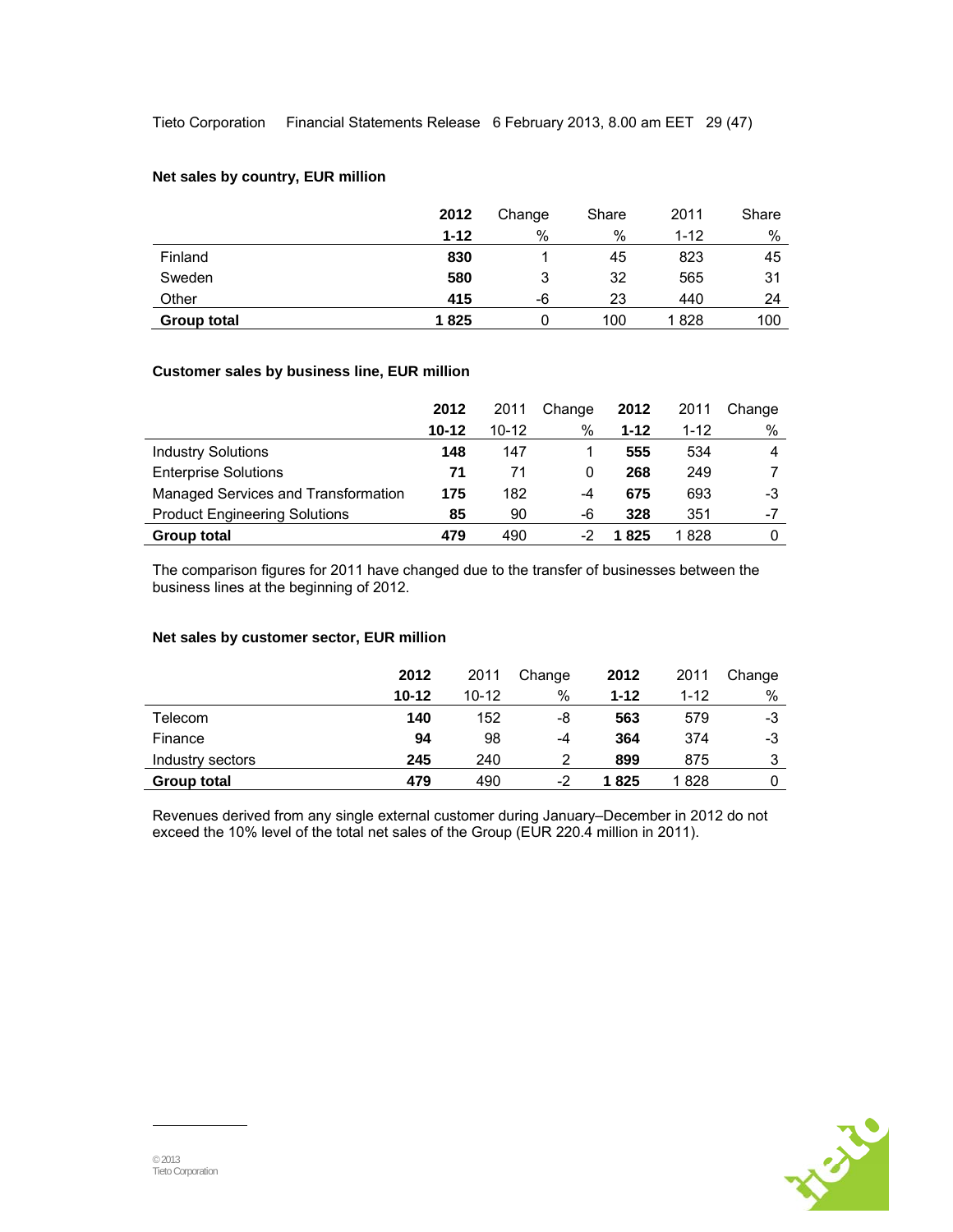### **Net sales by country, EUR million**

|             | 2012     | Change | Share | 2011     | Share |
|-------------|----------|--------|-------|----------|-------|
|             | $1 - 12$ | %      | %     | $1 - 12$ | %     |
| Finland     | 830      |        | 45    | 823      | 45    |
| Sweden      | 580      | 3      | 32    | 565      | 31    |
| Other       | 415      | -6     | 23    | 440      | 24    |
| Group total | 1825     | 0      | 100   | 1828     | 100   |

## **Customer sales by business line, EUR million**

|                                      | 2012      | 2011      | Change | 2012     | 2011     | Change |
|--------------------------------------|-----------|-----------|--------|----------|----------|--------|
|                                      | $10 - 12$ | $10 - 12$ | %      | $1 - 12$ | $1 - 12$ | %      |
| <b>Industry Solutions</b>            | 148       | 147       |        | 555      | 534      | 4      |
| <b>Enterprise Solutions</b>          | 71        | 71        | 0      | 268      | 249      |        |
| Managed Services and Transformation  | 175       | 182       | -4     | 675      | 693      | -3     |
| <b>Product Engineering Solutions</b> | 85        | 90        | -6     | 328      | 351      | $-7$   |
| <b>Group total</b>                   | 479       | 490       |        | 1825     | 1828     |        |

The comparison figures for 2011 have changed due to the transfer of businesses between the business lines at the beginning of 2012.

## **Net sales by customer sector, EUR million**

|                  | 2012      | 2011      | Change | 2012     | 2011     | Change |
|------------------|-----------|-----------|--------|----------|----------|--------|
|                  | $10 - 12$ | $10 - 12$ | %      | $1 - 12$ | $1 - 12$ | %      |
| Telecom          | 140       | 152       | -8     | 563      | 579      | -3     |
| Finance          | 94        | 98        | -4     | 364      | 374      | -3     |
| Industry sectors | 245       | 240       | 2      | 899      | 875      | 3      |
| Group total      | 479       | 490       | -2     | 1825     | 1 828    |        |

Revenues derived from any single external customer during January–December in 2012 do not exceed the 10% level of the total net sales of the Group (EUR 220.4 million in 2011).

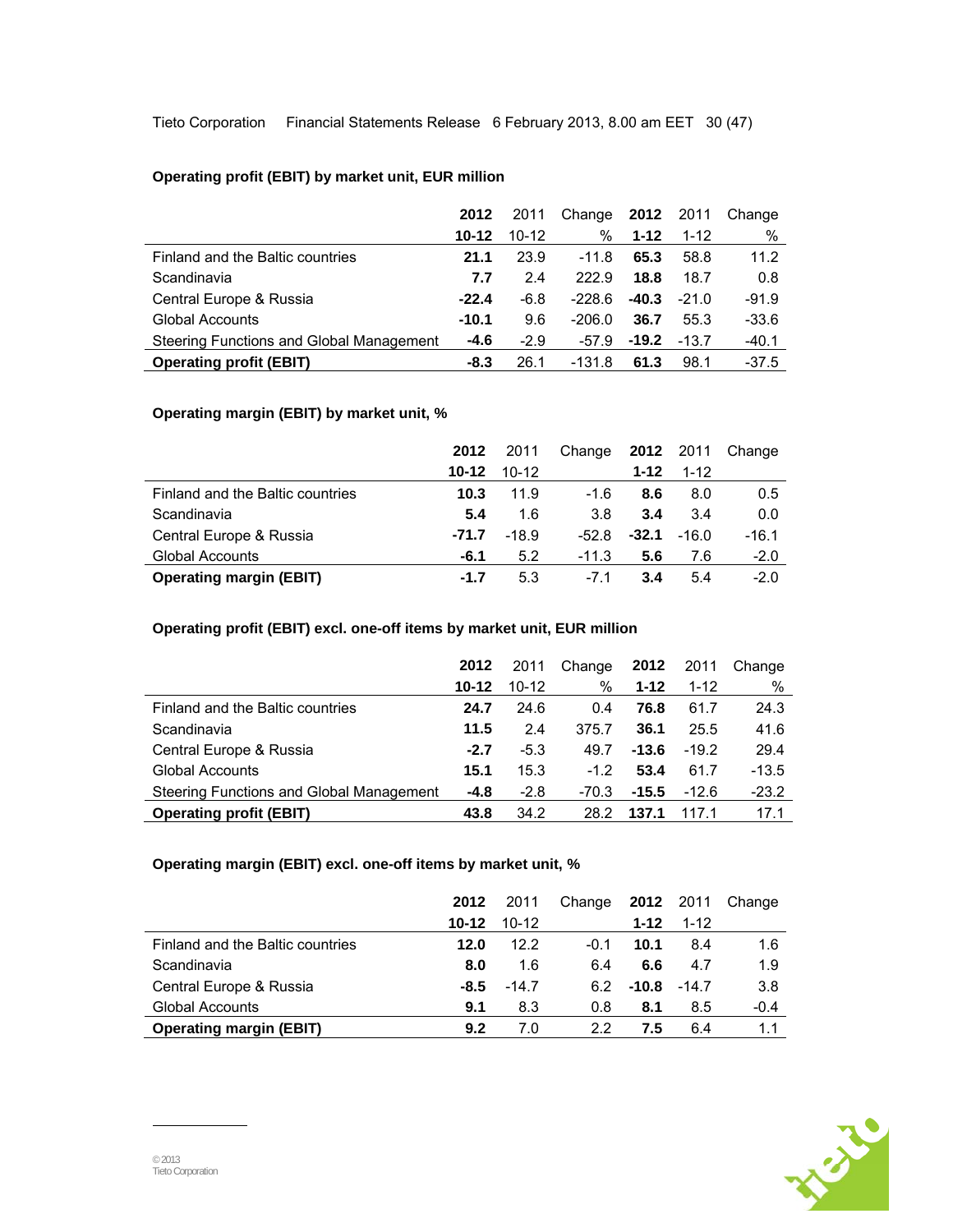Tieto Corporation Financial Statements Release 6 February 2013, 8.00 am EET 30 (47)

## **Operating profit (EBIT) by market unit, EUR million**

|                                          | 2012      | 2011      | Change   |          | <b>2012</b> 2011 | Change  |
|------------------------------------------|-----------|-----------|----------|----------|------------------|---------|
|                                          | $10 - 12$ | $10 - 12$ | ℅        | $1 - 12$ | $1 - 12$         | %       |
| Finland and the Baltic countries         | 21.1      | 23.9      | -11.8    | 65.3     | 58.8             | 11.2    |
| Scandinavia                              | 7.7       | 2.4       | 222.9    | 18.8     | 18.7             | 0.8     |
| Central Europe & Russia                  | $-22.4$   | $-6.8$    | $-228.6$ | $-40.3$  | $-21.0$          | $-91.9$ |
| Global Accounts                          | $-10.1$   | 9.6       | -206.0   | 36.7     | 55.3             | $-33.6$ |
| Steering Functions and Global Management | $-4.6$    | $-2.9$    | -57.9    | $-19.2$  | $-13.7$          | $-40.1$ |
| <b>Operating profit (EBIT)</b>           | -8.3      | 26.1      | -131.8   | 61.3     | 98.1             | $-37.5$ |

## **Operating margin (EBIT) by market unit, %**

|                                  | 2012      | 2011      | Change  |          | <b>2012</b> 2011 | Change  |
|----------------------------------|-----------|-----------|---------|----------|------------------|---------|
|                                  | $10 - 12$ | $10 - 12$ |         | $1 - 12$ | $1 - 12$         |         |
| Finland and the Baltic countries | 10.3      | 11.9      | $-1.6$  | 8.6      | 8.0              | 0.5     |
| Scandinavia                      | 5.4       | 1.6       | 3.8     | 3.4      | 3.4              | 0.0     |
| Central Europe & Russia          | $-71.7$   | $-18.9$   | $-52.8$ | $-32.1$  | $-16.0$          | $-16.1$ |
| Global Accounts                  | $-6.1$    | 5.2       | $-11.3$ | 5.6      | 7.6              | $-2.0$  |
| <b>Operating margin (EBIT)</b>   | $-1.7$    | 5.3       | -71     | 3.4      | 5.4              | $-2.0$  |

## **Operating profit (EBIT) excl. one-off items by market unit, EUR million**

|                                          | 2012      | 2011      | Change  | 2012     | 2011     | Change  |
|------------------------------------------|-----------|-----------|---------|----------|----------|---------|
|                                          | $10 - 12$ | $10 - 12$ | %       | $1 - 12$ | $1 - 12$ | %       |
| Finland and the Baltic countries         | 24.7      | 24.6      | 0.4     | 76.8     | 61.7     | 24.3    |
| Scandinavia                              | 11.5      | 24        | 375.7   | 36.1     | 25.5     | 41.6    |
| Central Europe & Russia                  | $-2.7$    | $-5.3$    | 49.7    | $-13.6$  | $-19.2$  | 29.4    |
| <b>Global Accounts</b>                   | 15.1      | 15.3      | $-1.2$  | 53.4     | 61.7     | $-13.5$ |
| Steering Functions and Global Management | $-4.8$    | $-2.8$    | $-70.3$ | $-15.5$  | $-12.6$  | $-23.2$ |
| <b>Operating profit (EBIT)</b>           | 43.8      | 34.2      | 28.2    | 137.1    | 1171     | 17.1    |

### **Operating margin (EBIT) excl. one-off items by market unit, %**

|                                  | 2012      | 2011      | Change |          | <b>2012</b> 2011 | Change |
|----------------------------------|-----------|-----------|--------|----------|------------------|--------|
|                                  | $10 - 12$ | $10 - 12$ |        | $1 - 12$ | $1 - 12$         |        |
| Finland and the Baltic countries | 12.0      | 12.2      | $-0.1$ | 10.1     | 8.4              | 1.6    |
| Scandinavia                      | 8.0       | 1.6       | 6.4    | 6.6      | 4.7              | 1.9    |
| Central Europe & Russia          | -8.5      | $-14.7$   | 62     |          | $-10.8 - 14.7$   | 3.8    |
| <b>Global Accounts</b>           | 9.1       | 8.3       | 0.8    | 8.1      | 8.5              | $-0.4$ |
| <b>Operating margin (EBIT)</b>   | 9.2       | 7.0       | 22     | 7.5      | 6.4              | 1.1    |

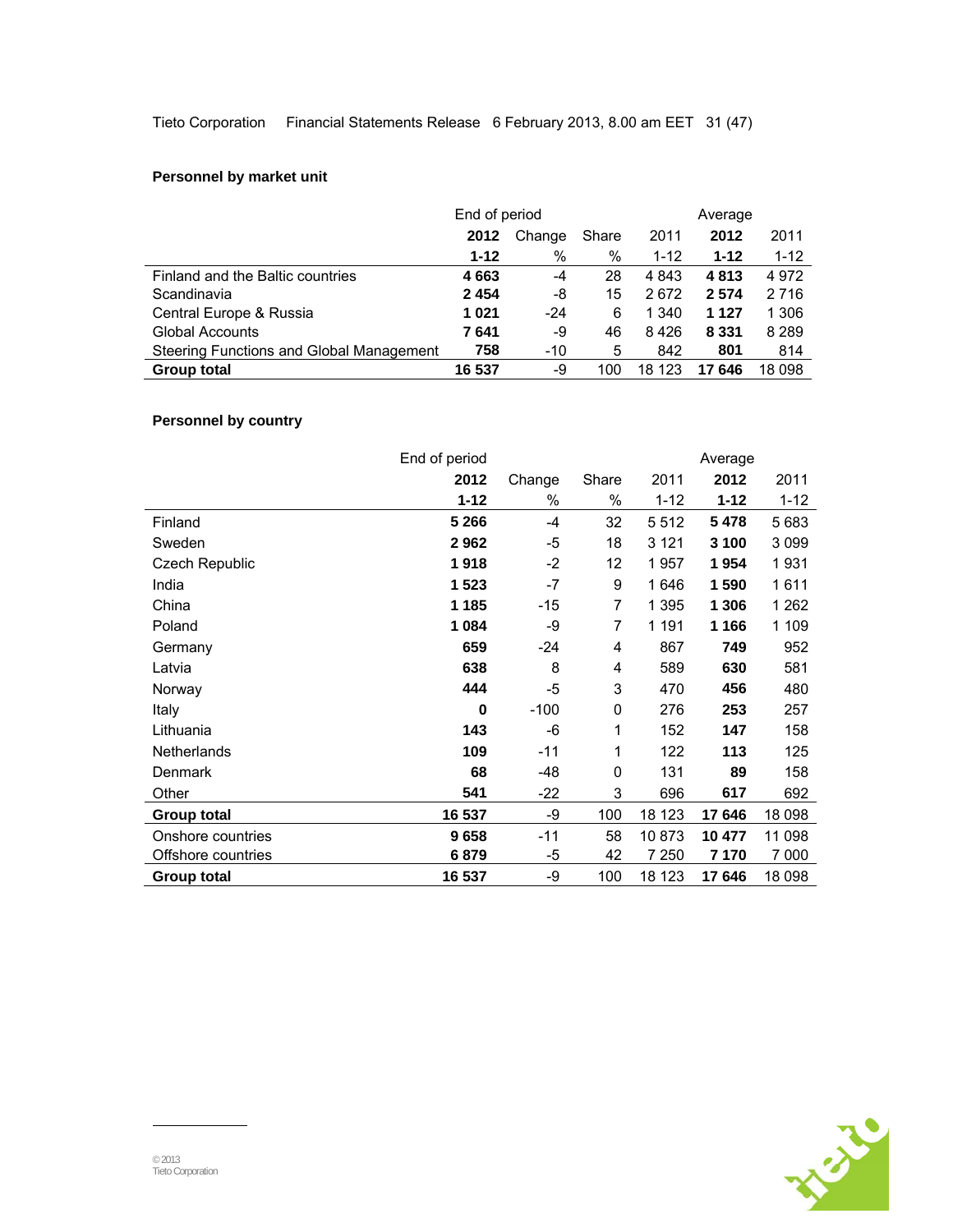## **Personnel by market unit**

|                                          | End of period |        |       | Average  |          |          |
|------------------------------------------|---------------|--------|-------|----------|----------|----------|
|                                          | 2012          | Change | Share | 2011     | 2012     | 2011     |
|                                          | $1 - 12$      | $\%$   | %     | $1 - 12$ | $1 - 12$ | $1 - 12$ |
| Finland and the Baltic countries         | 4663          | -4     | 28    | 4 8 4 3  | 4813     | 4972     |
| Scandinavia                              | 2454          | -8     | 15    | 2672     | 2574     | 2 7 1 6  |
| Central Europe & Russia                  | 1021          | $-24$  | 6     | 1 340    | 1 1 2 7  | 1 306    |
| <b>Global Accounts</b>                   | 7641          | -9     | 46    | 8426     | 8 3 3 1  | 8 2 8 9  |
| Steering Functions and Global Management | 758           | $-10$  | 5     | 842      | 801      | 814      |
| <b>Group total</b>                       | 16 537        | -9     | 100   | 18 123   | 17646    | 18 098   |

## **Personnel by country**

|                    | End of period |        |       |          | Average  |          |
|--------------------|---------------|--------|-------|----------|----------|----------|
|                    | 2012          | Change | Share | 2011     | 2012     | 2011     |
|                    | $1 - 12$      | %      | %     | $1 - 12$ | $1 - 12$ | $1 - 12$ |
| Finland            | 5 2 6 6       | -4     | 32    | 5512     | 5478     | 5683     |
| Sweden             | 2962          | -5     | 18    | 3 1 2 1  | 3 100    | 3 0 9 9  |
| Czech Republic     | 1918          | $-2$   | 12    | 1957     | 1954     | 1931     |
| India              | 1 5 2 3       | $-7$   | 9     | 1646     | 1 590    | 1611     |
| China              | 1 1 8 5       | $-15$  | 7     | 1 3 9 5  | 1 306    | 1 262    |
| Poland             | 1084          | -9     | 7     | 1 1 9 1  | 1 1 6 6  | 1 109    |
| Germany            | 659           | $-24$  | 4     | 867      | 749      | 952      |
| Latvia             | 638           | 8      | 4     | 589      | 630      | 581      |
| Norway             | 444           | -5     | 3     | 470      | 456      | 480      |
| Italy              | 0             | $-100$ | 0     | 276      | 253      | 257      |
| Lithuania          | 143           | -6     | 1     | 152      | 147      | 158      |
| Netherlands        | 109           | $-11$  | 1     | 122      | 113      | 125      |
| Denmark            | 68            | -48    | 0     | 131      | 89       | 158      |
| Other              | 541           | -22    | 3     | 696      | 617      | 692      |
| <b>Group total</b> | 16 537        | -9     | 100   | 18 123   | 17646    | 18 098   |
| Onshore countries  | 9658          | $-11$  | 58    | 10873    | 10 477   | 11 098   |
| Offshore countries | 6879          | -5     | 42    | 7 250    | 7 170    | 7 000    |
| <b>Group total</b> | 16 537        | -9     | 100   | 18 123   | 17646    | 18 098   |

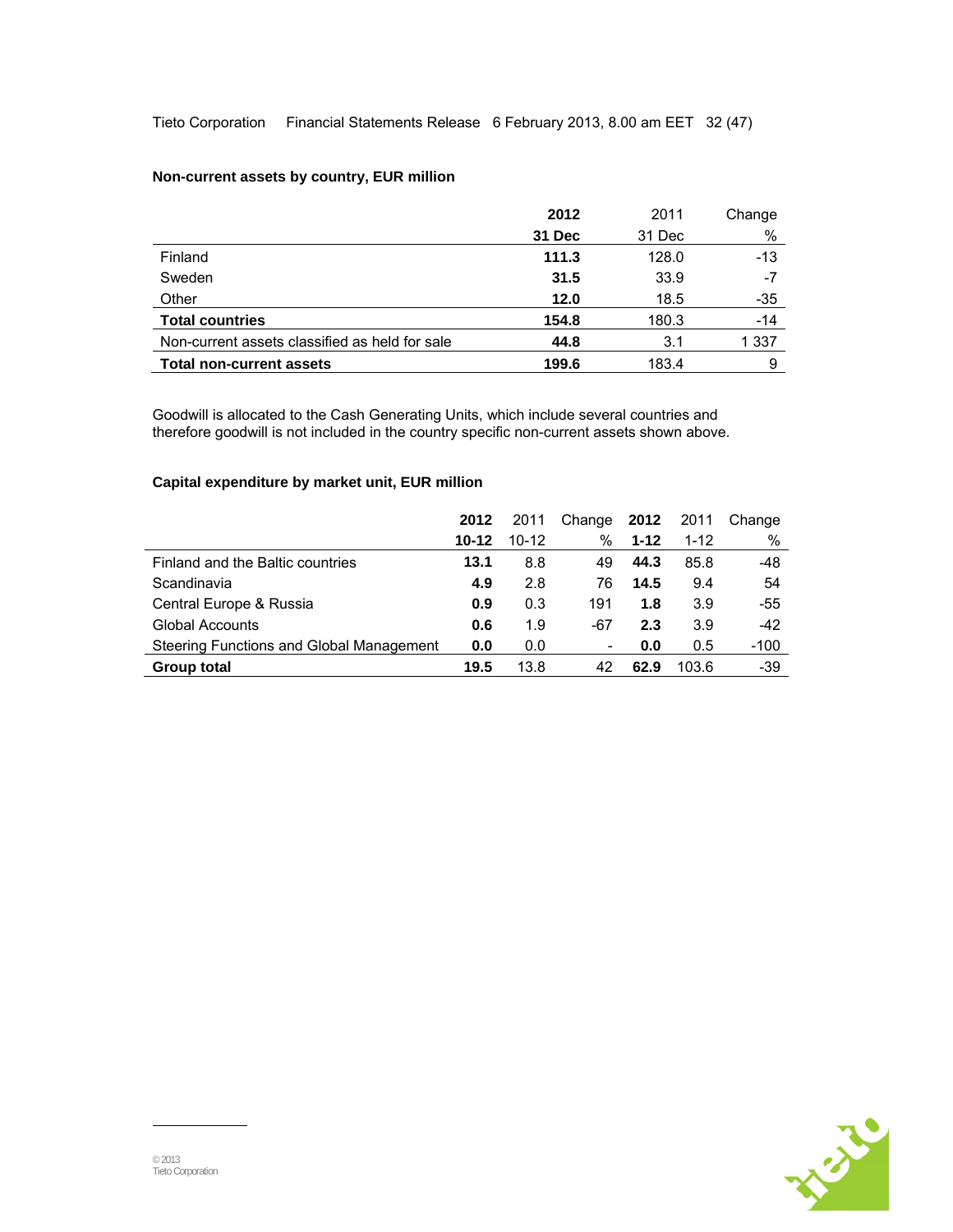Tieto Corporation Financial Statements Release 6 February 2013, 8.00 am EET 32 (47)

|                                                | 2012   | 2011   | Change |
|------------------------------------------------|--------|--------|--------|
|                                                | 31 Dec | 31 Dec | %      |
| Finland                                        | 111.3  | 128.0  | $-13$  |
| Sweden                                         | 31.5   | 33.9   | -7     |
| Other                                          | 12.0   | 18.5   | -35    |
| <b>Total countries</b>                         | 154.8  | 180.3  | -14    |
| Non-current assets classified as held for sale | 44.8   | 3.1    | 1 337  |
| <b>Total non-current assets</b>                | 199.6  | 183.4  | 9      |

## **Non-current assets by country, EUR million**

Goodwill is allocated to the Cash Generating Units, which include several countries and therefore goodwill is not included in the country specific non-current assets shown above.

## **Capital expenditure by market unit, EUR million**

|                                          | 2012      | 2011      | Change | 2012     | 2011     | Change |
|------------------------------------------|-----------|-----------|--------|----------|----------|--------|
|                                          | $10 - 12$ | $10 - 12$ | $\%$   | $1 - 12$ | $1 - 12$ | %      |
| Finland and the Baltic countries         | 13.1      | 8.8       | 49     | 44.3     | 85.8     | -48    |
| Scandinavia                              | 4.9       | 2.8       | 76     | 14.5     | 9.4      | 54     |
| Central Europe & Russia                  | 0.9       | 0.3       | 191    | 1.8      | 3.9      | -55    |
| <b>Global Accounts</b>                   | 0.6       | 1.9       | -67    | 2.3      | 3.9      | $-42$  |
| Steering Functions and Global Management | 0.0       | 0.0       | ۰      | 0.0      | 0.5      | $-100$ |
| Group total                              | 19.5      | 13.8      | 42     | 62.9     | 103.6    | -39    |

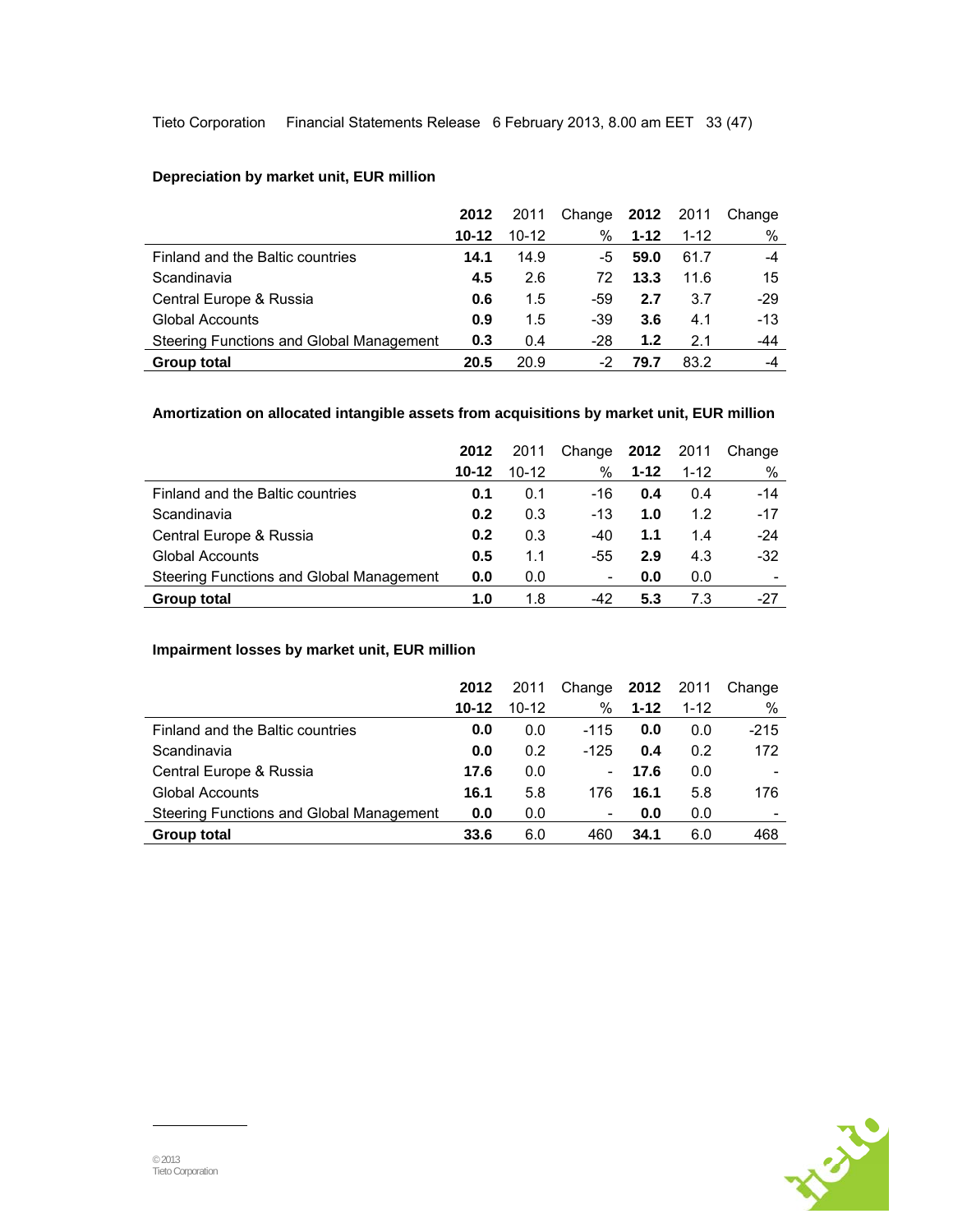## **Depreciation by market unit, EUR million**

|                                          | 2012      | 2011      | Change <b>2012</b> 2011 |          |          | Change |
|------------------------------------------|-----------|-----------|-------------------------|----------|----------|--------|
|                                          | $10 - 12$ | $10 - 12$ | %                       | $1 - 12$ | $1 - 12$ | %      |
| Finland and the Baltic countries         | 14.1      | 14.9      | -5                      | 59.0     | 61.7     | $-4$   |
| Scandinavia                              | 4.5       | 2.6       | 72                      | 13.3     | 11.6     | 15     |
| Central Europe & Russia                  | 0.6       | 1.5       | -59                     | 2.7      | 3.7      | $-29$  |
| <b>Global Accounts</b>                   | 0.9       | 1.5       | -39                     | 3.6      | 4.1      | $-13$  |
| Steering Functions and Global Management | 0.3       | 0.4       | -28                     | 1.2      | 2.1      | -44    |
| <b>Group total</b>                       | 20.5      | 20.9      | -2                      | 79.7     | 83.2     | -4     |

## **Amortization on allocated intangible assets from acquisitions by market unit, EUR million**

|                                          | 2012      | 2011      | Change | 2012     | 2011     | Change                   |
|------------------------------------------|-----------|-----------|--------|----------|----------|--------------------------|
|                                          | $10 - 12$ | $10 - 12$ | %      | $1 - 12$ | $1 - 12$ | %                        |
| Finland and the Baltic countries         | 0.1       | 0.1       | -16    | 0.4      | 0.4      | $-14$                    |
| Scandinavia                              | 0.2       | 0.3       | $-13$  | 1.0      | 1.2      | $-17$                    |
| Central Europe & Russia                  | 0.2       | 0.3       | $-40$  | 1.1      | 1.4      | $-24$                    |
| Global Accounts                          | 0.5       | 1.1       | -55    | 2.9      | 4.3      | $-32$                    |
| Steering Functions and Global Management | 0.0       | 0.0       | ۰      | 0.0      | 0.0      | $\overline{\phantom{0}}$ |
| Group total                              | 1.0       | 1.8       | $-42$  | 5.3      | 73       | -27                      |

## **Impairment losses by market unit, EUR million**

|                                          | 2012      | 2011  | Change                   | 2012     | 2011     | Change |
|------------------------------------------|-----------|-------|--------------------------|----------|----------|--------|
|                                          | $10 - 12$ | 10-12 | %                        | $1 - 12$ | $1 - 12$ | %      |
| Finland and the Baltic countries         | 0.0       | 0.0   | $-115$                   | 0.0      | 0.0      | $-215$ |
| Scandinavia                              | 0.0       | 0.2   | $-125$                   | 0.4      | 0.2      | 172    |
| Central Europe & Russia                  | 17.6      | 0.0   | $\overline{\phantom{a}}$ | 17.6     | 0.0      |        |
| <b>Global Accounts</b>                   | 16.1      | 5.8   | 176                      | 16.1     | 5.8      | 176    |
| Steering Functions and Global Management | 0.0       | 0.0   | -                        | 0.0      | 0.0      |        |
| <b>Group total</b>                       | 33.6      | 6.0   | 460                      | 34.1     | 6.0      | 468    |

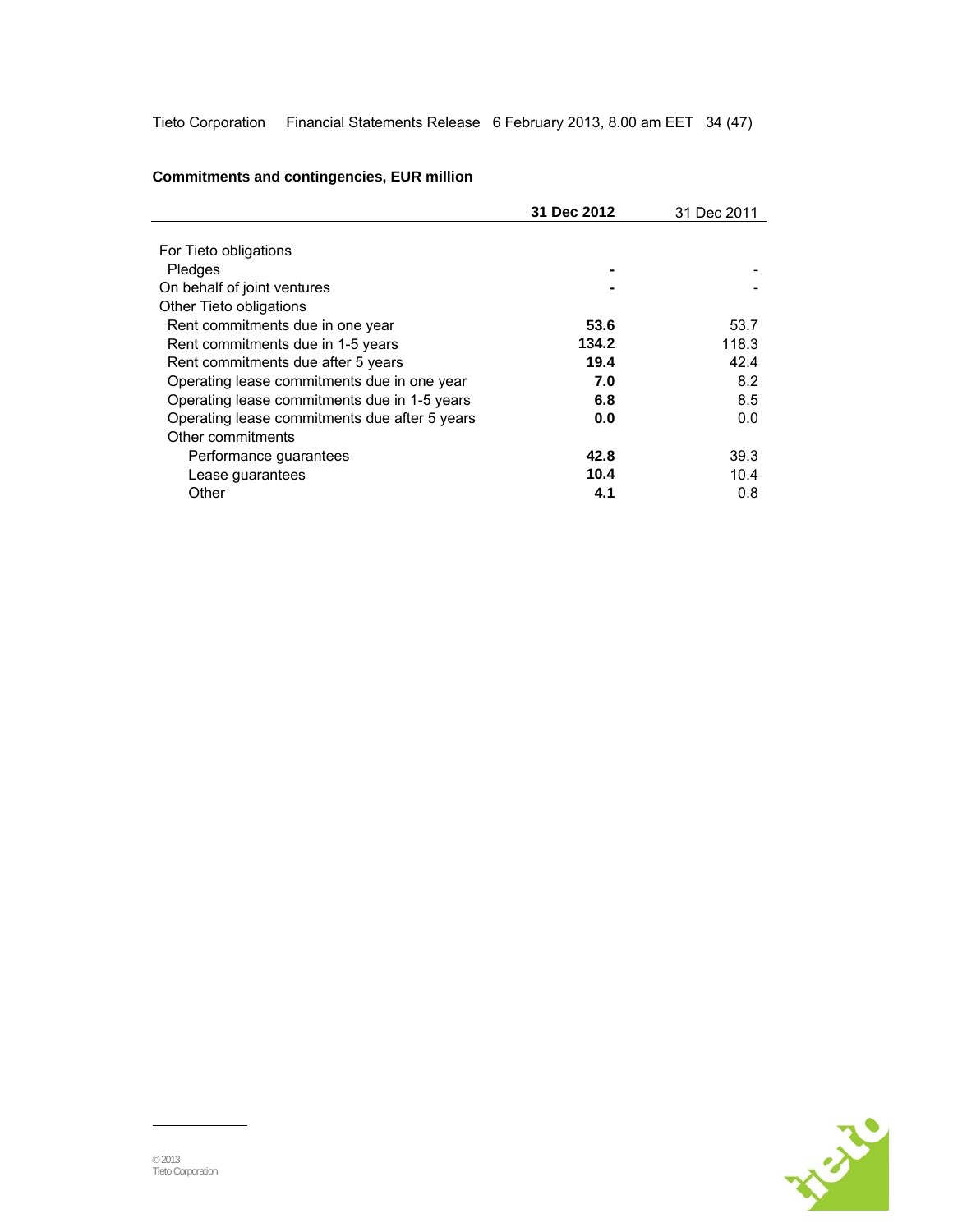Tieto Corporation Financial Statements Release 6 February 2013, 8.00 am EET 34 (47)

|                                               | 31 Dec 2012 | 31 Dec 2011 |
|-----------------------------------------------|-------------|-------------|
|                                               |             |             |
| For Tieto obligations                         |             |             |
| Pledges                                       |             |             |
| On behalf of joint ventures                   |             |             |
| Other Tieto obligations                       |             |             |
| Rent commitments due in one year              | 53.6        | 53.7        |
| Rent commitments due in 1-5 years             | 134.2       | 118.3       |
| Rent commitments due after 5 years            | 19.4        | 42.4        |
| Operating lease commitments due in one year   | 7.0         | 8.2         |
| Operating lease commitments due in 1-5 years  | 6.8         | 8.5         |
| Operating lease commitments due after 5 years | 0.0         | 0.0         |
| Other commitments                             |             |             |
| Performance guarantees                        | 42.8        | 39.3        |
| Lease guarantees                              | 10.4        | 10.4        |
| Other                                         | 4.1         | 0.8         |

## **Commitments and contingencies, EUR million**

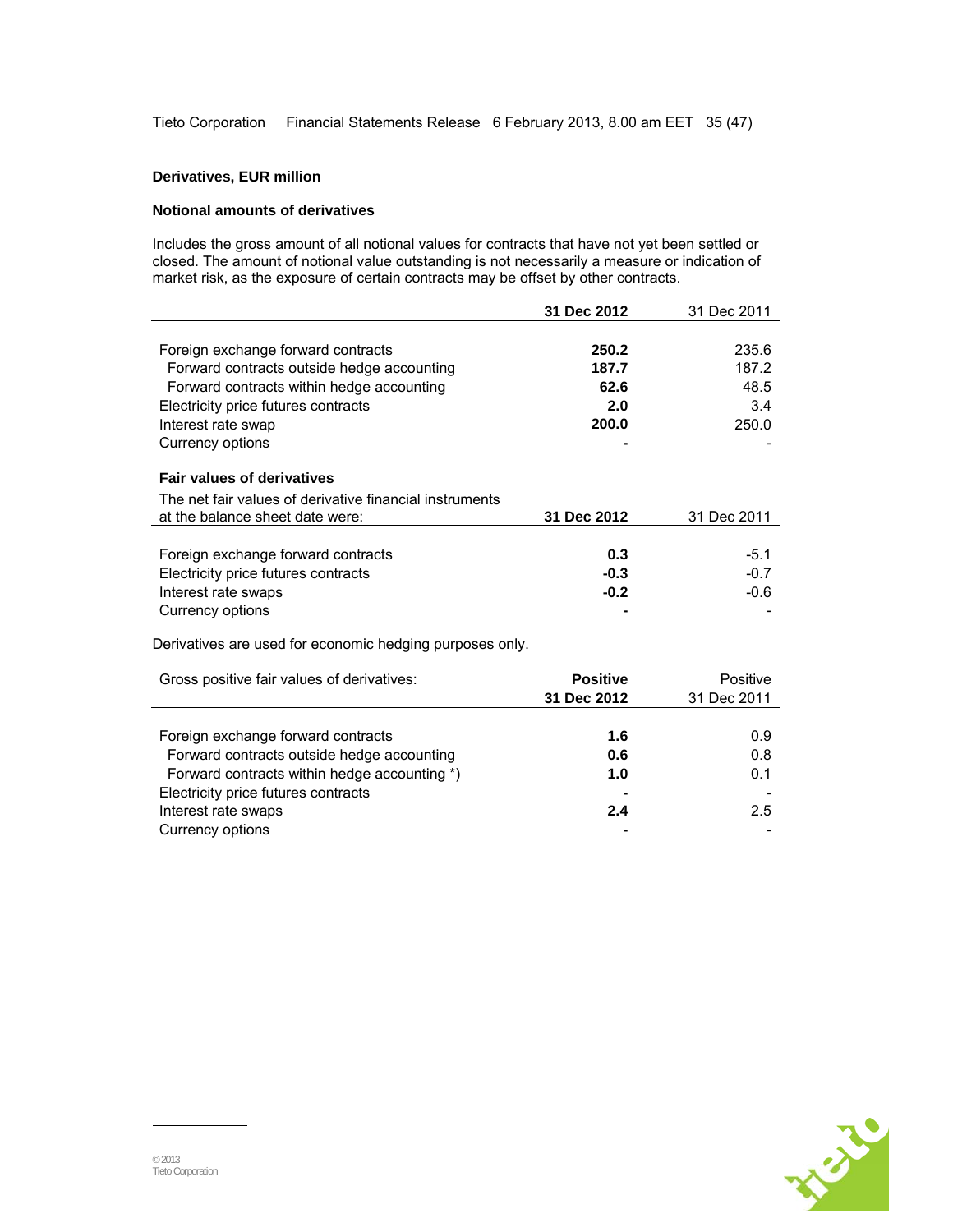Tieto Corporation Financial Statements Release 6 February 2013, 8.00 am EET 35 (47)

#### **Derivatives, EUR million**

#### **Notional amounts of derivatives**

Includes the gross amount of all notional values for contracts that have not yet been settled or closed. The amount of notional value outstanding is not necessarily a measure or indication of market risk, as the exposure of certain contracts may be offset by other contracts.

|                                                          | 31 Dec 2012     | 31 Dec 2011 |
|----------------------------------------------------------|-----------------|-------------|
|                                                          |                 |             |
| Foreign exchange forward contracts                       | 250.2           | 235.6       |
| Forward contracts outside hedge accounting               | 187.7           | 187.2       |
| Forward contracts within hedge accounting                | 62.6            | 48.5        |
| Electricity price futures contracts                      | 2.0             | 3.4         |
| Interest rate swap                                       | 200.0           | 250.0       |
| Currency options                                         |                 |             |
| <b>Fair values of derivatives</b>                        |                 |             |
| The net fair values of derivative financial instruments  |                 |             |
| at the balance sheet date were:                          | 31 Dec 2012     | 31 Dec 2011 |
|                                                          |                 |             |
| Foreign exchange forward contracts                       | 0.3             | $-5.1$      |
| Electricity price futures contracts                      | $-0.3$          | $-0.7$      |
| Interest rate swaps                                      | $-0.2$          | $-0.6$      |
| Currency options                                         |                 |             |
| Derivatives are used for economic hedging purposes only. |                 |             |
| Gross positive fair values of derivatives:               | <b>Positive</b> | Positive    |
|                                                          | 31 Dec 2012     | 31 Dec 2011 |
|                                                          |                 |             |
| Foreign exchange forward contracts                       | 1.6             | 0.9         |
| Forward contracts outside hedge accounting               | 0.6             | 0.8         |
| Forward contracts within hedge accounting *)             | 1.0             | 0.1         |
| Electricity price futures contracts                      |                 |             |

Interest rate swaps **2.4** 2.5 Currency options **-** -

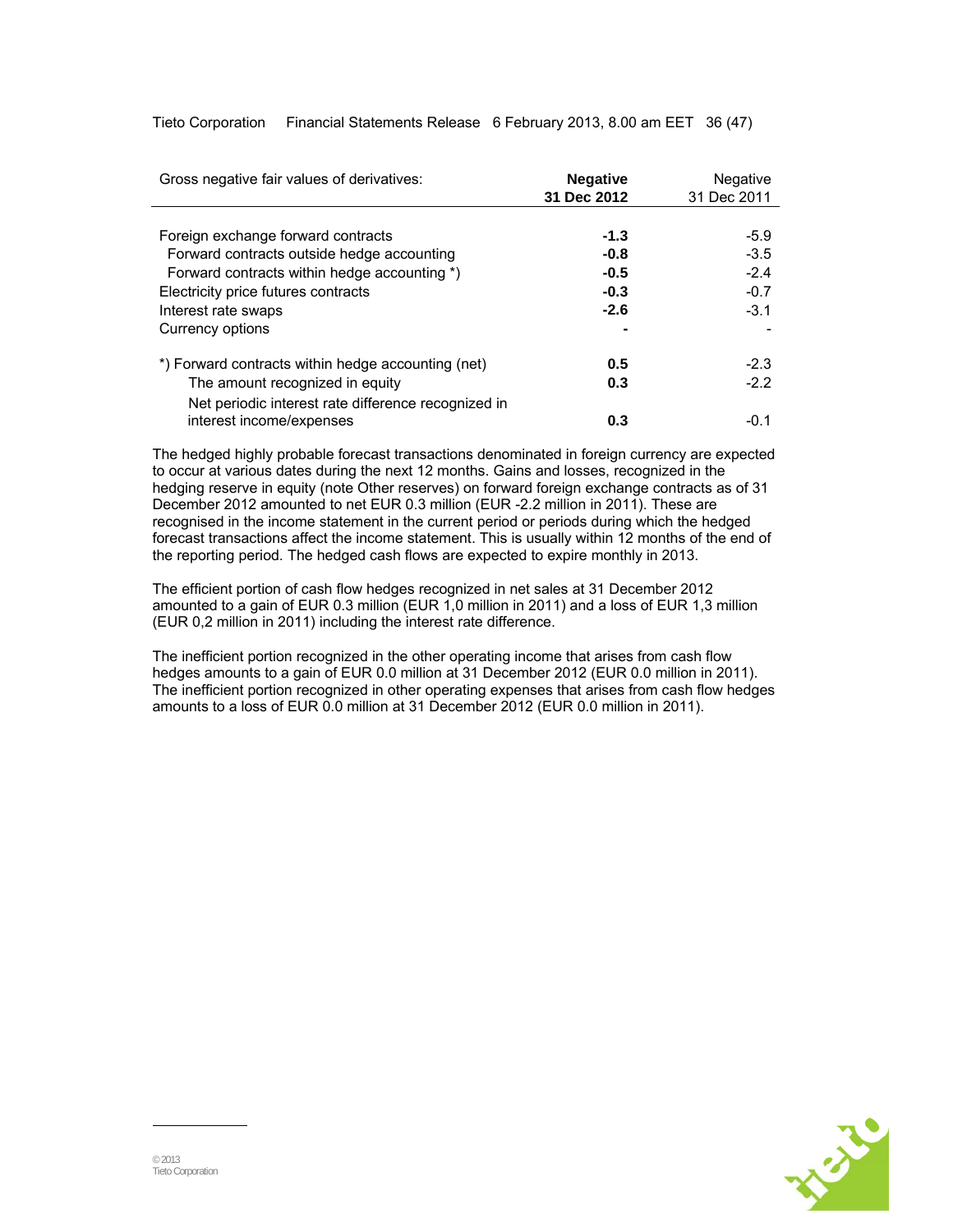| Gross negative fair values of derivatives:          | <b>Negative</b><br>31 Dec 2012 | <b>Negative</b><br>31 Dec 2011 |
|-----------------------------------------------------|--------------------------------|--------------------------------|
|                                                     |                                |                                |
| Foreign exchange forward contracts                  | $-1.3$                         | $-5.9$                         |
| Forward contracts outside hedge accounting          | $-0.8$                         | $-3.5$                         |
| Forward contracts within hedge accounting *)        | $-0.5$                         | $-2.4$                         |
| Electricity price futures contracts                 | $-0.3$                         | $-0.7$                         |
| Interest rate swaps                                 | $-2.6$                         | $-3.1$                         |
| Currency options                                    |                                |                                |
| *) Forward contracts within hedge accounting (net)  | 0.5                            | $-2.3$                         |
| The amount recognized in equity                     | 0.3                            | $-2.2$                         |
| Net periodic interest rate difference recognized in |                                |                                |
| interest income/expenses                            | 0.3                            | $-0.1$                         |

Tieto Corporation Financial Statements Release 6 February 2013, 8.00 am EET 36 (47)

The hedged highly probable forecast transactions denominated in foreign currency are expected to occur at various dates during the next 12 months. Gains and losses, recognized in the hedging reserve in equity (note Other reserves) on forward foreign exchange contracts as of 31 December 2012 amounted to net EUR 0.3 million (EUR -2.2 million in 2011). These are recognised in the income statement in the current period or periods during which the hedged forecast transactions affect the income statement. This is usually within 12 months of the end of the reporting period. The hedged cash flows are expected to expire monthly in 2013.

The efficient portion of cash flow hedges recognized in net sales at 31 December 2012 amounted to a gain of EUR 0.3 million (EUR 1,0 million in 2011) and a loss of EUR 1,3 million (EUR 0,2 million in 2011) including the interest rate difference.

The inefficient portion recognized in the other operating income that arises from cash flow hedges amounts to a gain of EUR 0.0 million at 31 December 2012 (EUR 0.0 million in 2011). The inefficient portion recognized in other operating expenses that arises from cash flow hedges amounts to a loss of EUR 0.0 million at 31 December 2012 (EUR 0.0 million in 2011).

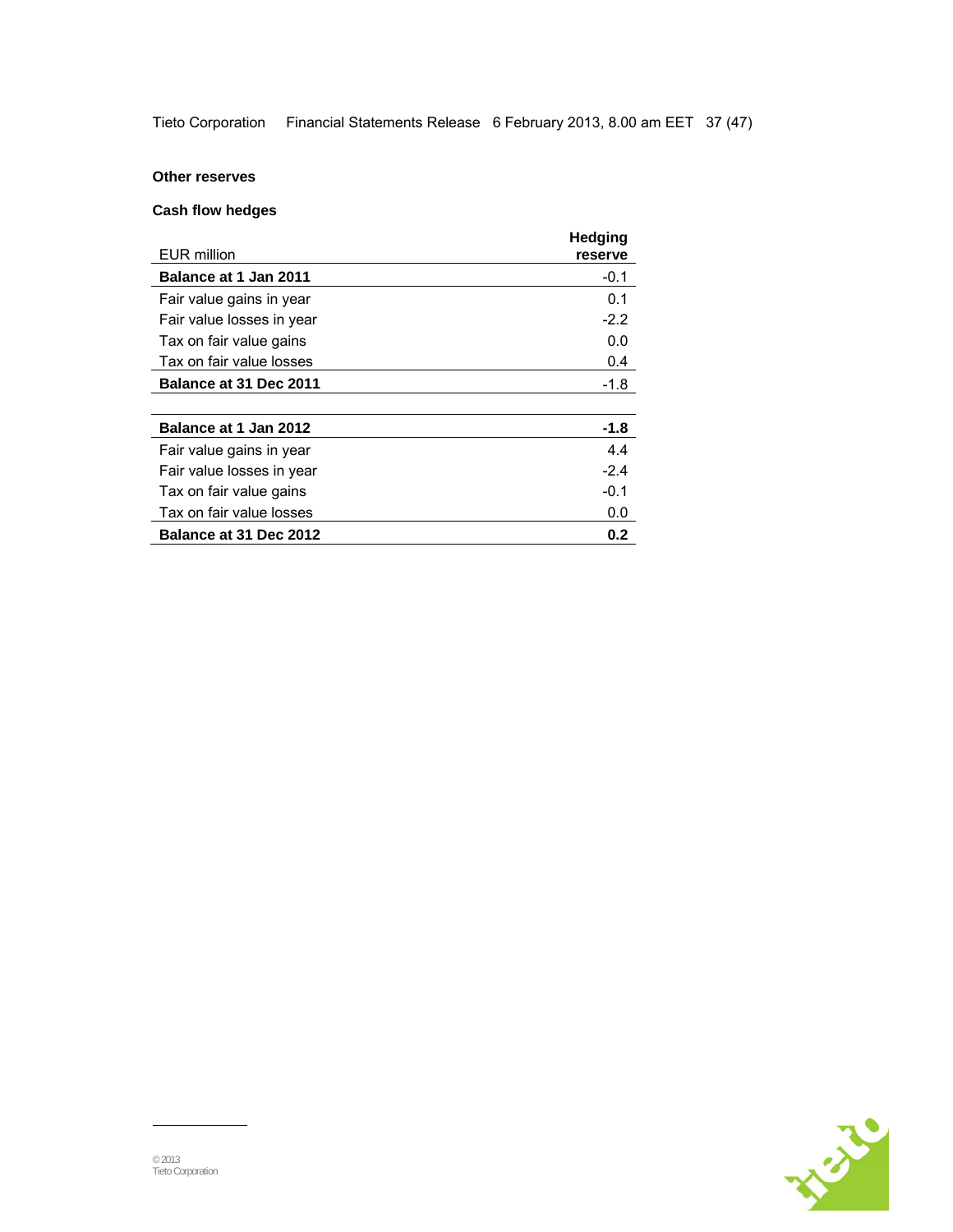Tieto Corporation Financial Statements Release 6 February 2013, 8.00 am EET 37 (47)

## **Other reserves**

## **Cash flow hedges**

| EUR million                   | <b>Hedging</b><br>reserve |
|-------------------------------|---------------------------|
| <b>Balance at 1 Jan 2011</b>  | $-0.1$                    |
| Fair value gains in year      | 0.1                       |
| Fair value losses in year     | $-2.2$                    |
| Tax on fair value gains       | 0.0                       |
| Tax on fair value losses      | 0.4                       |
| <b>Balance at 31 Dec 2011</b> | -1.8                      |
|                               |                           |
| Balance at 1 Jan 2012         | $-1.8$                    |
| Fair value gains in year      | 4.4                       |
| Fair value losses in year     | $-2.4$                    |
| Tax on fair value gains       | $-0.1$                    |
| Tax on fair value losses      | 0.0                       |
| Balance at 31 Dec 2012        | 0.2                       |

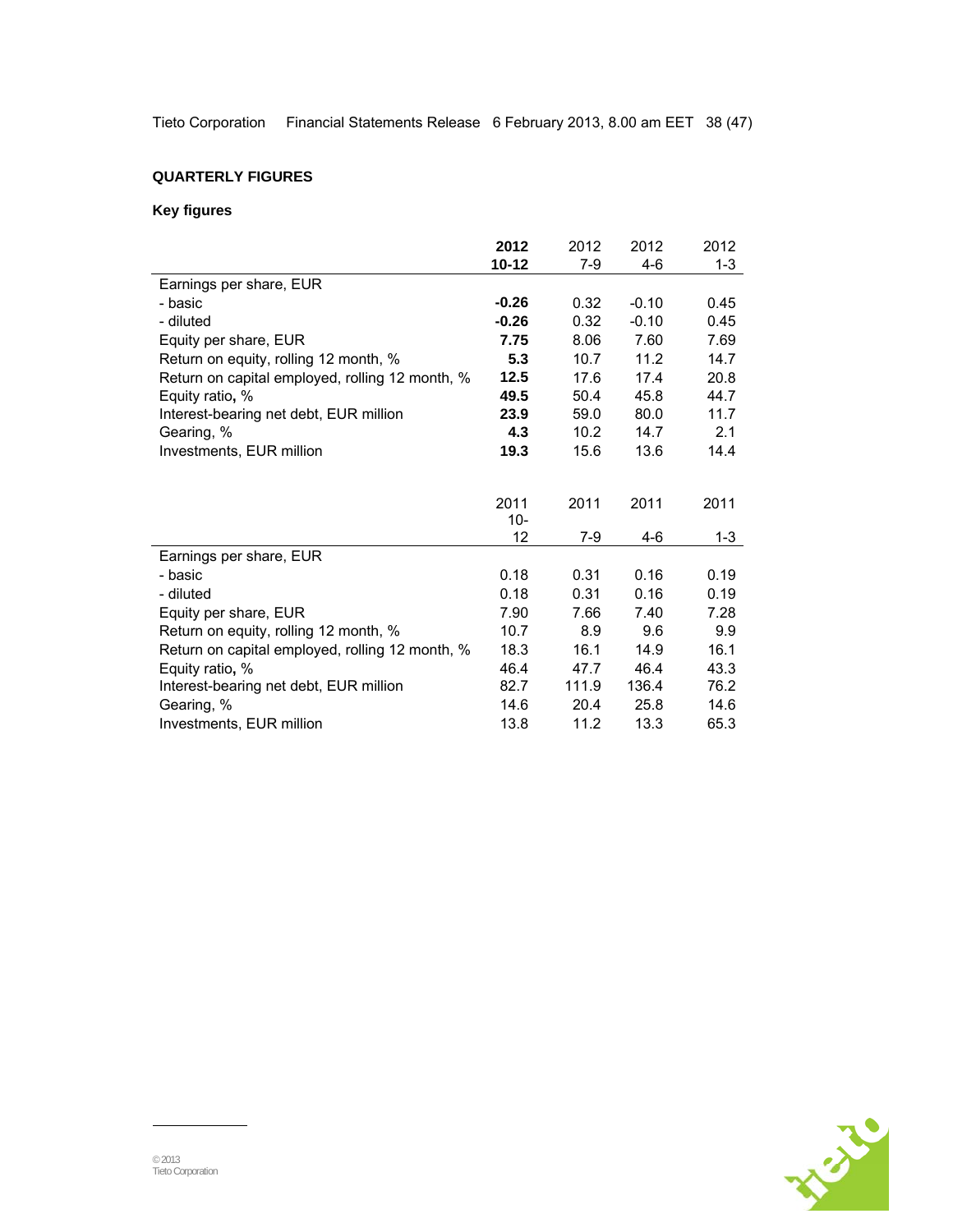Tieto Corporation Financial Statements Release 6 February 2013, 8.00 am EET 38 (47)

## **QUARTERLY FIGURES**

## **Key figures**

|                                                 | 2012      | 2012  | 2012    | 2012    |
|-------------------------------------------------|-----------|-------|---------|---------|
|                                                 | $10 - 12$ | $7-9$ | 4-6     | $1 - 3$ |
| Earnings per share, EUR                         |           |       |         |         |
| - basic                                         | $-0.26$   | 0.32  | $-0.10$ | 0.45    |
| - diluted                                       | $-0.26$   | 0.32  | $-0.10$ | 0.45    |
| Equity per share, EUR                           | 7.75      | 8.06  | 7.60    | 7.69    |
| Return on equity, rolling 12 month, %           | 5.3       | 10.7  | 11.2    | 14.7    |
| Return on capital employed, rolling 12 month, % | 12.5      | 17.6  | 17.4    | 20.8    |
| Equity ratio, %                                 | 49.5      | 50.4  | 45.8    | 44.7    |
| Interest-bearing net debt, EUR million          | 23.9      | 59.0  | 80.0    | 11.7    |
| Gearing, %                                      | 4.3       | 10.2  | 14.7    | 2.1     |
| Investments, EUR million                        | 19.3      | 15.6  | 13.6    | 14.4    |
|                                                 |           |       |         |         |
|                                                 | 2011      | 2011  | 2011    | 2011    |
|                                                 | $10-$     |       |         |         |
|                                                 | 12        | 7-9   | 4-6     | $1 - 3$ |
| Earnings per share, EUR                         |           |       |         |         |
| - basic                                         | 0.18      | 0.31  | 0.16    | 0.19    |
| - diluted                                       | 0.18      | 0.31  | 0.16    | 0.19    |
| Equity per share, EUR                           | 7.90      | 7.66  | 7.40    | 7.28    |
| Return on equity, rolling 12 month, %           | 10.7      | 8.9   | 9.6     | 9.9     |
| Return on capital employed, rolling 12 month, % | 18.3      | 16.1  | 14.9    | 16.1    |
| Equity ratio, %                                 | 46.4      | 47.7  | 46.4    | 43.3    |
| Interest-bearing net debt, EUR million          | 82.7      | 111.9 | 136.4   | 76.2    |
| Gearing, %                                      | 14.6      | 20.4  | 25.8    | 14.6    |
| Investments, EUR million                        | 13.8      | 11.2  | 13.3    | 65.3    |

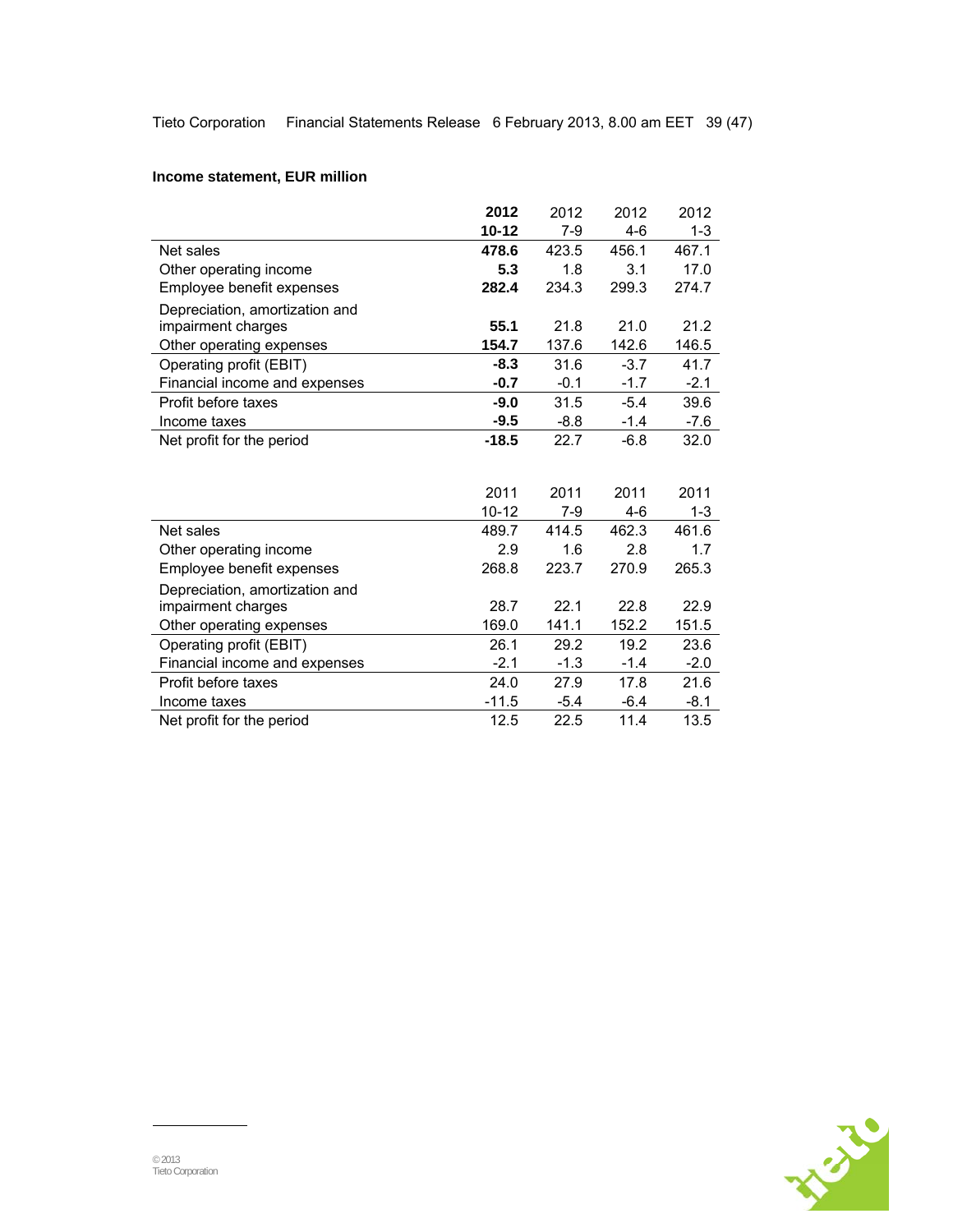## **Income statement, EUR million**

|                                | 2012      | 2012   | 2012   | 2012    |
|--------------------------------|-----------|--------|--------|---------|
|                                | $10 - 12$ | $7-9$  | $4-6$  | $1 - 3$ |
| Net sales                      | 478.6     | 423.5  | 456.1  | 467.1   |
| Other operating income         | 5.3       | 1.8    | 3.1    | 17.0    |
| Employee benefit expenses      | 282.4     | 234.3  | 299.3  | 274.7   |
| Depreciation, amortization and |           |        |        |         |
| impairment charges             | 55.1      | 21.8   | 21.0   | 21.2    |
| Other operating expenses       | 154.7     | 137.6  | 142.6  | 146.5   |
| Operating profit (EBIT)        | $-8.3$    | 31.6   | $-3.7$ | 41.7    |
| Financial income and expenses  | $-0.7$    | $-0.1$ | $-1.7$ | $-2.1$  |
| Profit before taxes            | $-9.0$    | 31.5   | $-5.4$ | 39.6    |
| Income taxes                   | $-9.5$    | $-8.8$ | $-1.4$ | $-7.6$  |
| Net profit for the period      | $-18.5$   | 22.7   | $-6.8$ | 32.0    |
|                                |           |        |        |         |
|                                |           |        |        |         |
|                                | 2011      | 2011   | 2011   | 2011    |
|                                | $10 - 12$ | 7-9    | $4-6$  | $1 - 3$ |
| Net sales                      | 489.7     | 414.5  | 462.3  | 461.6   |
| Other operating income         | 2.9       | 1.6    | 2.8    | 1.7     |
| Employee benefit expenses      | 268.8     | 223.7  | 270.9  | 265.3   |
| Depreciation, amortization and |           |        |        |         |
| impairment charges             | 28.7      | 22.1   | 22.8   | 22.9    |
| Other operating expenses       | 169.0     | 141.1  | 152.2  | 151.5   |
| Operating profit (EBIT)        | 26.1      | 29.2   | 19.2   | 23.6    |
| Financial income and expenses  | $-2.1$    | $-1.3$ | $-1.4$ | $-2.0$  |
| Profit before taxes            | 24.0      | 27.9   | 17.8   | 21.6    |
| Income taxes                   | $-11.5$   | $-5.4$ | $-6.4$ | $-8.1$  |
| Net profit for the period      | 12.5      | 22.5   | 11.4   | 13.5    |
|                                |           |        |        |         |

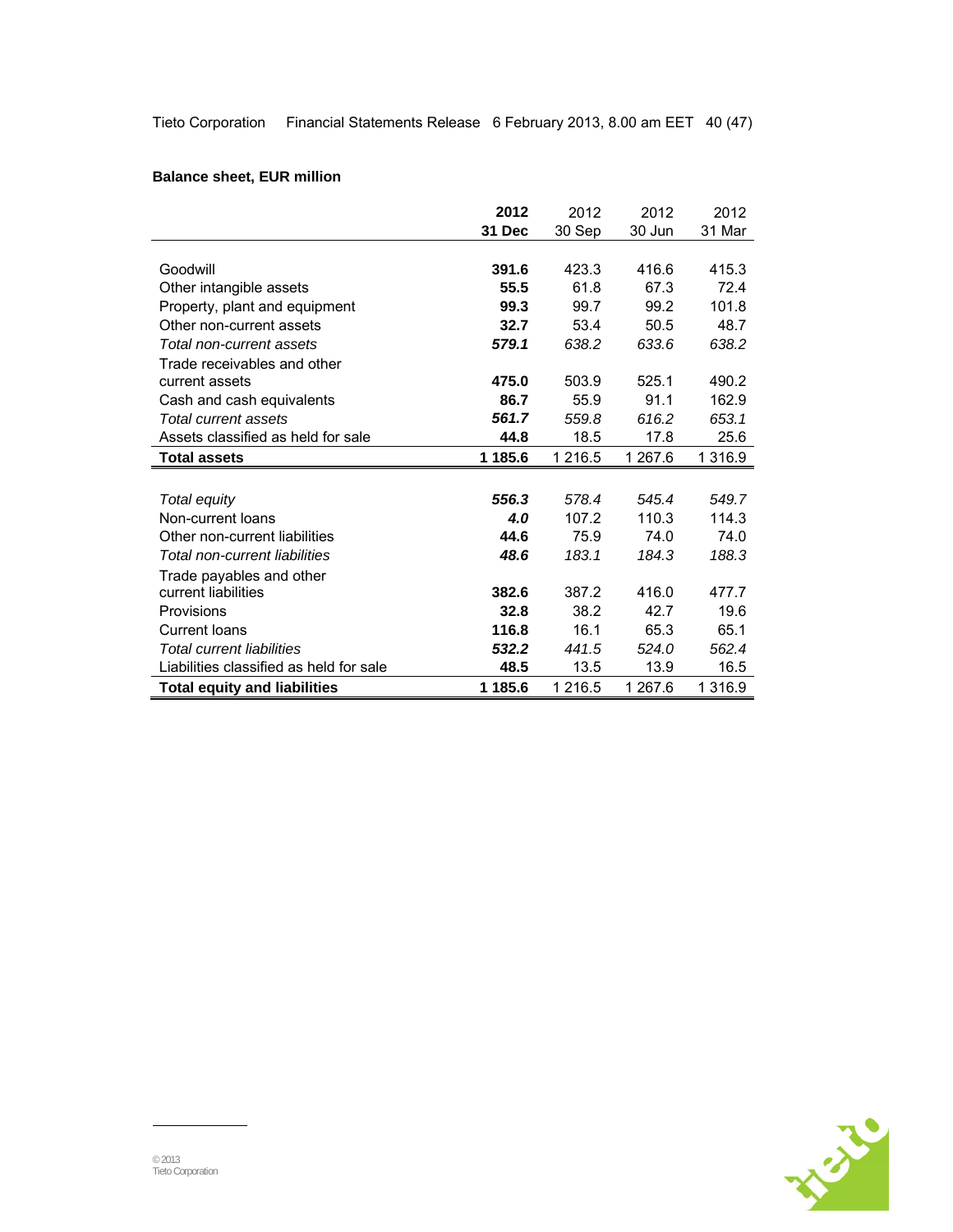Tieto Corporation Financial Statements Release 6 February 2013, 8.00 am EET 40 (47)

## **Balance sheet, EUR million**

|                                         | 2012    | 2012        | 2012    | 2012       |
|-----------------------------------------|---------|-------------|---------|------------|
|                                         | 31 Dec  | 30 Sep      | 30 Jun  | 31 Mar     |
|                                         |         |             |         |            |
| Goodwill                                | 391.6   | 423.3       | 416.6   | 415.3      |
| Other intangible assets                 | 55.5    | 61.8        | 67.3    | 72.4       |
| Property, plant and equipment           | 99.3    | 99.7        | 99.2    | 101.8      |
| Other non-current assets                | 32.7    | 53.4        | 50.5    | 48.7       |
| Total non-current assets                | 579.1   | 638.2       | 633.6   | 638.2      |
| Trade receivables and other             |         |             |         |            |
| current assets                          | 475.0   | 503.9       | 525.1   | 490.2      |
| Cash and cash equivalents               | 86.7    | 55.9        | 91.1    | 162.9      |
| Total current assets                    | 561.7   | 559.8       | 616.2   | 653.1      |
| Assets classified as held for sale      | 44.8    | 18.5        | 17.8    | 25.6       |
| <b>Total assets</b>                     | 1 185.6 | 1 2 1 6 . 5 | 1 267.6 | 1 3 1 6 .9 |
|                                         |         |             |         |            |
| Total equity                            | 556.3   | 578.4       | 545.4   | 549.7      |
| Non-current loans                       | 4.0     | 107.2       | 110.3   | 114.3      |
| Other non-current liabilities           | 44.6    | 75.9        | 74.0    | 74.0       |
| Total non-current liabilities           | 48.6    | 183.1       | 184.3   | 188.3      |
| Trade payables and other                |         |             |         |            |
| current liabilities                     | 382.6   | 387.2       | 416.0   | 477.7      |
| Provisions                              | 32.8    | 38.2        | 42.7    | 19.6       |
| Current Ioans                           | 116.8   | 16.1        | 65.3    | 65.1       |
| <b>Total current liabilities</b>        | 532.2   | 441.5       | 524.0   | 562.4      |
| Liabilities classified as held for sale | 48.5    | 13.5        | 13.9    | 16.5       |
|                                         |         |             |         |            |

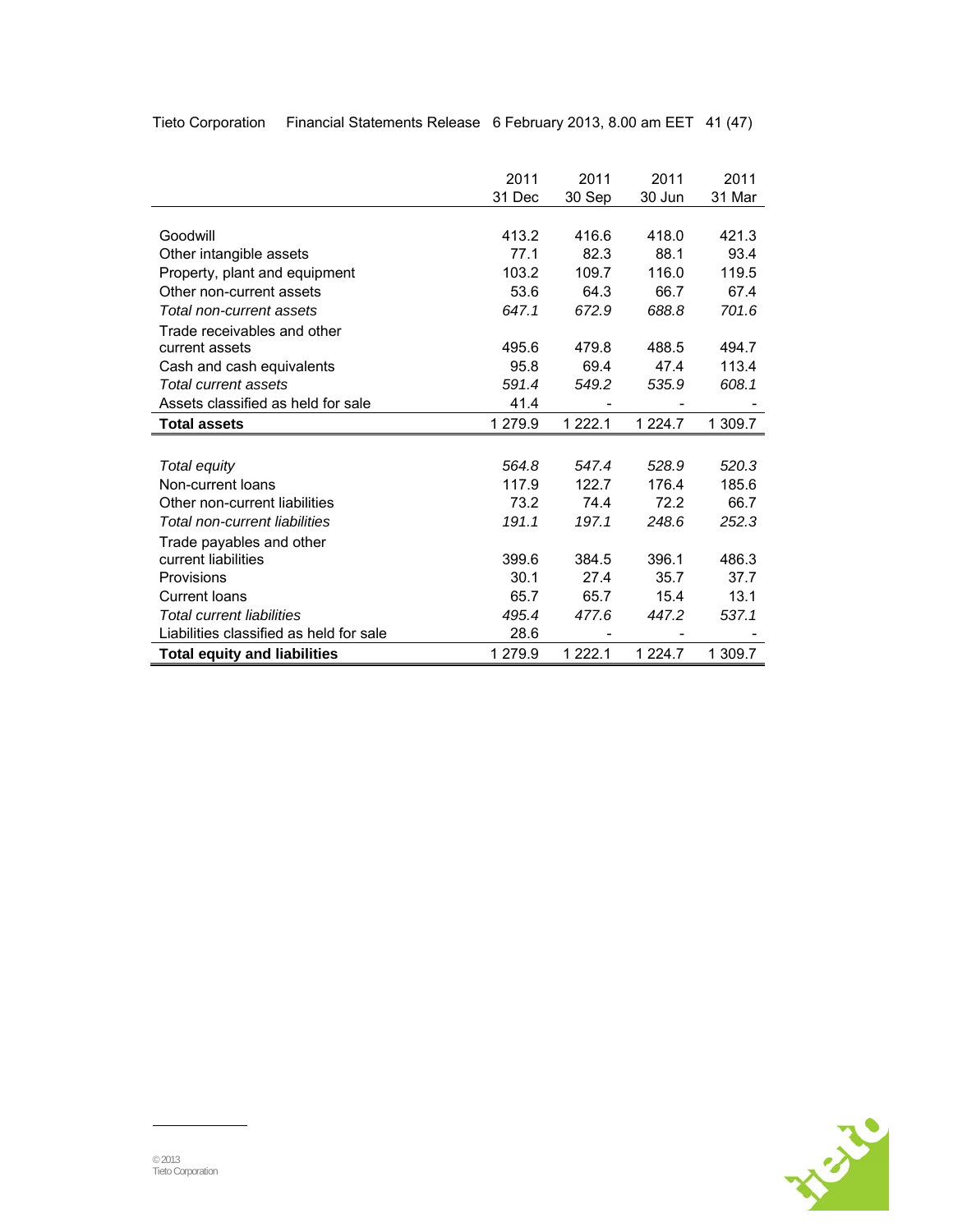|                                         | 2011    | 2011      | 2011        | 2011    |
|-----------------------------------------|---------|-----------|-------------|---------|
|                                         | 31 Dec  | 30 Sep    | 30 Jun      | 31 Mar  |
|                                         |         |           |             |         |
| Goodwill                                | 413.2   | 416.6     | 418.0       | 421.3   |
| Other intangible assets                 | 77.1    | 82.3      | 88.1        | 93.4    |
| Property, plant and equipment           | 103.2   | 109.7     | 116.0       | 119.5   |
| Other non-current assets                | 53.6    | 64.3      | 66.7        | 67.4    |
| Total non-current assets                | 647.1   | 672.9     | 688.8       | 701.6   |
| Trade receivables and other             |         |           |             |         |
| current assets                          | 495.6   | 479.8     | 488.5       | 494.7   |
| Cash and cash equivalents               | 95.8    | 69.4      | 47.4        | 113.4   |
| Total current assets                    | 591.4   | 549.2     | 535.9       | 608.1   |
| Assets classified as held for sale      | 41.4    |           |             |         |
| <b>Total assets</b>                     | 1 279.9 | 1 2 2 2.1 | 1 2 2 4 . 7 | 1 309.7 |
|                                         |         |           |             |         |
| Total equity                            | 564.8   | 547.4     | 528.9       | 520.3   |
| Non-current loans                       | 117.9   | 122.7     | 176.4       | 185.6   |
| Other non-current liabilities           | 73.2    | 74.4      | 72.2        | 66.7    |
| Total non-current liabilities           | 191.1   | 197.1     | 248.6       | 252.3   |
| Trade payables and other                |         |           |             |         |
| current liabilities                     | 399.6   | 384.5     | 396.1       | 486.3   |
| Provisions                              | 30.1    | 27.4      | 35.7        | 37.7    |
| Current Ioans                           | 65.7    | 65.7      | 15.4        | 13.1    |
| <b>Total current liabilities</b>        | 495.4   | 477.6     | 447.2       | 537.1   |
|                                         |         |           |             |         |
| Liabilities classified as held for sale | 28.6    |           |             |         |

Tieto Corporation Financial Statements Release 6 February 2013, 8.00 am EET 41 (47)

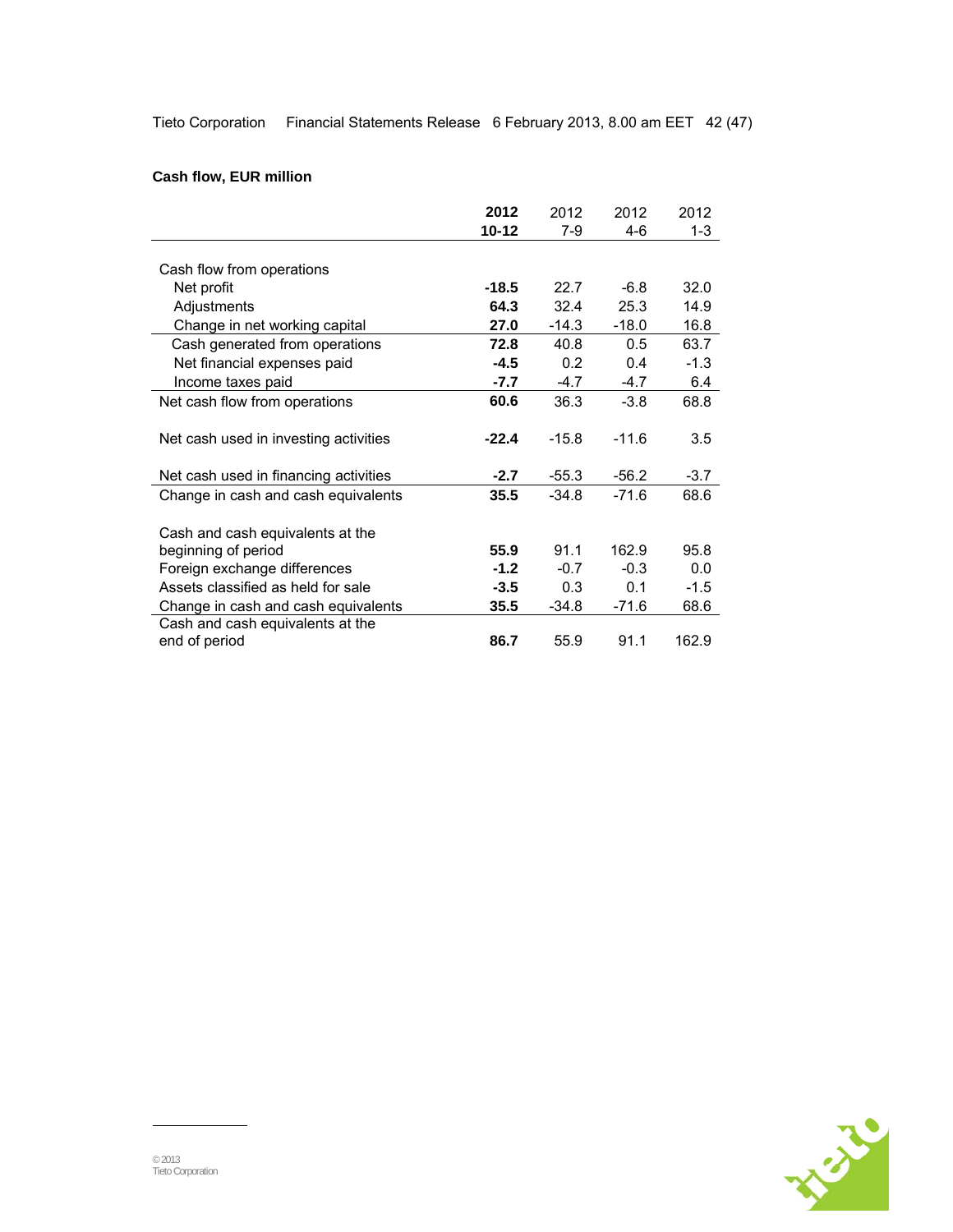Tieto Corporation Financial Statements Release 6 February 2013, 8.00 am EET 42 (47)

## **Cash flow, EUR million**

|                                       | 2012      | 2012    | 2012    | 2012    |
|---------------------------------------|-----------|---------|---------|---------|
|                                       | $10 - 12$ | 7-9     | 4-6     | $1 - 3$ |
|                                       |           |         |         |         |
| Cash flow from operations             |           |         |         |         |
| Net profit                            | -18.5     | 22.7    | $-6.8$  | 32.0    |
| Adjustments                           | 64.3      | 32.4    | 25.3    | 14.9    |
| Change in net working capital         | 27.0      | $-14.3$ | $-18.0$ | 16.8    |
| Cash generated from operations        | 72.8      | 40.8    | 0.5     | 63.7    |
| Net financial expenses paid           | -4.5      | 0.2     | 0.4     | $-1.3$  |
| Income taxes paid                     | $-7.7$    | $-4.7$  | $-4.7$  | 6.4     |
| Net cash flow from operations         | 60.6      | 36.3    | $-3.8$  | 68.8    |
|                                       |           |         |         |         |
| Net cash used in investing activities | $-22.4$   | $-15.8$ | $-11.6$ | 3.5     |
|                                       |           |         |         |         |
| Net cash used in financing activities | $-2.7$    | $-55.3$ | $-56.2$ | $-3.7$  |
| Change in cash and cash equivalents   | 35.5      | $-34.8$ | $-71.6$ | 68.6    |
|                                       |           |         |         |         |
| Cash and cash equivalents at the      |           |         |         |         |
| beginning of period                   | 55.9      | 91.1    | 162.9   | 95.8    |
| Foreign exchange differences          | $-1.2$    | $-0.7$  | $-0.3$  | 0.0     |
| Assets classified as held for sale    | $-3.5$    | 0.3     | 0.1     | $-1.5$  |
| Change in cash and cash equivalents   | 35.5      | -34.8   | $-71.6$ | 68.6    |
| Cash and cash equivalents at the      |           |         |         |         |
| end of period                         | 86.7      | 55.9    | 91.1    | 162.9   |

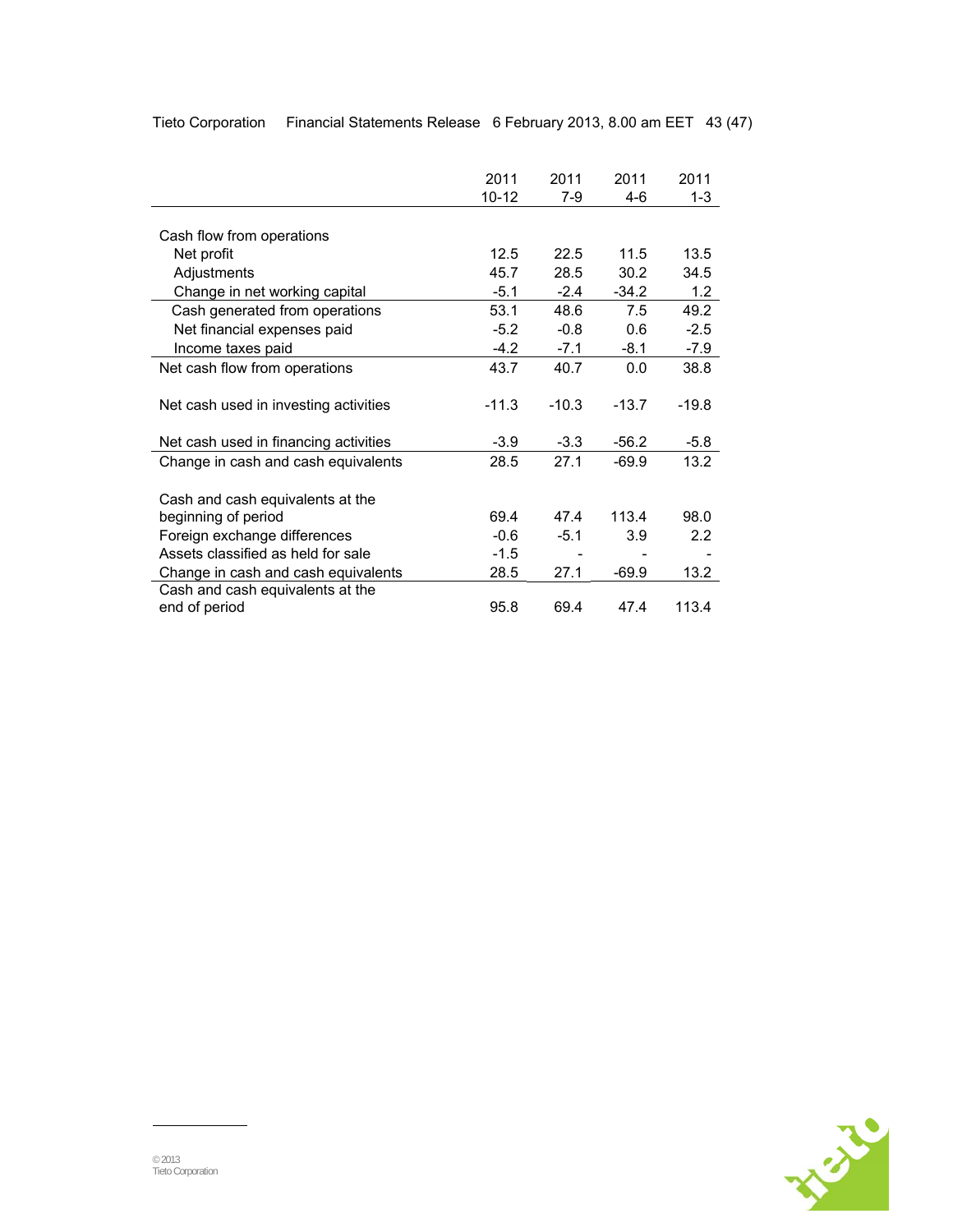|                                       | 2011      | 2011    | 2011    | 2011             |
|---------------------------------------|-----------|---------|---------|------------------|
|                                       | $10 - 12$ | 7-9     | 4-6     | $1 - 3$          |
|                                       |           |         |         |                  |
| Cash flow from operations             |           |         |         |                  |
| Net profit                            | 12.5      | 22.5    | 11.5    | 13.5             |
| Adjustments                           | 45.7      | 28.5    | 30.2    | 34.5             |
| Change in net working capital         | $-5.1$    | $-2.4$  | $-34.2$ | 1.2              |
| Cash generated from operations        | 53.1      | 48.6    | 7.5     | 49.2             |
| Net financial expenses paid           | $-5.2$    | $-0.8$  | 0.6     | $-2.5$           |
| Income taxes paid                     | $-4.2$    | $-7.1$  | $-8.1$  | -7.9             |
| Net cash flow from operations         | 43.7      | 40.7    | 0.0     | 38.8             |
|                                       |           |         |         |                  |
| Net cash used in investing activities | $-11.3$   | $-10.3$ | $-13.7$ | $-19.8$          |
|                                       |           |         |         |                  |
| Net cash used in financing activities | $-3.9$    | $-3.3$  | $-56.2$ | $-5.8$           |
| Change in cash and cash equivalents   | 28.5      | 27.1    | $-69.9$ | 13.2             |
|                                       |           |         |         |                  |
| Cash and cash equivalents at the      |           |         |         |                  |
| beginning of period                   | 69.4      | 47.4    | 113.4   | 98.0             |
| Foreign exchange differences          | $-0.6$    | $-5.1$  | 3.9     | $2.2\phantom{0}$ |
| Assets classified as held for sale    | $-1.5$    |         |         |                  |
| Change in cash and cash equivalents   | 28.5      | 27.1    | $-69.9$ | 13.2             |
| Cash and cash equivalents at the      |           |         |         |                  |
| end of period                         | 95.8      | 69.4    | 47.4    | 113.4            |

Tieto Corporation Financial Statements Release 6 February 2013, 8.00 am EET 43 (47)

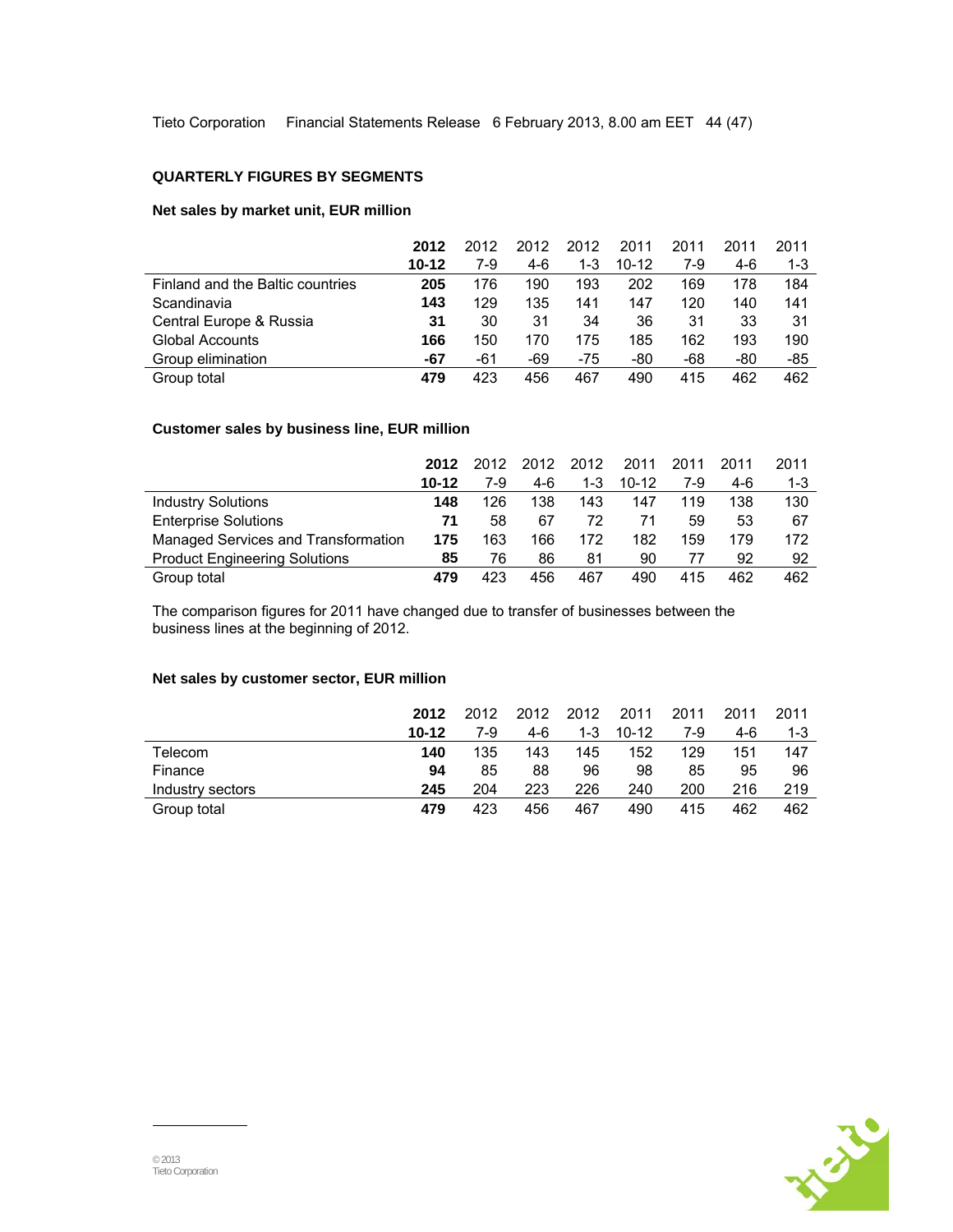Tieto Corporation Financial Statements Release 6 February 2013, 8.00 am EET 44 (47)

#### **QUARTERLY FIGURES BY SEGMENTS**

### **Net sales by market unit, EUR million**

|                                  | 2012      | 2012 | 2012 | 2012  | 2011      | 2011 | 2011 | 2011    |
|----------------------------------|-----------|------|------|-------|-----------|------|------|---------|
|                                  | $10 - 12$ | 7-9  | 4-6  | 1-3   | $10 - 12$ | 7-9  | 4-6  | $1 - 3$ |
| Finland and the Baltic countries | 205       | 176  | 190  | 193   | 202       | 169  | 178  | 184     |
| Scandinavia                      | 143       | 129  | 135  | 141   | 147       | 120  | 140  | 141     |
| Central Europe & Russia          | 31        | 30   | 31   | 34    | 36        | 31   | 33   | 31      |
| Global Accounts                  | 166       | 150  | 170  | 175   | 185       | 162  | 193  | 190     |
| Group elimination                | -67       | -61  | -69  | $-75$ | -80       | -68  | -80  | -85     |
| Group total                      | 479       | 423  | 456  | 467   | 490       | 415  | 462  | 462     |

## **Customer sales by business line, EUR million**

|                                      | 2012      | 2012 | 2012 | 2012    | 2011      | 2011 | 2011 | 2011    |
|--------------------------------------|-----------|------|------|---------|-----------|------|------|---------|
|                                      | $10 - 12$ | 7-9  | 4-6  | $1 - 3$ | $10 - 12$ | 7-9  | 4-6  | $1 - 3$ |
| <b>Industry Solutions</b>            | 148       | 126  | 138  | 143     | 147       | 119  | 138  | 130     |
| <b>Enterprise Solutions</b>          | 71        | 58   | 67   | 72      | 71        | 59   | 53   | 67      |
| Managed Services and Transformation  | 175       | 163  | 166  | 172     | 182       | 159  | 179  | 172     |
| <b>Product Engineering Solutions</b> | 85        | 76   | 86   | 81      | 90        | 77   | 92   | 92      |
| Group total                          | 479       | 423  | 456  | 467     | 490       | 415  | 462  | 462     |

The comparison figures for 2011 have changed due to transfer of businesses between the business lines at the beginning of 2012.

## **Net sales by customer sector, EUR million**

|                  | 2012      | 2012 | 2012 | 2012    | 2011      | 2011 | 2011 | 2011    |
|------------------|-----------|------|------|---------|-----------|------|------|---------|
|                  | $10 - 12$ | 7-9  | 4-6  | $1 - 3$ | $10 - 12$ | 7-9  | 4-6  | $1 - 3$ |
| Telecom          | 140       | 135  | 143  | 145     | 152       | 129  | 151  | 147     |
| Finance          | 94        | 85   | 88   | 96      | 98        | 85   | 95   | 96      |
| Industry sectors | 245       | 204  | 223  | 226     | 240       | 200  | 216  | 219     |
| Group total      | 479       | 423  | 456  | 467     | 490       | 415  | 462  | 462     |

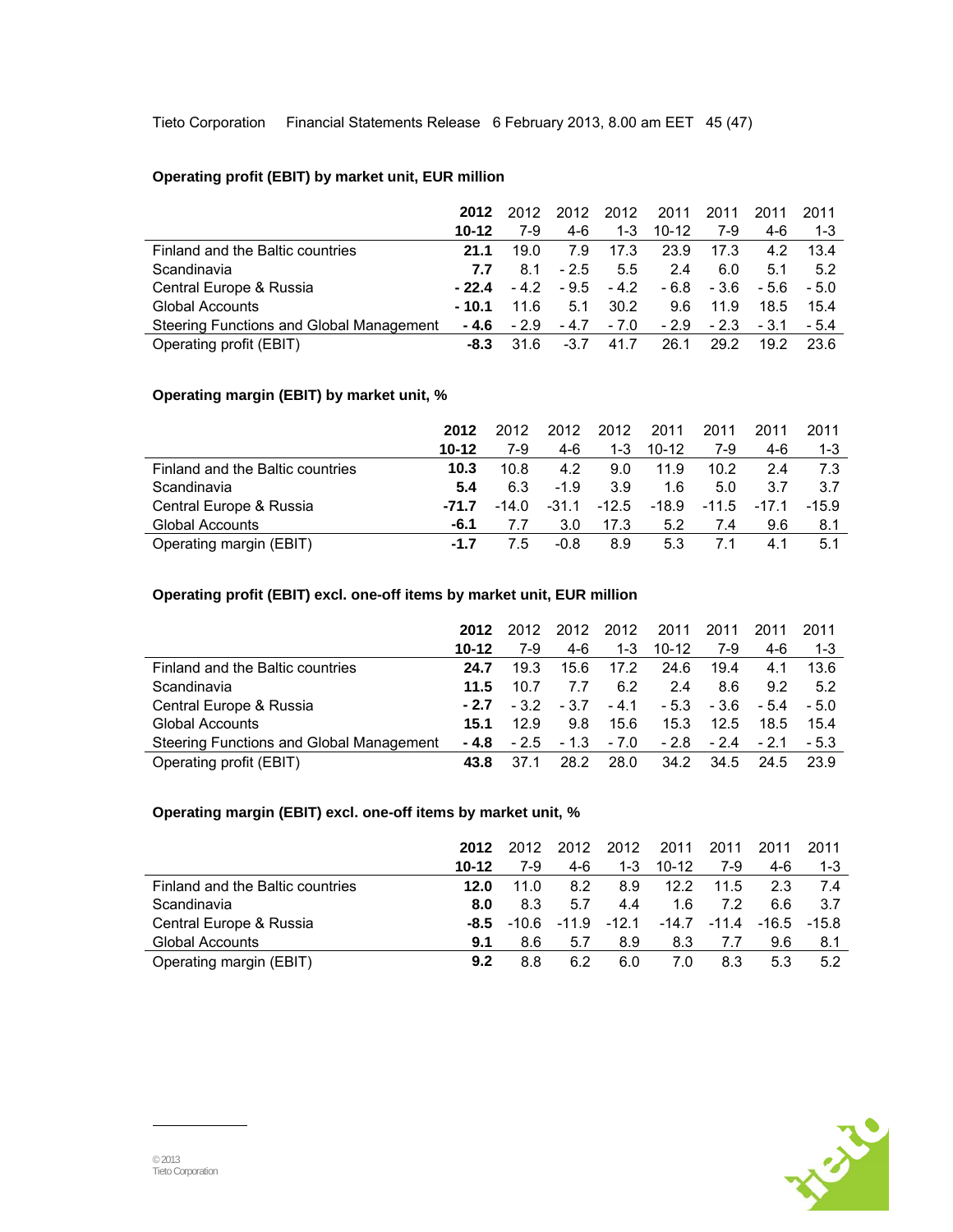Tieto Corporation Financial Statements Release 6 February 2013, 8.00 am EET 45 (47)

## **Operating profit (EBIT) by market unit, EUR million**

|                                          | 2012      | 2012   | 2012   | 2012    | 2011      | 2011   | 2011   | 2011    |
|------------------------------------------|-----------|--------|--------|---------|-----------|--------|--------|---------|
|                                          | $10 - 12$ | 7-9    | 4-6    | $1 - 3$ | $10 - 12$ | 7-9    | 4-6    | $1 - 3$ |
| Finland and the Baltic countries         | 21.1      | 19.0   | 7.9    | 17.3    | 23.9      | 17.3   | 4.2    | 13.4    |
| Scandinavia                              | 7.7       | 8.1    | $-2.5$ | 5.5     | 24        | 6.0    | 5.1    | 5.2     |
| Central Europe & Russia                  | $-22.4$   | $-4.2$ | $-9.5$ | $-4.2$  | - 6.8     | - 3.6  | - 5.6  | $-5.0$  |
| <b>Global Accounts</b>                   | - 10.1    | 11.6   | 5.1    | 30.2    | 9.6       | 11.9   | 18.5   | 15.4    |
| Steering Functions and Global Management | - 4.6     | $-2.9$ | $-4.7$ | $-7.0$  | $-2.9$    | $-2.3$ | $-3.1$ | $-5.4$  |
| Operating profit (EBIT)                  | -8.3      | 31.6   | $-3.7$ | 41.7    | 26.1      | 29.2   | 19.2   | 23.6    |

## **Operating margin (EBIT) by market unit, %**

|                                  | 2012   | 2012    | 2012    | 2012    | 2011      | 2011    | 2011    | 2011    |
|----------------------------------|--------|---------|---------|---------|-----------|---------|---------|---------|
|                                  | 10-12  | 7-9     | $4-6$   | $1 - 3$ | $10 - 12$ | 7-9     | 4-6     | $1 - 3$ |
| Finland and the Baltic countries | 10.3   | 10.8    | 4.2     | 9.0     | 11.9      | 10.2    | 2.4     | 7.3     |
| Scandinavia                      | 5.4    | 6.3     | $-1.9$  | 3.9     | 1.6       | 5.0     | 3.7     | 3.7     |
| Central Europe & Russia          | -71.7  | $-14.0$ | $-31.1$ | $-12.5$ | $-18.9$   | $-11.5$ | $-17.1$ | $-15.9$ |
| <b>Global Accounts</b>           | -6.1   | 7.7     | 3.0     | 17.3    | 5.2       | 7.4     | 9.6     | 8.1     |
| Operating margin (EBIT)          | $-1.7$ | 7.5     | $-0.8$  | 8.9     | 5.3       |         | 4.1     | 5.1     |

## **Operating profit (EBIT) excl. one-off items by market unit, EUR million**

|                                          | 2012      | 2012   | 2012   | 2012    | 2011    | 2011   | 2011   | 2011    |
|------------------------------------------|-----------|--------|--------|---------|---------|--------|--------|---------|
|                                          | $10 - 12$ | 7-9    | 4-6    | $1 - 3$ | $10-12$ | 7-9    | 4-6    | $1 - 3$ |
| Finland and the Baltic countries         | 24.7      | 19.3   | 15.6   | 17.2    | 24.6    | 19.4   | 4.1    | 13.6    |
| Scandinavia                              | 11.5      | 10.7   | 7.7    | 6.2     | 24      | 8.6    | 9.2    | 5.2     |
| Central Europe & Russia                  | $-2.7$    | $-3.2$ | $-3.7$ | $-4.1$  | $-5.3$  | - 3.6  | $-5.4$ | $-5.0$  |
| Global Accounts                          | 15.1      | 12.9   | 9.8    | 15.6    | 15.3    | 12.5   | 18.5   | 15.4    |
| Steering Functions and Global Management | - 4.8     | $-2.5$ | $-1.3$ | - 7.0   | $-2.8$  | $-2.4$ | $-2.1$ | $-5.3$  |
| Operating profit (EBIT)                  | 43.8      | 37.1   | 28.2   | 28.0    | 34.2    | 34.5   | 24.5   | 23.9    |

## **Operating margin (EBIT) excl. one-off items by market unit, %**

|                                  | 2012      | 2012  | 2012    | 2012    | 2011      | 2011    | 2011    | 2011    |
|----------------------------------|-----------|-------|---------|---------|-----------|---------|---------|---------|
|                                  | $10 - 12$ | 7-9   | 4-6     | $1 - 3$ | $10 - 12$ | 7-9     | 4-6     | $1 - 3$ |
| Finland and the Baltic countries | 12.0      | 11.0  | 8.2     | 8.9     | 12.2      | 11.5    | 2.3     | 74      |
| Scandinavia                      | 8.0       | 8.3   | 5.7     | 4.4     | 1.6       | 72      | 6.6     | 3.7     |
| Central Europe & Russia          | -8.5      | -10.6 | $-11.9$ | $-12.1$ | $-14.7$   | $-11.4$ | $-16.5$ | $-15.8$ |
| <b>Global Accounts</b>           | 9.1       | 8.6   | 5.7     | 8.9     | 8.3       | 7.7     | 9.6     | 8.1     |
| Operating margin (EBIT)          | 9.2       | 8.8   | 6.2     | 6.0     | 7.0       | 8.3     | 5.3     | 5.2     |

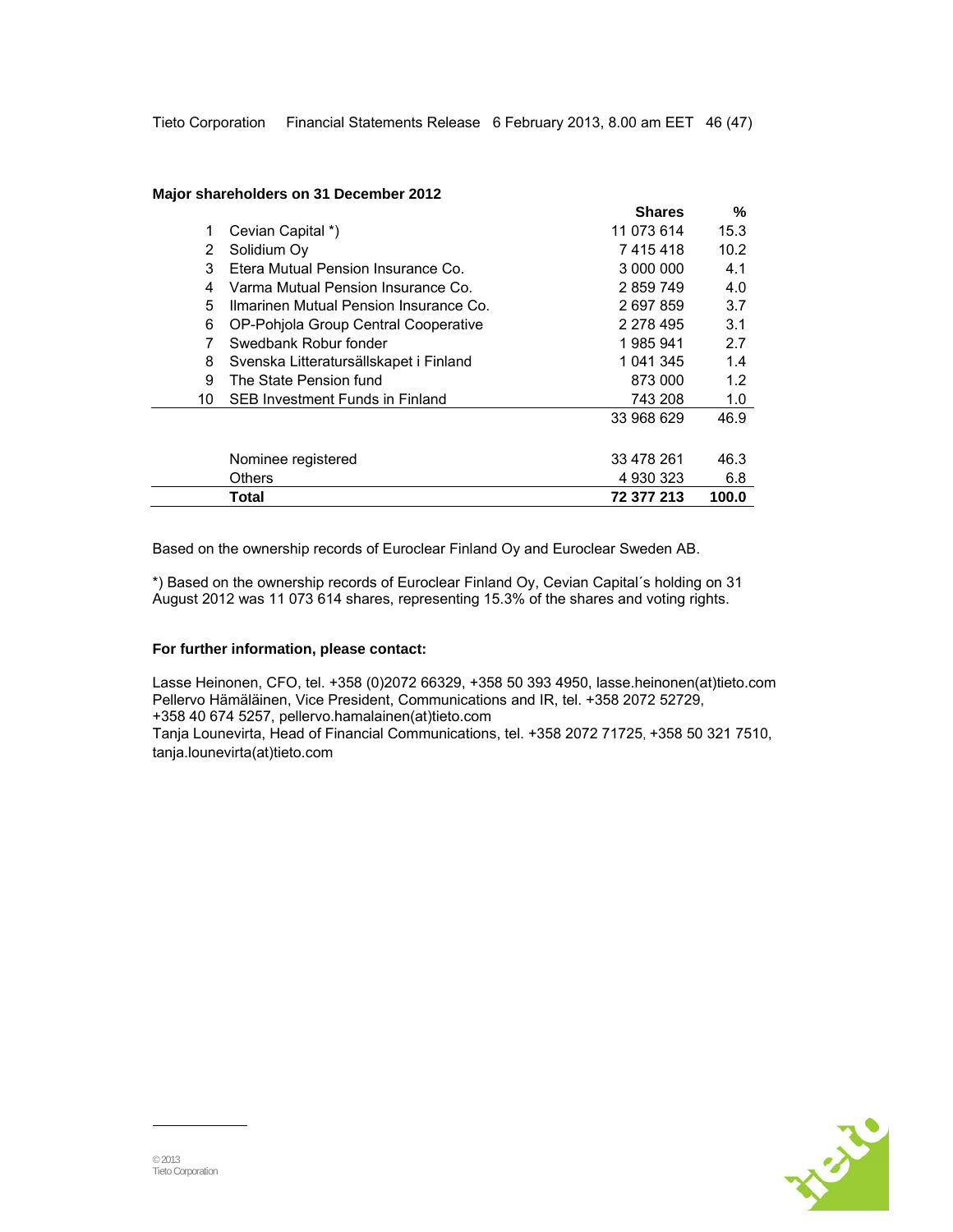#### **Major shareholders on 31 December 2012**

|    |                                        | <b>Shares</b> | %     |
|----|----------------------------------------|---------------|-------|
| 1. | Cevian Capital *)                      | 11 073 614    | 15.3  |
| 2  | Solidium Oy                            | 7415418       | 10.2  |
| 3  | Etera Mutual Pension Insurance Co.     | 3 000 000     | 4.1   |
| 4  | Varma Mutual Pension Insurance Co.     | 2859749       | 4.0   |
| 5  | Ilmarinen Mutual Pension Insurance Co. | 2 697 859     | 3.7   |
| 6  | OP-Pohjola Group Central Cooperative   | 2 278 495     | 3.1   |
| 7  | Swedbank Robur fonder                  | 1985941       | 2.7   |
| 8  | Svenska Litteratursällskapet i Finland | 1 041 345     | 1.4   |
| 9  | The State Pension fund                 | 873 000       | 1.2   |
| 10 | SEB Investment Funds in Finland        | 743 208       | 1.0   |
|    |                                        | 33 968 629    | 46.9  |
|    | Nominee registered                     | 33 478 261    | 46.3  |
|    | <b>Others</b>                          | 4 930 323     | 6.8   |
|    | Total                                  | 72 377 213    | 100.0 |

Based on the ownership records of Euroclear Finland Oy and Euroclear Sweden AB.

\*) Based on the ownership records of Euroclear Finland Oy, Cevian Capital´s holding on 31 August 2012 was 11 073 614 shares, representing 15.3% of the shares and voting rights.

## **For further information, please contact:**

Lasse Heinonen, CFO, tel. +358 (0)2072 66329, +358 50 393 4950, lasse.heinonen(at)tieto.com Pellervo Hämäläinen, Vice President, Communications and IR, tel. +358 2072 52729, +358 40 674 5257, pellervo.hamalainen(at)tieto.com Tanja Lounevirta, Head of Financial Communications, tel. +358 2072 71725, +358 50 321 7510, tanja.lounevirta(at)tieto.com